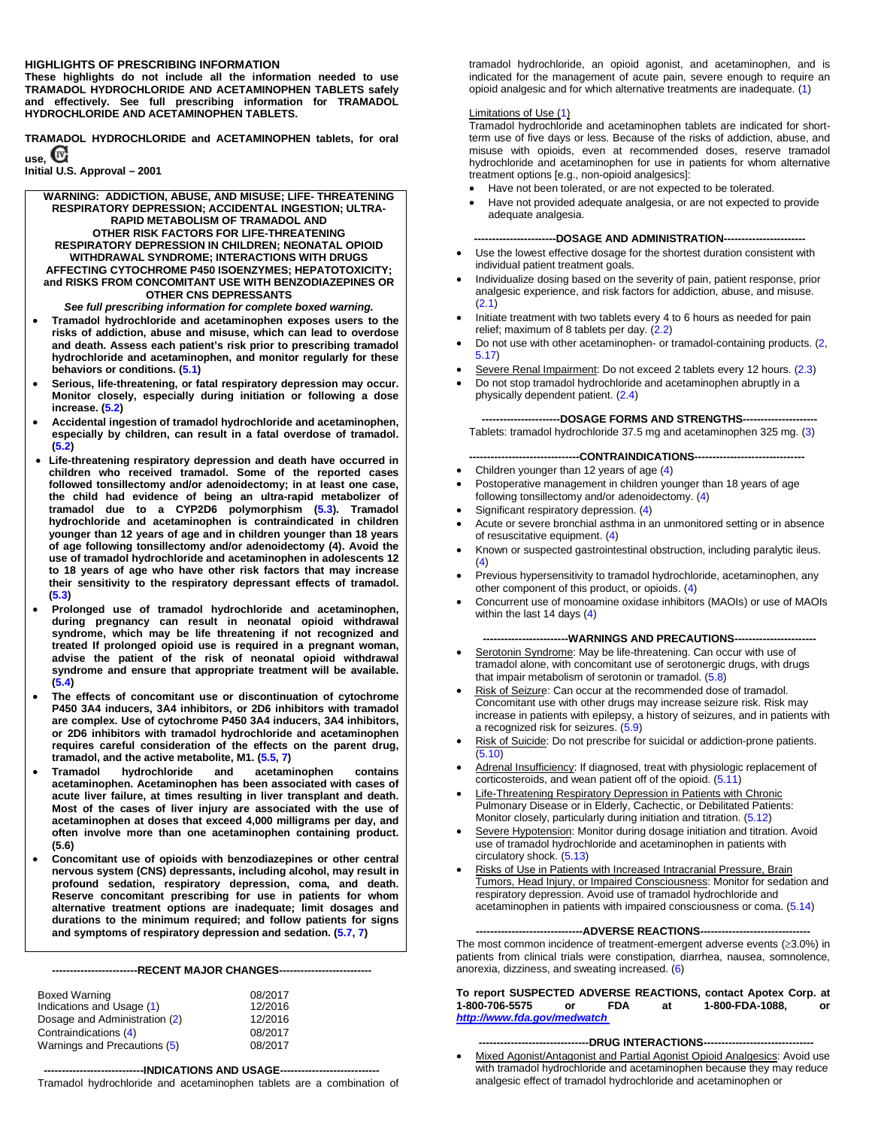#### **HIGHLIGHTS OF PRESCRIBING INFORMATION**

**These highlights do not include all the information needed to use TRAMADOL HYDROCHLORIDE AND ACETAMINOPHEN TABLETS safely and effectively. See full prescribing information for TRAMADOL HYDROCHLORIDE AND ACETAMINOPHEN TABLETS.**

**TRAMADOL HYDROCHLORIDE and ACETAMINOPHEN tablets, for oral use,** 

#### **Initial U.S. Approval – 2001**

**WARNING: ADDICTION, ABUSE, AND MISUSE; LIFE- THREATENING RESPIRATORY DEPRESSION; ACCIDENTAL INGESTION; ULTRA-RAPID METABOLISM OF TRAMADOL AND OTHER RISK FACTORS FOR LIFE-THREATENING RESPIRATORY DEPRESSION IN CHILDREN; NEONATAL OPIOID WITHDRAWAL SYNDROME; INTERACTIONS WITH DRUGS AFFECTING CYTOCHROME P450 ISOENZYMES; HEPATOTOXICITY; and RISKS FROM CONCOMITANT USE WITH BENZODIAZEPINES OR OTHER CNS DEPRESSANTS**

*See full prescribing information for complete boxed warning.*

- **Tramadol hydrochloride and acetaminophen exposes users to the risks of addiction, abuse and misuse, which can lead to overdose and death. Assess each patient's risk prior to prescribing tramadol hydrochloride and acetaminophen, and monitor regularly for these behaviors or conditions. [\(5.1\)](#page-5-0)**
- **Serious, life-threatening, or fatal respiratory depression may occur. Monitor closely, especially during initiation or following a dose increase. [\(5.2\)](#page-5-1)**
- **Accidental ingestion of tramadol hydrochloride and acetaminophen, especially by children, can result in a fatal overdose of tramadol. [\(5.2\)](#page-5-1)**
- **Life-threatening respiratory depression and death have occurred in children who received tramadol. Some of the reported cases followed tonsillectomy and/or adenoidectomy; in at least one case, the child had evidence of being an ultra-rapid metabolizer of tramadol due to a CYP2D6 polymorphism [\(5.3\)](#page-6-0). Tramadol hydrochloride and acetaminophen is contraindicated in children younger than 12 years of age and in children younger than 18 years of age following tonsillectomy and/or adenoidectomy (4). Avoid the use of tramadol hydrochloride and acetaminophen in adolescents 12 to 18 years of age who have other risk factors that may increase their sensitivity to the respiratory depressant effects of tramadol. [\(5.3\)](#page-6-0)**
- **Prolonged use of tramadol hydrochloride and acetaminophen, during pregnancy can result in neonatal opioid withdrawal syndrome, which may be life threatening if not recognized and treated If prolonged opioid use is required in a pregnant woman, advise the patient of the risk of neonatal opioid withdrawal syndrome and ensure that appropriate treatment will be available. [\(5.4\)](#page-7-0)**
- **The effects of concomitant use or discontinuation of cytochrome P450 3A4 inducers, 3A4 inhibitors, or 2D6 inhibitors with tramadol are complex. Use of cytochrome P450 3A4 inducers, 3A4 inhibitors, or 2D6 inhibitors with tramadol hydrochloride and acetaminophen requires careful consideration of the effects on the parent drug, tramadol, and the active metabolite, M1. [\(5.5,](#page-7-1) [7\)](#page-15-0)**
- **Tramadol hydrochloride and acetaminophen contains acetaminophen. Acetaminophen has been associated with cases of acute liver failure, at times resulting in liver transplant and death. Most of the cases of liver injury are associated with the use of acetaminophen at doses that exceed 4,000 milligrams per day, and often involve more than one acetaminophen containing product. (5.6)**
- **Concomitant use of opioids with benzodiazepines or other central nervous system (CNS) depressants, including alcohol, may result in profound sedation, respiratory depression, coma, and death. Reserve concomitant prescribing for use in patients for whom alternative treatment options are inadequate; limit dosages and durations to the minimum required; and follow patients for signs and symptoms of respiratory depression and sedation. [\(5.7,](#page-8-0) [7\)](#page-15-0)**

**------------------------RECENT MAJOR CHANGES-------------------------**

| <b>Boxed Warning</b>          | 08/2017 |  |  |  |
|-------------------------------|---------|--|--|--|
| Indications and Usage (1)     | 12/2016 |  |  |  |
| Dosage and Administration (2) | 12/2016 |  |  |  |
| Contraindications (4)         | 08/2017 |  |  |  |
| Warnings and Precautions (5)  | 08/2017 |  |  |  |
|                               |         |  |  |  |

----INDICATIONS AND USAGE-----

Tramadol hydrochloride and acetaminophen tablets are a combination of

tramadol hydrochloride, an opioid agonist, and acetaminophen, and is indicated for the management of acute pain, severe enough to require an opioid analgesic and for which alternative treatments are inadequate. [\(1\)](#page-3-0)

#### Limitations of Use [\(1\)](#page-3-0)

Tramadol hydrochloride and acetaminophen tablets are indicated for shortterm use of five days or less. Because of the risks of addiction, abuse, and misuse with opioids, even at recommended doses, reserve tramadol hydrochloride and acetaminophen for use in patients for whom alternative treatment options [e.g., non-opioid analgesics]:

- Have not been tolerated, or are not expected to be tolerated.
- Have not provided adequate analgesia, or are not expected to provide adequate analgesia.

#### **-----------------------DOSAGE AND ADMINISTRATION----------------------**

- Use the lowest effective dosage for the shortest duration consistent with individual patient treatment goals.
- Individualize dosing based on the severity of pain, patient response, prior analgesic experience, and risk factors for addiction, abuse, and misuse. [\(2.1\)](#page-3-2)
- Initiate treatment with two tablets every 4 to 6 hours as needed for pain relief; maximum of 8 tablets per day. [\(2.2\)](#page-4-1)
- Do not use with other acetaminophen- or tramadol-containing products. [\(2,](#page-3-1) [5.17\)](#page-11-0)
- Severe Renal Impairment: Do not exceed 2 tablets every 12 hours. [\(2.3\)](#page-4-2)
- Do not stop tramadol hydrochloride and acetaminophen abruptly in a physically dependent patient. [\(2.4\)](#page-4-3)

**----------------------DOSAGE FORMS AND STRENGTHS--------------------**Tablets: tramadol hydrochloride 37.5 mg and acetaminophen 325 mg. [\(3\)](#page-4-4)

**-------------------------------CONTRAINDICATIONS------------------------------**

- Children younger than 12 years of age [\(4\)](#page-4-0)
- Postoperative management in children younger than 18 years of age following tonsillectomy and/or adenoidectomy. [\(4\)](#page-4-0)
- Significant respiratory depression. [\(4\)](#page-4-0)
- Acute or severe bronchial asthma in an unmonitored setting or in absence of resuscitative equipment. [\(4\)](#page-4-0)
- Known or suspected gastrointestinal obstruction, including paralytic ileus. [\(4\)](#page-4-0)
- Previous hypersensitivity to tramadol hydrochloride, acetaminophen, any other component of this product, or opioids. [\(4\)](#page-4-0)
- Concurrent use of monoamine oxidase inhibitors (MAOIs) or use of MAOIs within the last 14 days [\(4\)](#page-4-0)

#### ---WARNINGS AND PRECAUTIONS-----

- Serotonin Syndrome: May be life-threatening. Can occur with use of tramadol alone, with concomitant use of serotonergic drugs, with drugs that impair metabolism of serotonin or tramadol.  $(5.8)$
- Risk of Seizure: Can occur at the recommended dose of tramadol. Concomitant use with other drugs may increase seizure risk. Risk may increase in patients with epilepsy, a history of seizures, and in patients with a recognized risk for seizures. [\(5.9\)](#page-9-1)
- Risk of Suicide: Do not prescribe for suicidal or addiction-prone patients. [\(5.10\)](#page-9-2)
- Adrenal Insufficiency: If diagnosed, treat with physiologic replacement of corticosteroids, and wean patient off of the opioid. [\(5.11\)](#page-10-0)
- Life-Threatening Respiratory Depression in Patients with Chronic Pulmonary Disease or in Elderly, Cachectic, or Debilitated Patients: Monitor closely, particularly during initiation and titration. [\(5.12\)](#page-10-1)
- Severe Hypotension: Monitor during dosage initiation and titration. Avoid use of tramadol hydrochloride and acetaminophen in patients with circulatory shock. [\(5.13\)](#page-10-2)
- Risks of Use in Patients with Increased Intracranial Pressure, Brain Tumors, Head Injury, or Impaired Consciousness: Monitor for sedation and respiratory depression. Avoid use of tramadol hydrochloride and acetaminophen in patients with impaired consciousness or coma. [\(5.14\)](#page-10-3)

#### ---ADVERSE REACTIONS-----

The most common incidence of treatment-emergent adverse events (≥3.0%) in patients from clinical trials were constipation, diarrhea, nausea, somnolence, anorexia, dizziness, and sweating increased. [\(6\)](#page-12-0)

#### **To report SUSPECTED ADVERSE REACTIONS, contact Apotex Corp. at 1-800-706-5575 or FDA at 1-800-FDA-1088, or** *http://www.fda.gov/medwatch*

**-------------------------------DRUG INTERACTIONS------------------------------**

• Mixed Agonist/Antagonist and Partial Agonist Opioid Analgesics: Avoid use with tramadol hydrochloride and acetaminophen because they may reduce analgesic effect of tramadol hydrochloride and acetaminophen or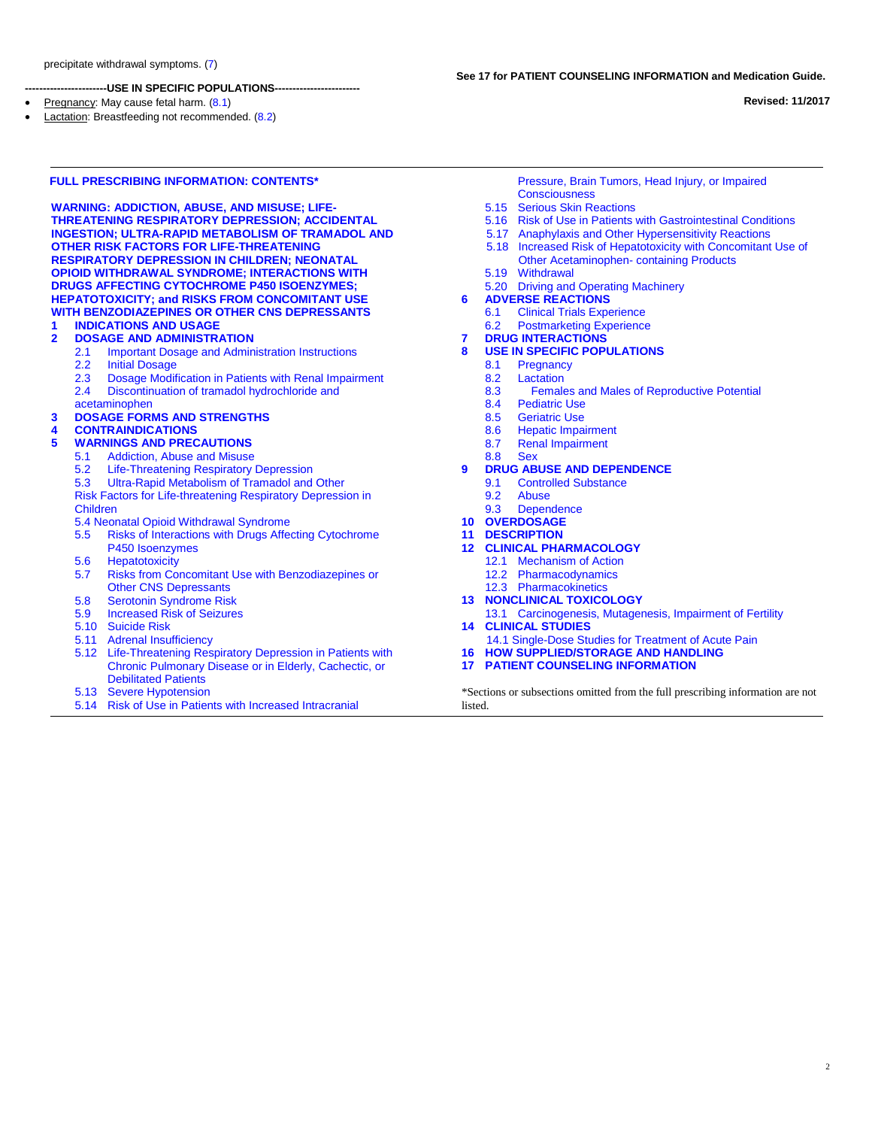-- USE IN SPECIFIC POPULATIONS--

- Pregnancy: May cause fetal harm. [\(8.1\)](#page-18-0)
- **Lactation:** Breastfeeding not recommended. [\(8.2\)](#page-20-0)

**See 17 for PATIENT COUNSELING INFORMATION and Medication Guide.**

**Revised: 11/2017**

#### <span id="page-1-0"></span>**[FULL PRESCRIBING INFORMATION: CONTENTS\\*](#page-1-0)**

**[WARNING: ADDICTION, ABUSE, AND MISUSE; LIFE-](#page-2-0)[THREATENING RESPIRATORY DEPRESSION; ACCIDENTAL](#page-2-0)  [INGESTION; ULTRA-RAPID METABOLISM OF TRAMADOL AND](#page-2-0)  [OTHER RISK FACTORS FOR LIFE-THREATENING](#page-2-0)  [RESPIRATORY DEPRESSION IN CHILDREN;](#page-2-0) NEONATAL [OPIOID WITHDRAWAL SYNDROME; INTERACTIONS WITH](#page-2-0)  [DRUGS AFFECTING CYTOCHROME P450 ISOENZYMES;](#page-2-0)  [HEPATOTOXICITY; and RISKS FROM CONCOMITANT USE](#page-2-0)  [WITH BENZODIAZEPINES OR OTHER CNS DEPRESSANTS](#page-2-0) 1 [INDICATIONS AND USAGE](#page-3-0)**

# **2.1 Important Dosage and Admin**

- 2.1 [Important Dosage and Administration Instructions](#page-3-2)<br>2.2 Initial Dosage
- 2.2 [Initial Dosage](#page-4-1)<br>2.3 Dosage Modif
- [2.3 Dosage Modification in Patients with Renal Impairment](#page-4-2)<br>2.4 Discontinuation of tramadol hydrochloride and
- Discontinuation of tramadol hydrochloride and
- [acetaminophen](#page-4-3)

#### **3 [DOSAGE FORMS AND STRENGTHS](#page-4-4)**

**4 [CONTRAINDICATIONS](#page-4-0)**

## **5 [WARNINGS AND PRECAUTIONS](#page-5-2)**

- 5.1 [Addiction, Abuse and Misuse](#page-5-0)<br>5.2 Life-Threatening Respiratory
	- 5.2 [Life-Threatening Respiratory Depression](#page-5-1)<br>5.3 Ultra-Rapid Metabolism of Tramadol and
	- Ultra-Rapid Metabolism of Tramadol and Other

Risk Factors for Life-threatening Respiratory Depression in Children

- 5.4 [Neonatal Opioid Withdrawal Syndrome](#page-6-0)<br>5.5 Risks of Interactions with Drugs Affe
- [Risks of Interactions with Drugs Affecting](#page-7-1) Cytochrome [P450 Isoenzymes](#page-7-1)
- 5.6 [Hepatotoxicity](#page-8-1)
- 5.7 [Risks from Concomitant Use with](#page-8-0) [Benzodiazepines or](#page-8-0)  [Other CNS Depressants](#page-8-0)
- 5.8 [Serotonin Syndrome Risk](#page-9-0)<br>5.9 Increased Risk of Seizure
- [Increased Risk of Seizures](#page-9-1)
- 5.10 [Suicide Risk](#page-9-2)
- [Adrenal Insufficiency](#page-10-0)
- 5.12 [Life-Threatening Respiratory Depression in](#page-10-1) [Patients with](#page-10-1)  [Chronic Pulmonary Disease or in](#page-10-1) [Elderly, Cachectic, or](#page-10-1)  [Debilitated Patients](#page-10-1)
- 5.13 [Severe Hypotension](#page-10-2)<br>5.14 Risk of Use in Patien
- [Risk of Use in Patients with Increased Intracranial](#page-10-3)

[Pressure, Brain Tumors, Head Injury, or Impaired](#page-10-3) **[Consciousness](#page-10-3)** 

- 5.15 [Serious Skin Reactions](#page-11-1)
- 5.16 [Risk of Use in Patients with Gastrointestinal](#page-11-2) [Conditions](#page-11-2)<br>5.17 Anaphylaxis and Other Hypersensitivity Reactions
- 5.17 [Anaphylaxis and Other Hypersensitivity](#page-11-3) [Reactions](#page-11-3)
- 5.18 [Increased Risk of Hepatotoxicity with](#page-11-0) [Concomitant Use of](#page-11-0)  [Other Acetaminophen-](#page-11-0) [containing Products](#page-11-0)
- 5.19 [Withdrawal](#page-11-4)
- 5.20 [Driving and Operating Machinery](#page-12-1)
- **6 [ADVERSE REACTIONS](#page-12-0)**<br>6.1 **Clinical Trials Expe** 
	- **[Clinical Trials Experience](#page-12-2)**
	- 6.2 [Postmarketing Experience](#page-14-0)
- **7 [DRUG INTERACTIONS](#page-15-0)**
- **8 [USE IN SPECIFIC POPULATIONS](#page-18-1)**
	- 8.1 [Pregnancy](#page-18-0)<br>8.2 Lactation
	- 8.2 [Lactation](#page-20-0)<br>8.3 Female
		- 8.3 [Females and Males of Reproductive Potential](#page-20-1)
	- 8.4 [Pediatric Use](#page-20-2)
	-
	- 8.5 [Geriatric Use](#page-21-0)<br>8.6 Hepatic Impa
	- 8.6 [Hepatic Impairment](#page-21-1)<br>8.7 Renal Impairment [Renal Impairment](#page-21-2)
	- 8.8 [Sex](#page-22-0)

# **9 [DRUG ABUSE AND DEPENDENCE](#page-22-1)**<br>9.1 Controlled Substance

- 9.1 [Controlled Substance](#page-22-2)<br>9.2 Abuse
- 9.2 [Abuse](#page-22-3)<br>9.3 Depen
- **[Dependence](#page-23-0)**
- **10 [OVERDOSAGE](#page-23-1)**
- **11 [DESCRIPTION](#page-25-0)**

#### **12 [CLINICAL PHARMACOLOGY](#page-26-0)**

- 12.1 [Mechanism of Action](#page-26-1)
- 12.2 [Pharmacodynamics](#page-27-0)
- 12.3 [Pharmacokinetics](#page-28-0)
- **13 [NONCLINICAL TOXICOLOGY](#page-31-0)**
- 13.1 [Carcinogenesis, Mutagenesis, Impairment of](#page-31-1) [Fertility](#page-31-1) **14 [CLINICAL STUDIES](#page-33-0)**
- 
- 14.[1 Single-Dose Studies for Treatment of Acute Pain](#page-33-1)
- **16 [HOW SUPPLIED/STORAGE AND HANDLING](#page-33-2)**
- **17 [PATIENT COUNSELING INFORMATION](#page-33-3)**

\*Sections or subsections omitted from the full prescribing information are not listed.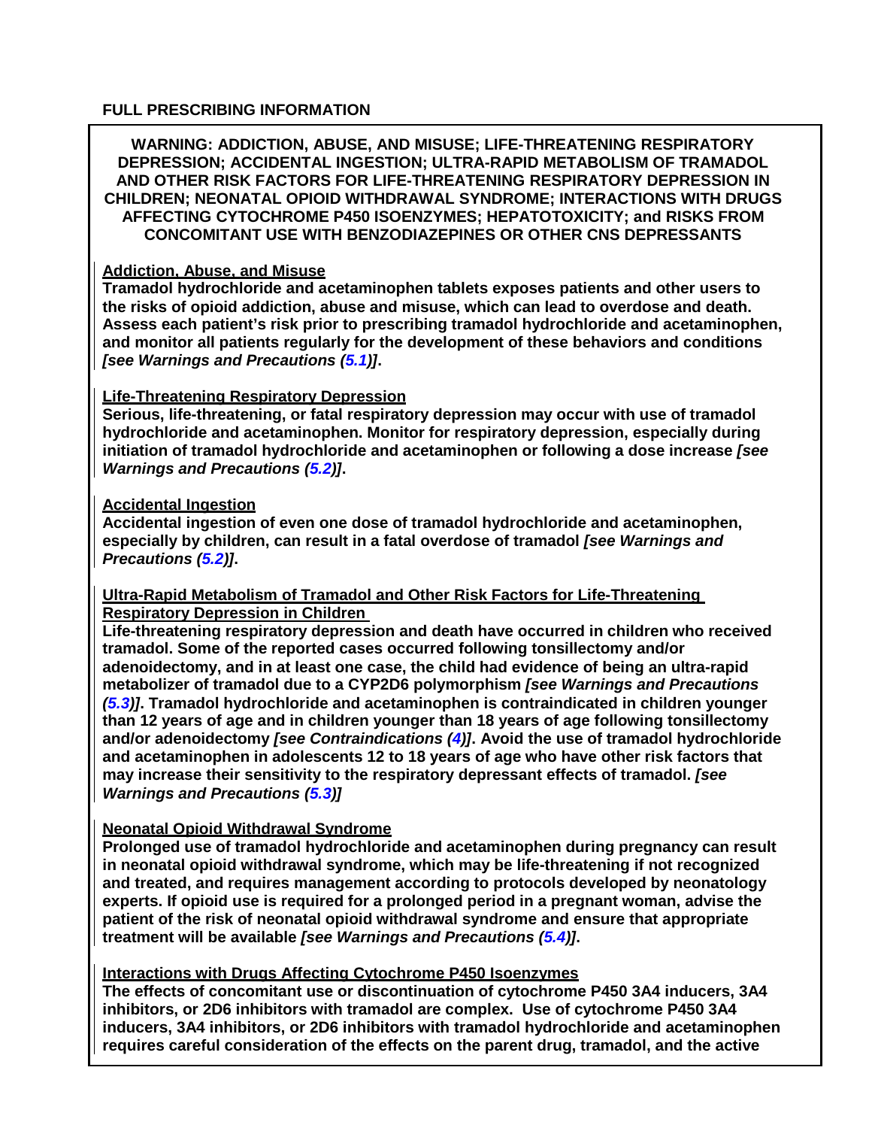#### **FULL PRESCRIBING INFORMATION**

<span id="page-2-0"></span>**WARNING: ADDICTION, ABUSE, AND MISUSE; LIFE-THREATENING RESPIRATORY DEPRESSION; ACCIDENTAL INGESTION; ULTRA-RAPID METABOLISM OF TRAMADOL AND OTHER RISK FACTORS FOR LIFE-THREATENING RESPIRATORY DEPRESSION IN CHILDREN; NEONATAL OPIOID WITHDRAWAL SYNDROME; INTERACTIONS WITH DRUGS AFFECTING CYTOCHROME P450 ISOENZYMES; HEPATOTOXICITY; and RISKS FROM CONCOMITANT USE WITH BENZODIAZEPINES OR OTHER CNS DEPRESSANTS**

#### **Addiction, Abuse, and Misuse**

**Tramadol hydrochloride and acetaminophen tablets exposes patients and other users to the risks of opioid addiction, abuse and misuse, which can lead to overdose and death. Assess each patient's risk prior to prescribing tramadol hydrochloride and acetaminophen, and monitor all patients regularly for the development of these behaviors and conditions**  *[see Warnings and Precautions [\(5.1\)](#page-5-0)]***.**

## **Life-Threatening Respiratory Depression**

**Serious, life-threatening, or fatal respiratory depression may occur with use of tramadol hydrochloride and acetaminophen. Monitor for respiratory depression, especially during initiation of tramadol hydrochloride and acetaminophen or following a dose increase** *[see Warnings and Precautions [\(5.2\)](#page-5-1)]***.**

#### **Accidental Ingestion**

**Accidental ingestion of even one dose of tramadol hydrochloride and acetaminophen, especially by children, can result in a fatal overdose of tramadol** *[see Warnings and Precautions [\(5.2\)](#page-5-1)]***.**

#### **Ultra-Rapid Metabolism of Tramadol and Other Risk Factors for Life-Threatening Respiratory Depression in Children**

**Life-threatening respiratory depression and death have occurred in children who received tramadol. Some of the reported cases occurred following tonsillectomy and/or adenoidectomy, and in at least one case, the child had evidence of being an ultra-rapid metabolizer of tramadol due to a CYP2D6 polymorphism** *[see Warnings and Precautions [\(5.3\)](#page-6-0)]***. Tramadol hydrochloride and acetaminophen is contraindicated in children younger than 12 years of age and in children younger than 18 years of age following tonsillectomy and/or adenoidectomy** *[see Contraindications [\(4\)](#page-4-0)]***. Avoid the use of tramadol hydrochloride and acetaminophen in adolescents 12 to 18 years of age who have other risk factors that may increase their sensitivity to the respiratory depressant effects of tramadol.** *[see Warnings and Precautions [\(5.3\)](#page-6-0)]*

## **Neonatal Opioid Withdrawal Syndrome**

**Prolonged use of tramadol hydrochloride and acetaminophen during pregnancy can result in neonatal opioid withdrawal syndrome, which may be life-threatening if not recognized and treated, and requires management according to protocols developed by neonatology experts. If opioid use is required for a prolonged period in a pregnant woman, advise the patient of the risk of neonatal opioid withdrawal syndrome and ensure that appropriate treatment will be available** *[see Warnings and Precautions [\(5.4\)](#page-7-0)]***.**

## **Interactions with Drugs Affecting Cytochrome P450 Isoenzymes**

**The effects of concomitant use or discontinuation of cytochrome P450 3A4 inducers, 3A4 inhibitors, or 2D6 inhibitors with tramadol are complex. Use of cytochrome P450 3A4 inducers, 3A4 inhibitors, or 2D6 inhibitors with tramadol hydrochloride and acetaminophen requires careful consideration of the effects on the parent drug, tramadol, and the active**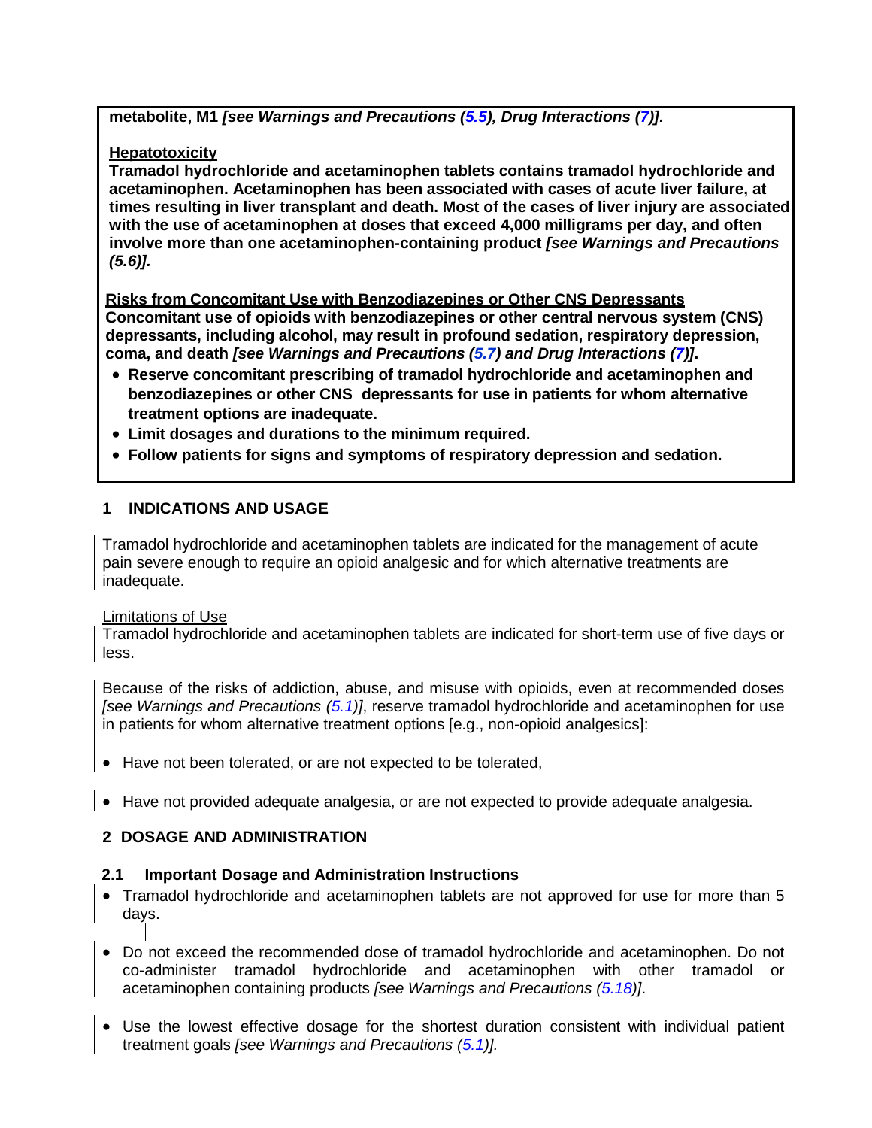**metabolite, M1** *[see Warnings and Precautions [\(5.5\)](#page-7-1), Drug Interactions [\(7\)](#page-15-0)].*

## **Hepatotoxicity**

**Tramadol hydrochloride and acetaminophen tablets contains tramadol hydrochloride and acetaminophen. Acetaminophen has been associated with cases of acute liver failure, at times resulting in liver transplant and death. Most of the cases of liver injury are associated with the use of acetaminophen at doses that exceed 4,000 milligrams per day, and often involve more than one acetaminophen-containing product** *[see Warnings and Precautions (5.6)].*

**Risks from Concomitant Use with Benzodiazepines or Other CNS Depressants Concomitant use of opioids with benzodiazepines or other central nervous system (CNS) depressants, including alcohol, may result in profound sedation, respiratory depression, coma, and death** *[see Warnings and Precautions (5.7) and Drug Interactions [\(7\)](#page-15-0)]***.**

- **Reserve concomitant prescribing of tramadol hydrochloride and acetaminophen and benzodiazepines or other CNS depressants for use in patients for whom alternative treatment options are inadequate.**
- **Limit dosages and durations to the minimum required.**
- **Follow patients for signs and symptoms of respiratory depression and sedation.**

## <span id="page-3-0"></span>**1 INDICATIONS AND USAGE**

Tramadol hydrochloride and acetaminophen tablets are indicated for the management of acute pain severe enough to require an opioid analgesic and for which alternative treatments are inadequate.

## Limitations of Use

Tramadol hydrochloride and acetaminophen tablets are indicated for short-term use of five days or less.

Because of the risks of addiction, abuse, and misuse with opioids, even at recommended doses *[see Warnings and Precautions [\(5.1\)](#page-5-0)]*, reserve tramadol hydrochloride and acetaminophen for use in patients for whom alternative treatment options [e.g., non-opioid analgesics]:

- Have not been tolerated, or are not expected to be tolerated,
- Have not provided adequate analgesia, or are not expected to provide adequate analgesia.

## <span id="page-3-1"></span>**2 DOSAGE AND ADMINISTRATION**

## <span id="page-3-2"></span>**2.1 Important Dosage and Administration Instructions**

- Tramadol hydrochloride and acetaminophen tablets are not approved for use for more than 5 days.
- Do not exceed the recommended dose of tramadol hydrochloride and acetaminophen. Do not co-administer tramadol hydrochloride and acetaminophen with other tramadol or acetaminophen containing products *[see Warnings and Precautions [\(5.18\)](#page-11-0)]*.
- Use the lowest effective dosage for the shortest duration consistent with individual patient treatment goals *[see Warnings and Precautions [\(5.1\)](#page-5-0)].*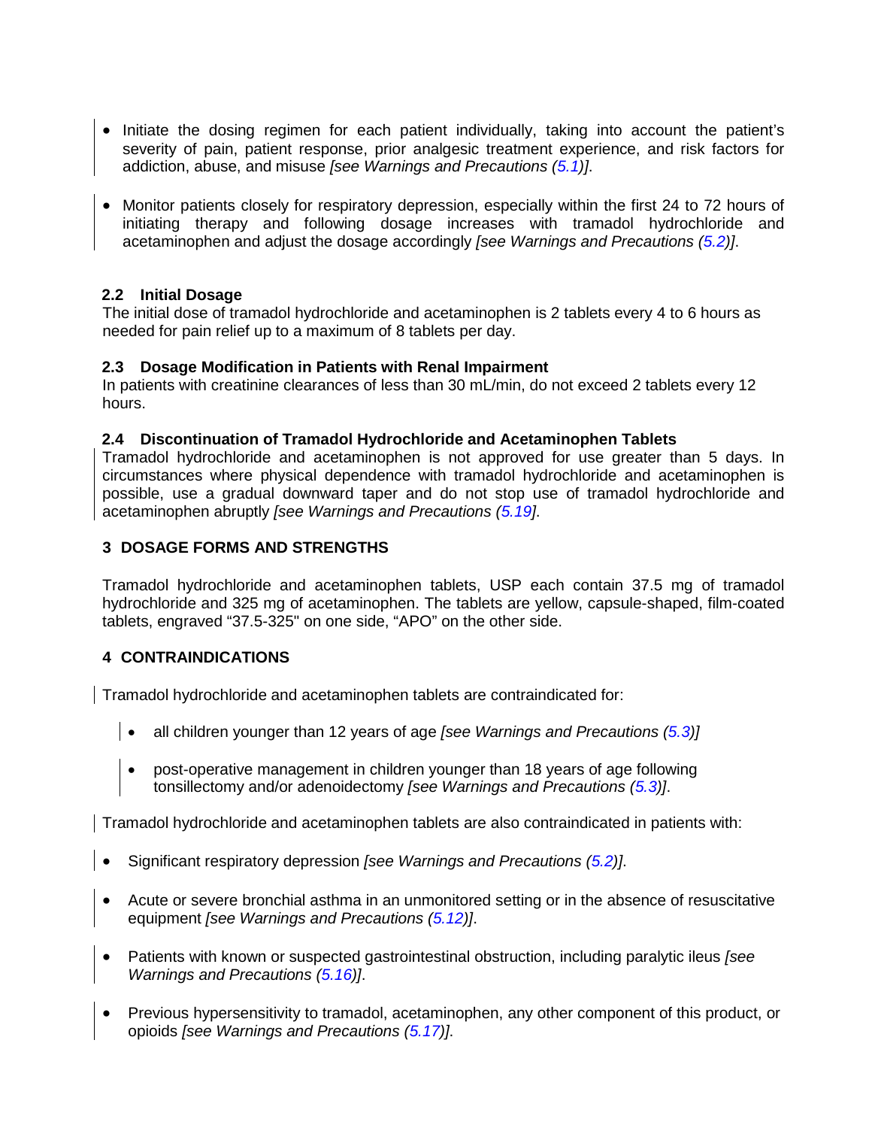- Initiate the dosing regimen for each patient individually, taking into account the patient's severity of pain, patient response, prior analgesic treatment experience, and risk factors for addiction, abuse, and misuse *[see Warnings and Precautions [\(5.1\)](#page-5-0)]*.
- Monitor patients closely for respiratory depression, especially within the first 24 to 72 hours of initiating therapy and following dosage increases with tramadol hydrochloride and acetaminophen and adjust the dosage accordingly *[see Warnings and Precautions [\(5.2\)](#page-5-1)]*.

## <span id="page-4-1"></span>**2.2 Initial Dosage**

The initial dose of tramadol hydrochloride and acetaminophen is 2 tablets every 4 to 6 hours as needed for pain relief up to a maximum of 8 tablets per day.

#### <span id="page-4-2"></span>**2.3 Dosage Modification in Patients with Renal Impairment**

In patients with creatinine clearances of less than 30 mL/min, do not exceed 2 tablets every 12 hours.

#### <span id="page-4-3"></span>**2.4 Discontinuation of Tramadol Hydrochloride and Acetaminophen Tablets**

Tramadol hydrochloride and acetaminophen is not approved for use greater than 5 days. In circumstances where physical dependence with tramadol hydrochloride and acetaminophen is possible, use a gradual downward taper and do not stop use of tramadol hydrochloride and acetaminophen abruptly *[see Warnings and Precautions [\(5.19\]](#page-11-4)*.

## <span id="page-4-4"></span>**3 DOSAGE FORMS AND STRENGTHS**

Tramadol hydrochloride and acetaminophen tablets, USP each contain 37.5 mg of tramadol hydrochloride and 325 mg of acetaminophen. The tablets are yellow, capsule-shaped, film-coated tablets, engraved "37.5-325" on one side, "APO" on the other side.

## <span id="page-4-0"></span>**4 CONTRAINDICATIONS**

Tramadol hydrochloride and acetaminophen tablets are contraindicated for:

- all children younger than 12 years of age *[see Warnings and Precautions [\(5.3\)](#page-6-0)]*
- post-operative management in children younger than 18 years of age following tonsillectomy and/or adenoidectomy *[see Warnings and Precautions [\(5.3\)](#page-6-0)]*.

Tramadol hydrochloride and acetaminophen tablets are also contraindicated in patients with:

- Significant respiratory depression *[see Warnings and Precautions [\(5.2\)](#page-5-1)]*.
- Acute or severe bronchial asthma in an unmonitored setting or in the absence of resuscitative equipment *[see Warnings and Precautions [\(5.12\)](#page-10-1)]*.
- Patients with known or suspected gastrointestinal obstruction, including paralytic ileus *[see Warnings and Precautions [\(5.16\)](#page-11-2)]*.
- Previous hypersensitivity to tramadol, acetaminophen, any other component of this product, or opioids *[see Warnings and Precautions [\(5.17\)](#page-11-3)]*.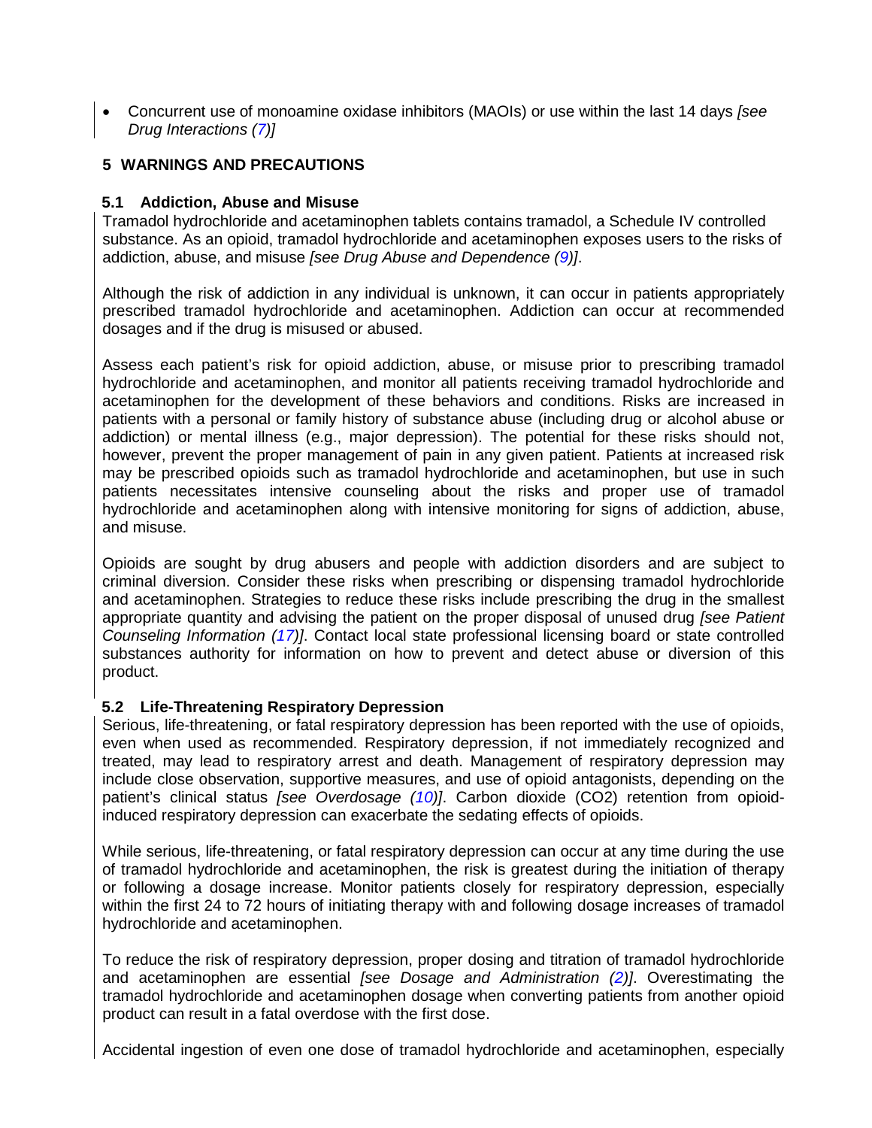• Concurrent use of monoamine oxidase inhibitors (MAOIs) or use within the last 14 days *[see Drug Interactions [\(7\)](#page-15-0)]*

## <span id="page-5-2"></span>**5 WARNINGS AND PRECAUTIONS**

## <span id="page-5-0"></span>**5.1 Addiction, Abuse and Misuse**

Tramadol hydrochloride and acetaminophen tablets contains tramadol, a Schedule IV controlled substance. As an opioid, tramadol hydrochloride and acetaminophen exposes users to the risks of addiction, abuse, and misuse *[see Drug Abuse and Dependence [\(9\)](#page-22-1)]*.

Although the risk of addiction in any individual is unknown, it can occur in patients appropriately prescribed tramadol hydrochloride and acetaminophen. Addiction can occur at recommended dosages and if the drug is misused or abused.

Assess each patient's risk for opioid addiction, abuse, or misuse prior to prescribing tramadol hydrochloride and acetaminophen, and monitor all patients receiving tramadol hydrochloride and acetaminophen for the development of these behaviors and conditions. Risks are increased in patients with a personal or family history of substance abuse (including drug or alcohol abuse or addiction) or mental illness (e.g., major depression). The potential for these risks should not, however, prevent the proper management of pain in any given patient. Patients at increased risk may be prescribed opioids such as tramadol hydrochloride and acetaminophen, but use in such patients necessitates intensive counseling about the risks and proper use of tramadol hydrochloride and acetaminophen along with intensive monitoring for signs of addiction, abuse, and misuse.

Opioids are sought by drug abusers and people with addiction disorders and are subject to criminal diversion. Consider these risks when prescribing or dispensing tramadol hydrochloride and acetaminophen. Strategies to reduce these risks include prescribing the drug in the smallest appropriate quantity and advising the patient on the proper disposal of unused drug *[see Patient Counseling Information [\(17\)](#page-33-3)]*. Contact local state professional licensing board or state controlled substances authority for information on how to prevent and detect abuse or diversion of this product.

## <span id="page-5-1"></span>**5.2 Life-Threatening Respiratory Depression**

Serious, life-threatening, or fatal respiratory depression has been reported with the use of opioids, even when used as recommended. Respiratory depression, if not immediately recognized and treated, may lead to respiratory arrest and death. Management of respiratory depression may include close observation, supportive measures, and use of opioid antagonists, depending on the patient's clinical status *[see Overdosage [\(10\)](#page-23-1)]*. Carbon dioxide (CO2) retention from opioidinduced respiratory depression can exacerbate the sedating effects of opioids.

While serious, life-threatening, or fatal respiratory depression can occur at any time during the use of tramadol hydrochloride and acetaminophen, the risk is greatest during the initiation of therapy or following a dosage increase. Monitor patients closely for respiratory depression, especially within the first 24 to 72 hours of initiating therapy with and following dosage increases of tramadol hydrochloride and acetaminophen.

To reduce the risk of respiratory depression, proper dosing and titration of tramadol hydrochloride and acetaminophen are essential *[see Dosage and Administration [\(2\)](#page-3-1)]*. Overestimating the tramadol hydrochloride and acetaminophen dosage when converting patients from another opioid product can result in a fatal overdose with the first dose.

Accidental ingestion of even one dose of tramadol hydrochloride and acetaminophen, especially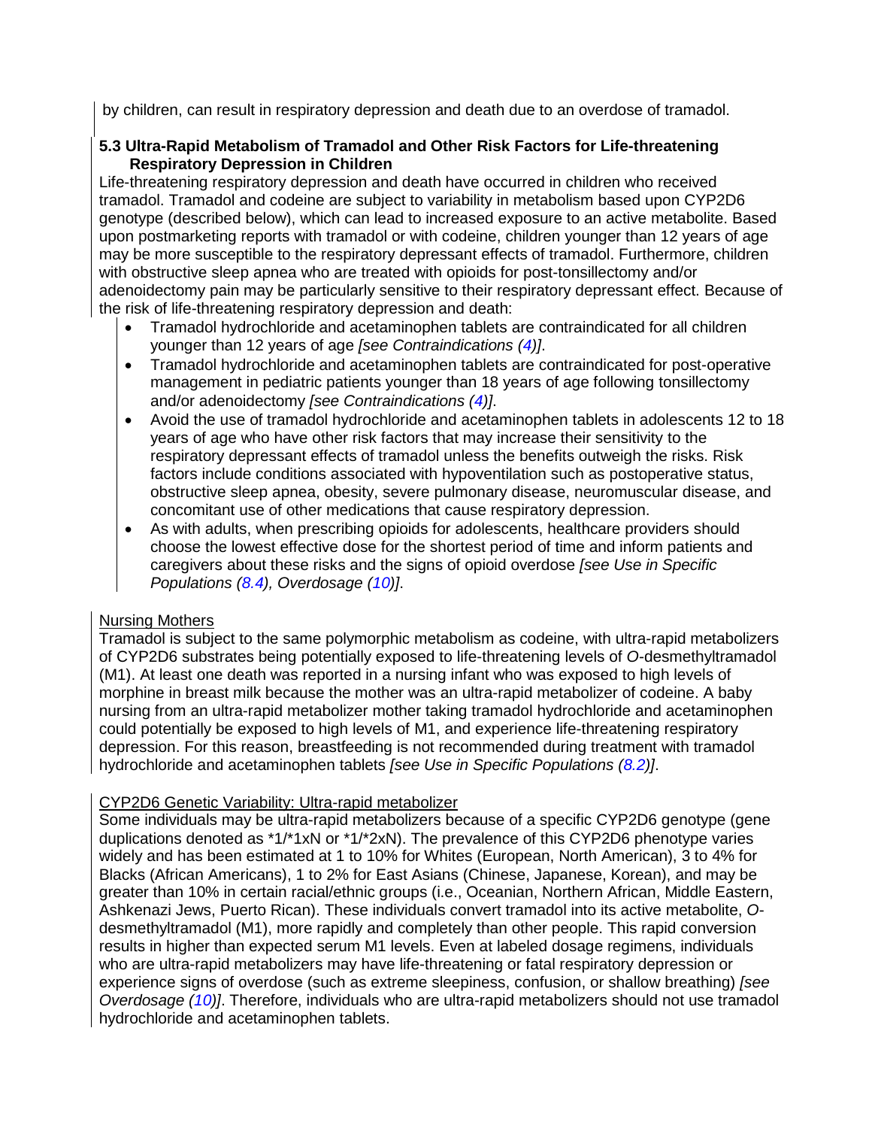by children, can result in respiratory depression and death due to an overdose of tramadol.

## <span id="page-6-0"></span>**5.3 Ultra-Rapid Metabolism of Tramadol and Other Risk Factors for Life-threatening Respiratory Depression in Children**

Life-threatening respiratory depression and death have occurred in children who received tramadol. Tramadol and codeine are subject to variability in metabolism based upon CYP2D6 genotype (described below), which can lead to increased exposure to an active metabolite. Based upon postmarketing reports with tramadol or with codeine, children younger than 12 years of age may be more susceptible to the respiratory depressant effects of tramadol. Furthermore, children with obstructive sleep apnea who are treated with opioids for post-tonsillectomy and/or adenoidectomy pain may be particularly sensitive to their respiratory depressant effect. Because of the risk of life-threatening respiratory depression and death:

- Tramadol hydrochloride and acetaminophen tablets are contraindicated for all children younger than 12 years of age *[see Contraindications [\(4\)](#page-4-0)]*.
- Tramadol hydrochloride and acetaminophen tablets are contraindicated for post-operative management in pediatric patients younger than 18 years of age following tonsillectomy and/or adenoidectomy *[see Contraindications [\(4\)](#page-4-0)]*.
- Avoid the use of tramadol hydrochloride and acetaminophen tablets in adolescents 12 to 18 years of age who have other risk factors that may increase their sensitivity to the respiratory depressant effects of tramadol unless the benefits outweigh the risks. Risk factors include conditions associated with hypoventilation such as postoperative status, obstructive sleep apnea, obesity, severe pulmonary disease, neuromuscular disease, and concomitant use of other medications that cause respiratory depression.
- As with adults, when prescribing opioids for adolescents, healthcare providers should choose the lowest effective dose for the shortest period of time and inform patients and caregivers about these risks and the signs of opioid overdose *[see Use in Specific Populations [\(8.4\)](#page-20-2), Overdosage [\(10\)](#page-23-1)]*.

## Nursing Mothers

Tramadol is subject to the same polymorphic metabolism as codeine, with ultra-rapid metabolizers of CYP2D6 substrates being potentially exposed to life-threatening levels of *O*-desmethyltramadol (M1). At least one death was reported in a nursing infant who was exposed to high levels of morphine in breast milk because the mother was an ultra-rapid metabolizer of codeine. A baby nursing from an ultra-rapid metabolizer mother taking tramadol hydrochloride and acetaminophen could potentially be exposed to high levels of M1, and experience life-threatening respiratory depression. For this reason, breastfeeding is not recommended during treatment with tramadol hydrochloride and acetaminophen tablets *[see Use in Specific Populations [\(8.2\)](#page-20-0)]*.

## CYP2D6 Genetic Variability: Ultra-rapid metabolizer

Some individuals may be ultra-rapid metabolizers because of a specific CYP2D6 genotype (gene duplications denoted as \*1/\*1xN or \*1/\*2xN). The prevalence of this CYP2D6 phenotype varies widely and has been estimated at 1 to 10% for Whites (European, North American), 3 to 4% for Blacks (African Americans), 1 to 2% for East Asians (Chinese, Japanese, Korean), and may be greater than 10% in certain racial/ethnic groups (i.e., Oceanian, Northern African, Middle Eastern, Ashkenazi Jews, Puerto Rican). These individuals convert tramadol into its active metabolite, *O*desmethyltramadol (M1), more rapidly and completely than other people. This rapid conversion results in higher than expected serum M1 levels. Even at labeled dosage regimens, individuals who are ultra-rapid metabolizers may have life-threatening or fatal respiratory depression or experience signs of overdose (such as extreme sleepiness, confusion, or shallow breathing) *[see Overdosage [\(10\)](#page-23-1)]*. Therefore, individuals who are ultra-rapid metabolizers should not use tramadol hydrochloride and acetaminophen tablets.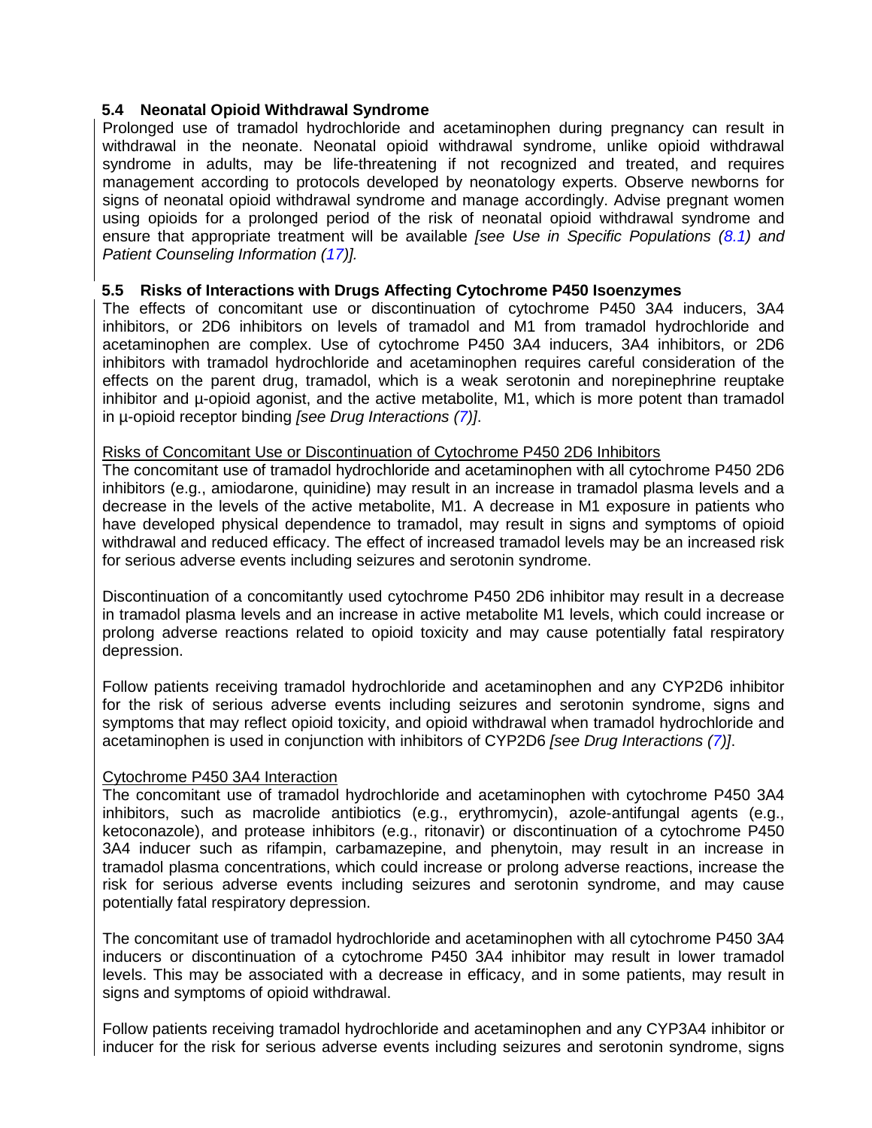## <span id="page-7-0"></span>**5.4 Neonatal Opioid Withdrawal Syndrome**

Prolonged use of tramadol hydrochloride and acetaminophen during pregnancy can result in withdrawal in the neonate. Neonatal opioid withdrawal syndrome, unlike opioid withdrawal syndrome in adults, may be life-threatening if not recognized and treated, and requires management according to protocols developed by neonatology experts. Observe newborns for signs of neonatal opioid withdrawal syndrome and manage accordingly. Advise pregnant women using opioids for a prolonged period of the risk of neonatal opioid withdrawal syndrome and ensure that appropriate treatment will be available *[see Use in Specific Populations [\(8.1\)](#page-18-0) and Patient Counseling Information [\(17\)](#page-33-3)].*

## <span id="page-7-1"></span>**5.5 Risks of Interactions with Drugs Affecting Cytochrome P450 Isoenzymes**

The effects of concomitant use or discontinuation of cytochrome P450 3A4 inducers, 3A4 inhibitors, or 2D6 inhibitors on levels of tramadol and M1 from tramadol hydrochloride and acetaminophen are complex. Use of cytochrome P450 3A4 inducers, 3A4 inhibitors, or 2D6 inhibitors with tramadol hydrochloride and acetaminophen requires careful consideration of the effects on the parent drug, tramadol, which is a weak serotonin and norepinephrine reuptake inhibitor and µ-opioid agonist, and the active metabolite, M1, which is more potent than tramadol in µ-opioid receptor binding *[see Drug Interactions [\(7\)](#page-15-0)]*.

## Risks of Concomitant Use or Discontinuation of Cytochrome P450 2D6 Inhibitors

The concomitant use of tramadol hydrochloride and acetaminophen with all cytochrome P450 2D6 inhibitors (e.g., amiodarone, quinidine) may result in an increase in tramadol plasma levels and a decrease in the levels of the active metabolite, M1. A decrease in M1 exposure in patients who have developed physical dependence to tramadol, may result in signs and symptoms of opioid withdrawal and reduced efficacy. The effect of increased tramadol levels may be an increased risk for serious adverse events including seizures and serotonin syndrome.

Discontinuation of a concomitantly used cytochrome P450 2D6 inhibitor may result in a decrease in tramadol plasma levels and an increase in active metabolite M1 levels, which could increase or prolong adverse reactions related to opioid toxicity and may cause potentially fatal respiratory depression.

Follow patients receiving tramadol hydrochloride and acetaminophen and any CYP2D6 inhibitor for the risk of serious adverse events including seizures and serotonin syndrome, signs and symptoms that may reflect opioid toxicity, and opioid withdrawal when tramadol hydrochloride and acetaminophen is used in conjunction with inhibitors of CYP2D6 *[see Drug Interactions [\(7\)](#page-15-0)]*.

## Cytochrome P450 3A4 Interaction

The concomitant use of tramadol hydrochloride and acetaminophen with cytochrome P450 3A4 inhibitors, such as macrolide antibiotics (e.g., erythromycin), azole-antifungal agents (e.g., ketoconazole), and protease inhibitors (e.g., ritonavir) or discontinuation of a cytochrome P450 3A4 inducer such as rifampin, carbamazepine, and phenytoin, may result in an increase in tramadol plasma concentrations, which could increase or prolong adverse reactions, increase the risk for serious adverse events including seizures and serotonin syndrome, and may cause potentially fatal respiratory depression.

The concomitant use of tramadol hydrochloride and acetaminophen with all cytochrome P450 3A4 inducers or discontinuation of a cytochrome P450 3A4 inhibitor may result in lower tramadol levels. This may be associated with a decrease in efficacy, and in some patients, may result in signs and symptoms of opioid withdrawal.

Follow patients receiving tramadol hydrochloride and acetaminophen and any CYP3A4 inhibitor or inducer for the risk for serious adverse events including seizures and serotonin syndrome, signs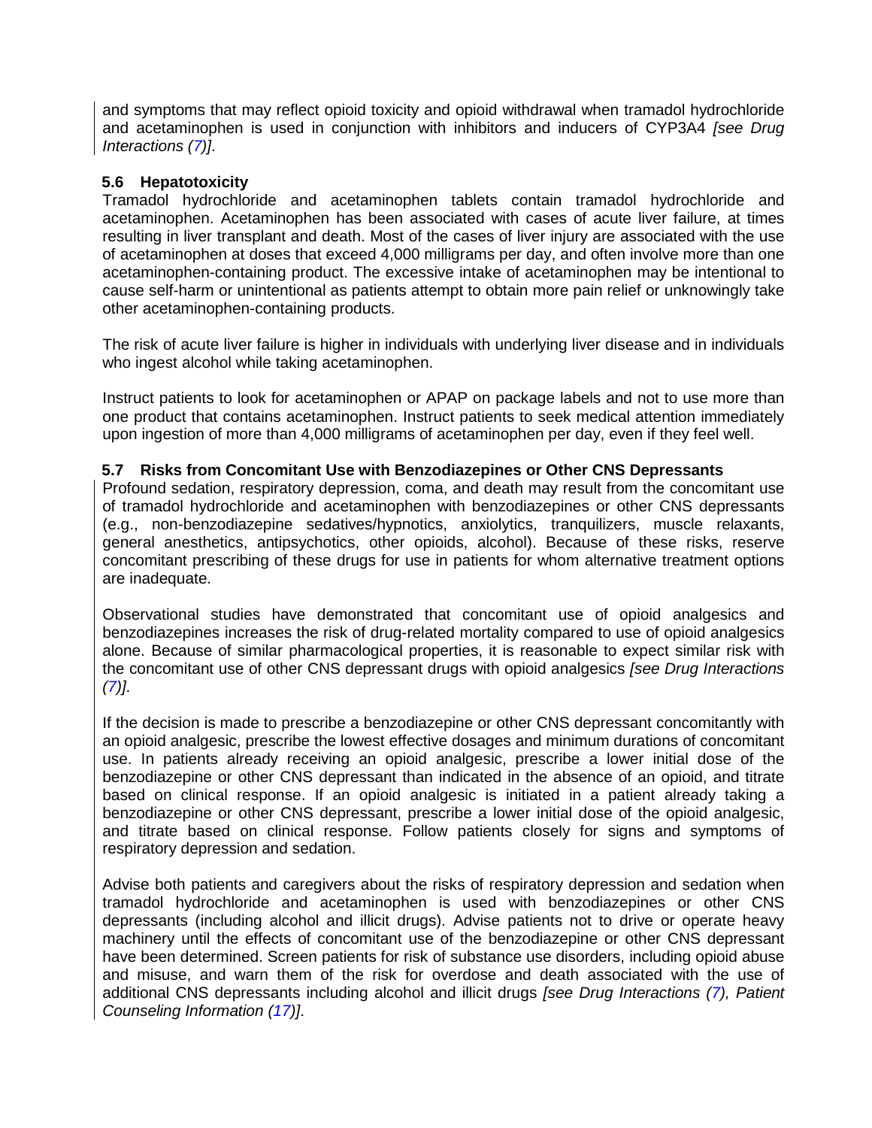and symptoms that may reflect opioid toxicity and opioid withdrawal when tramadol hydrochloride and acetaminophen is used in conjunction with inhibitors and inducers of CYP3A4 *[see Drug Interactions [\(7\)](#page-15-0)]*.

## <span id="page-8-1"></span>**5.6 Hepatotoxicity**

Tramadol hydrochloride and acetaminophen tablets contain tramadol hydrochloride and acetaminophen. Acetaminophen has been associated with cases of acute liver failure, at times resulting in liver transplant and death. Most of the cases of liver injury are associated with the use of acetaminophen at doses that exceed 4,000 milligrams per day, and often involve more than one acetaminophen-containing product. The excessive intake of acetaminophen may be intentional to cause self-harm or unintentional as patients attempt to obtain more pain relief or unknowingly take other acetaminophen-containing products.

The risk of acute liver failure is higher in individuals with underlying liver disease and in individuals who ingest alcohol while taking acetaminophen.

Instruct patients to look for acetaminophen or APAP on package labels and not to use more than one product that contains acetaminophen. Instruct patients to seek medical attention immediately upon ingestion of more than 4,000 milligrams of acetaminophen per day, even if they feel well.

## <span id="page-8-0"></span>**5.7 Risks from Concomitant Use with Benzodiazepines or Other CNS Depressants**

Profound sedation, respiratory depression, coma, and death may result from the concomitant use of tramadol hydrochloride and acetaminophen with benzodiazepines or other CNS depressants (e.g., non-benzodiazepine sedatives/hypnotics, anxiolytics, tranquilizers, muscle relaxants, general anesthetics, antipsychotics, other opioids, alcohol). Because of these risks, reserve concomitant prescribing of these drugs for use in patients for whom alternative treatment options are inadequate.

Observational studies have demonstrated that concomitant use of opioid analgesics and benzodiazepines increases the risk of drug-related mortality compared to use of opioid analgesics alone. Because of similar pharmacological properties, it is reasonable to expect similar risk with the concomitant use of other CNS depressant drugs with opioid analgesics *[see Drug Interactions [\(7\)](#page-15-0)]*.

If the decision is made to prescribe a benzodiazepine or other CNS depressant concomitantly with an opioid analgesic, prescribe the lowest effective dosages and minimum durations of concomitant use. In patients already receiving an opioid analgesic, prescribe a lower initial dose of the benzodiazepine or other CNS depressant than indicated in the absence of an opioid, and titrate based on clinical response. If an opioid analgesic is initiated in a patient already taking a benzodiazepine or other CNS depressant, prescribe a lower initial dose of the opioid analgesic, and titrate based on clinical response. Follow patients closely for signs and symptoms of respiratory depression and sedation.

Advise both patients and caregivers about the risks of respiratory depression and sedation when tramadol hydrochloride and acetaminophen is used with benzodiazepines or other CNS depressants (including alcohol and illicit drugs). Advise patients not to drive or operate heavy machinery until the effects of concomitant use of the benzodiazepine or other CNS depressant have been determined. Screen patients for risk of substance use disorders, including opioid abuse and misuse, and warn them of the risk for overdose and death associated with the use of additional CNS depressants including alcohol and illicit drugs *[see Drug Interactions [\(7\)](#page-15-0), Patient Counseling Information [\(17\)](#page-33-3)]*.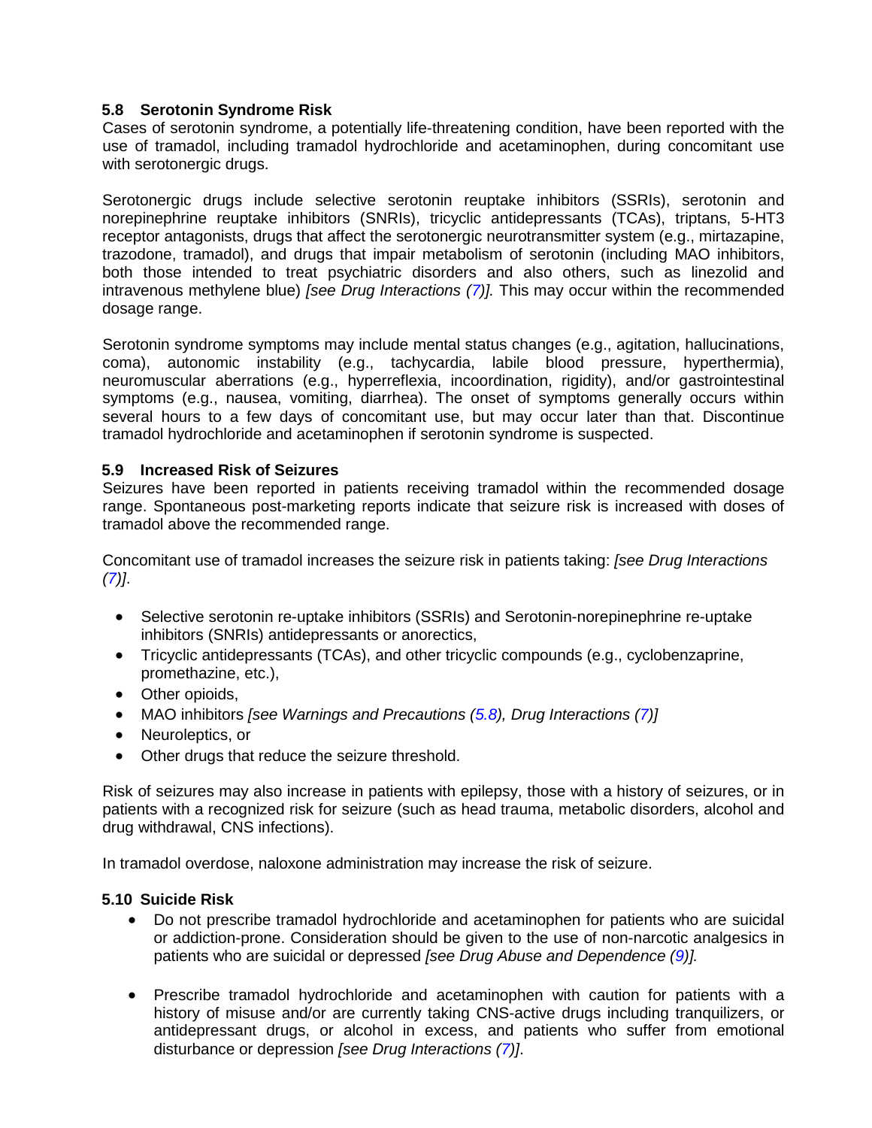## <span id="page-9-0"></span>**5.8 Serotonin Syndrome Risk**

Cases of serotonin syndrome, a potentially life-threatening condition, have been reported with the use of tramadol, including tramadol hydrochloride and acetaminophen, during concomitant use with serotonergic drugs.

Serotonergic drugs include selective serotonin reuptake inhibitors (SSRIs), serotonin and norepinephrine reuptake inhibitors (SNRIs), tricyclic antidepressants (TCAs), triptans, 5-HT3 receptor antagonists, drugs that affect the serotonergic neurotransmitter system (e.g., mirtazapine, trazodone, tramadol), and drugs that impair metabolism of serotonin (including MAO inhibitors, both those intended to treat psychiatric disorders and also others, such as linezolid and intravenous methylene blue) *[see Drug Interactions [\(7\)](#page-15-0)].* This may occur within the recommended dosage range.

Serotonin syndrome symptoms may include mental status changes (e.g., agitation, hallucinations, coma), autonomic instability (e.g., tachycardia, labile blood pressure, hyperthermia), neuromuscular aberrations (e.g., hyperreflexia, incoordination, rigidity), and/or gastrointestinal symptoms (e.g., nausea, vomiting, diarrhea). The onset of symptoms generally occurs within several hours to a few days of concomitant use, but may occur later than that. Discontinue tramadol hydrochloride and acetaminophen if serotonin syndrome is suspected.

## <span id="page-9-1"></span>**5.9 Increased Risk of Seizures**

Seizures have been reported in patients receiving tramadol within the recommended dosage range. Spontaneous post-marketing reports indicate that seizure risk is increased with doses of tramadol above the recommended range.

Concomitant use of tramadol increases the seizure risk in patients taking: *[see Drug Interactions [\(7\)](#page-15-0)]*.

- Selective serotonin re-uptake inhibitors (SSRIs) and Serotonin-norepinephrine re-uptake inhibitors (SNRIs) antidepressants or anorectics,
- Tricyclic antidepressants (TCAs), and other tricyclic compounds (e.g., cyclobenzaprine, promethazine, etc.),
- Other opioids,
- MAO inhibitors *[see Warnings and Precautions [\(5.8\)](#page-9-0), Drug Interactions [\(7\)](#page-15-0)]*
- Neuroleptics, or
- Other drugs that reduce the seizure threshold.

Risk of seizures may also increase in patients with epilepsy, those with a history of seizures, or in patients with a recognized risk for seizure (such as head trauma, metabolic disorders, alcohol and drug withdrawal, CNS infections).

In tramadol overdose, naloxone administration may increase the risk of seizure.

## <span id="page-9-2"></span>**5.10 Suicide Risk**

- Do not prescribe tramadol hydrochloride and acetaminophen for patients who are suicidal or addiction-prone. Consideration should be given to the use of non-narcotic analgesics in patients who are suicidal or depressed *[see Drug Abuse and Dependence [\(9\)](#page-22-1)].*
- Prescribe tramadol hydrochloride and acetaminophen with caution for patients with a history of misuse and/or are currently taking CNS-active drugs including tranquilizers, or antidepressant drugs, or alcohol in excess, and patients who suffer from emotional disturbance or depression *[see Drug Interactions [\(7\)](#page-15-0)]*.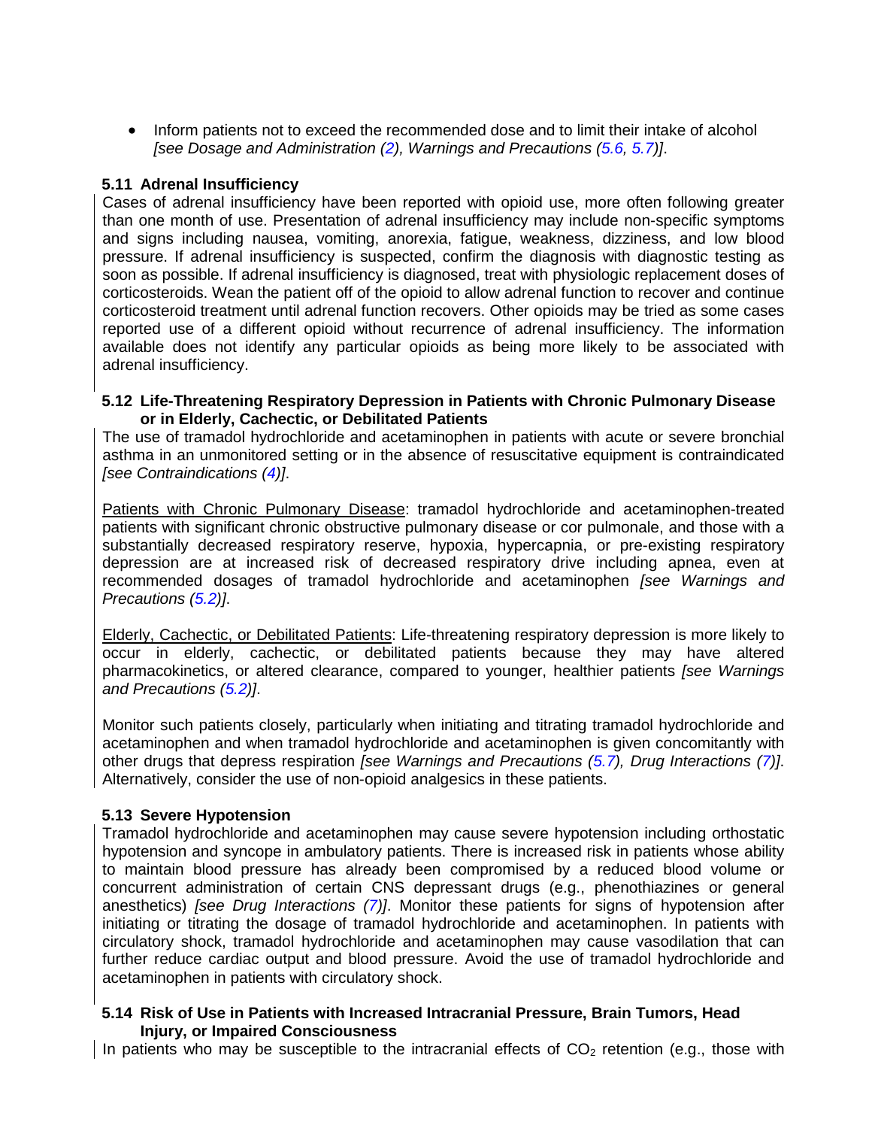• Inform patients not to exceed the recommended dose and to limit their intake of alcohol *[see Dosage and Administration [\(2\)](#page-3-1), Warnings and Precautions [\(5.6, 5.7\)](#page-8-0)]*.

## <span id="page-10-0"></span>**5.11 Adrenal Insufficiency**

Cases of adrenal insufficiency have been reported with opioid use, more often following greater than one month of use. Presentation of adrenal insufficiency may include non-specific symptoms and signs including nausea, vomiting, anorexia, fatigue, weakness, dizziness, and low blood pressure. If adrenal insufficiency is suspected, confirm the diagnosis with diagnostic testing as soon as possible. If adrenal insufficiency is diagnosed, treat with physiologic replacement doses of corticosteroids. Wean the patient off of the opioid to allow adrenal function to recover and continue corticosteroid treatment until adrenal function recovers. Other opioids may be tried as some cases reported use of a different opioid without recurrence of adrenal insufficiency. The information available does not identify any particular opioids as being more likely to be associated with adrenal insufficiency.

#### <span id="page-10-1"></span>**5.12 Life-Threatening Respiratory Depression in Patients with Chronic Pulmonary Disease or in Elderly, Cachectic, or Debilitated Patients**

The use of tramadol hydrochloride and acetaminophen in patients with acute or severe bronchial asthma in an unmonitored setting or in the absence of resuscitative equipment is contraindicated *[see Contraindications [\(4\)](#page-4-0)]*.

Patients with Chronic Pulmonary Disease: tramadol hydrochloride and acetaminophen-treated patients with significant chronic obstructive pulmonary disease or cor pulmonale, and those with a substantially decreased respiratory reserve, hypoxia, hypercapnia, or pre-existing respiratory depression are at increased risk of decreased respiratory drive including apnea, even at recommended dosages of tramadol hydrochloride and acetaminophen *[see Warnings and Precautions [\(5.2\)](#page-5-1)]*.

Elderly, Cachectic, or Debilitated Patients: Life-threatening respiratory depression is more likely to occur in elderly, cachectic, or debilitated patients because they may have altered pharmacokinetics, or altered clearance, compared to younger, healthier patients *[see Warnings and Precautions [\(5.2\)](#page-5-1)]*.

Monitor such patients closely, particularly when initiating and titrating tramadol hydrochloride and acetaminophen and when tramadol hydrochloride and acetaminophen is given concomitantly with other drugs that depress respiration *[see Warnings and Precautions [\(5.7\)](#page-8-0), Drug Interactions [\(7\)](#page-15-0)]*. Alternatively, consider the use of non-opioid analgesics in these patients.

## <span id="page-10-2"></span>**5.13 Severe Hypotension**

Tramadol hydrochloride and acetaminophen may cause severe hypotension including orthostatic hypotension and syncope in ambulatory patients. There is increased risk in patients whose ability to maintain blood pressure has already been compromised by a reduced blood volume or concurrent administration of certain CNS depressant drugs (e.g., phenothiazines or general anesthetics) *[see Drug Interactions [\(7\)](#page-15-0)]*. Monitor these patients for signs of hypotension after initiating or titrating the dosage of tramadol hydrochloride and acetaminophen. In patients with circulatory shock, tramadol hydrochloride and acetaminophen may cause vasodilation that can further reduce cardiac output and blood pressure. Avoid the use of tramadol hydrochloride and acetaminophen in patients with circulatory shock.

## <span id="page-10-3"></span>**5.14 Risk of Use in Patients with Increased Intracranial Pressure, Brain Tumors, Head Injury, or Impaired Consciousness**

In patients who may be susceptible to the intracranial effects of  $CO<sub>2</sub>$  retention (e.g., those with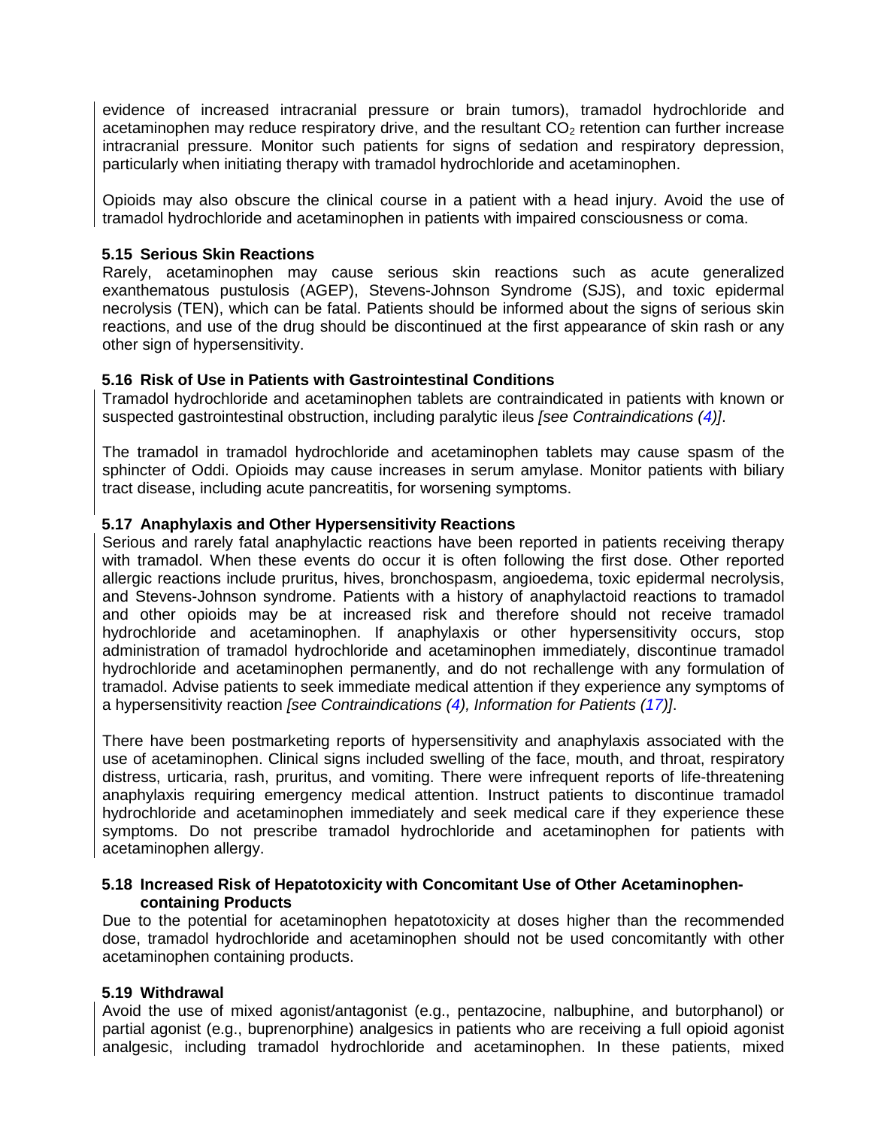evidence of increased intracranial pressure or brain tumors), tramadol hydrochloride and acetaminophen may reduce respiratory drive, and the resultant  $CO<sub>2</sub>$  retention can further increase intracranial pressure. Monitor such patients for signs of sedation and respiratory depression, particularly when initiating therapy with tramadol hydrochloride and acetaminophen.

Opioids may also obscure the clinical course in a patient with a head injury. Avoid the use of tramadol hydrochloride and acetaminophen in patients with impaired consciousness or coma.

## <span id="page-11-1"></span>**5.15 Serious Skin Reactions**

Rarely, acetaminophen may cause serious skin reactions such as acute generalized exanthematous pustulosis (AGEP), Stevens-Johnson Syndrome (SJS), and toxic epidermal necrolysis (TEN), which can be fatal. Patients should be informed about the signs of serious skin reactions, and use of the drug should be discontinued at the first appearance of skin rash or any other sign of hypersensitivity.

## <span id="page-11-2"></span>**5.16 Risk of Use in Patients with Gastrointestinal Conditions**

Tramadol hydrochloride and acetaminophen tablets are contraindicated in patients with known or suspected gastrointestinal obstruction, including paralytic ileus *[see Contraindications [\(4\)](#page-4-0)]*.

The tramadol in tramadol hydrochloride and acetaminophen tablets may cause spasm of the sphincter of Oddi. Opioids may cause increases in serum amylase. Monitor patients with biliary tract disease, including acute pancreatitis, for worsening symptoms.

#### <span id="page-11-3"></span>**5.17 Anaphylaxis and Other Hypersensitivity Reactions**

Serious and rarely fatal anaphylactic reactions have been reported in patients receiving therapy with tramadol. When these events do occur it is often following the first dose. Other reported allergic reactions include pruritus, hives, bronchospasm, angioedema, toxic epidermal necrolysis, and Stevens-Johnson syndrome. Patients with a history of anaphylactoid reactions to tramadol and other opioids may be at increased risk and therefore should not receive tramadol hydrochloride and acetaminophen. If anaphylaxis or other hypersensitivity occurs, stop administration of tramadol hydrochloride and acetaminophen immediately, discontinue tramadol hydrochloride and acetaminophen permanently, and do not rechallenge with any formulation of tramadol. Advise patients to seek immediate medical attention if they experience any symptoms of a hypersensitivity reaction *[see Contraindications [\(4\)](#page-4-0), Information for Patients [\(17\)](#page-33-3)]*.

There have been postmarketing reports of hypersensitivity and anaphylaxis associated with the use of acetaminophen. Clinical signs included swelling of the face, mouth, and throat, respiratory distress, urticaria, rash, pruritus, and vomiting. There were infrequent reports of life-threatening anaphylaxis requiring emergency medical attention. Instruct patients to discontinue tramadol hydrochloride and acetaminophen immediately and seek medical care if they experience these symptoms. Do not prescribe tramadol hydrochloride and acetaminophen for patients with acetaminophen allergy.

#### <span id="page-11-0"></span>**5.18 Increased Risk of Hepatotoxicity with Concomitant Use of Other Acetaminophencontaining Products**

Due to the potential for acetaminophen hepatotoxicity at doses higher than the recommended dose, tramadol hydrochloride and acetaminophen should not be used concomitantly with other acetaminophen containing products.

#### <span id="page-11-4"></span>**5.19 Withdrawal**

Avoid the use of mixed agonist/antagonist (e.g., pentazocine, nalbuphine, and butorphanol) or partial agonist (e.g., buprenorphine) analgesics in patients who are receiving a full opioid agonist analgesic, including tramadol hydrochloride and acetaminophen. In these patients, mixed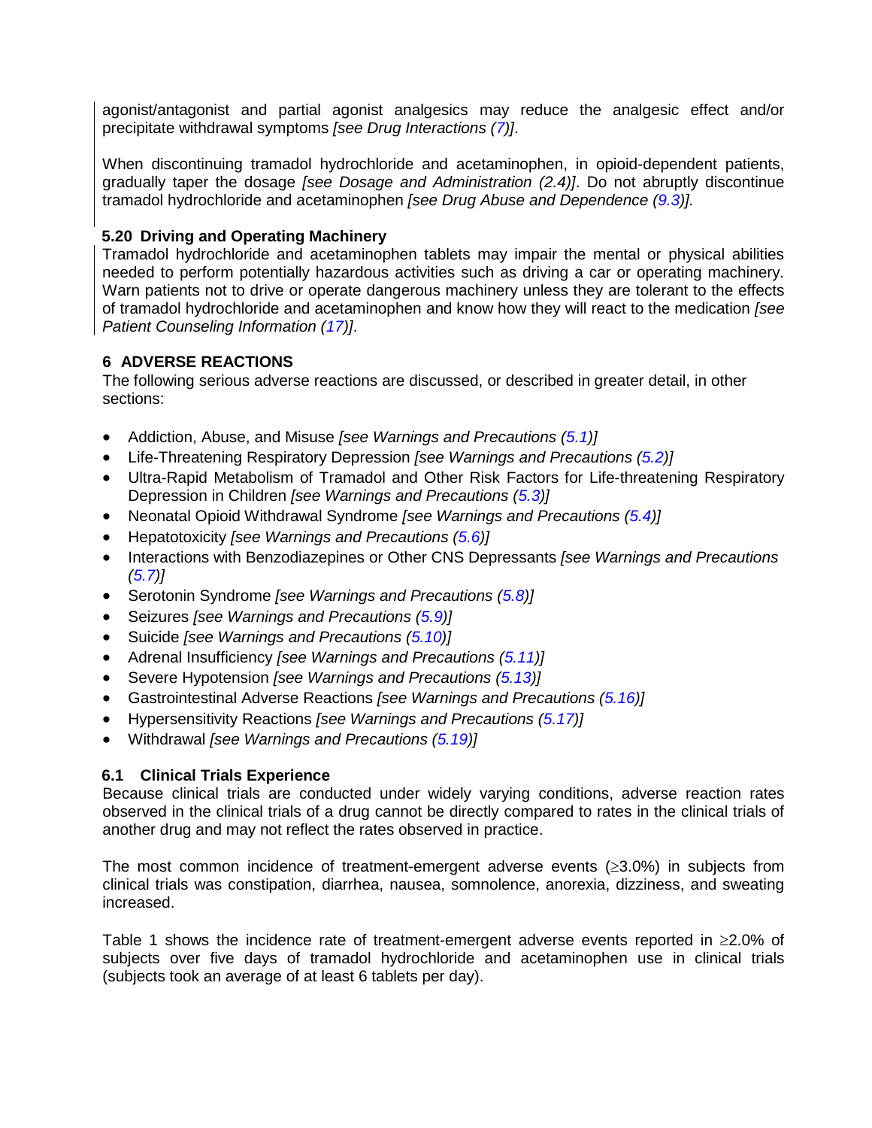agonist/antagonist and partial agonist analgesics may reduce the analgesic effect and/or precipitate withdrawal symptoms *[see Drug Interactions [\(7\)](#page-15-0)]*.

When discontinuing tramadol hydrochloride and acetaminophen, in opioid-dependent patients, gradually taper the dosage *[see Dosage and Administration (2.4)]*. Do not abruptly discontinue tramadol hydrochloride and acetaminophen *[see Drug Abuse and Dependence [\(9.3\)](#page-23-0)].*

## <span id="page-12-1"></span>**5.20 Driving and Operating Machinery**

Tramadol hydrochloride and acetaminophen tablets may impair the mental or physical abilities needed to perform potentially hazardous activities such as driving a car or operating machinery. Warn patients not to drive or operate dangerous machinery unless they are tolerant to the effects of tramadol hydrochloride and acetaminophen and know how they will react to the medication *[see Patient Counseling Information [\(17\)](#page-33-3)]*.

## <span id="page-12-0"></span>**6 ADVERSE REACTIONS**

The following serious adverse reactions are discussed, or described in greater detail, in other sections:

- Addiction, Abuse, and Misuse *[see Warnings and Precautions [\(5.1\)](#page-5-0)]*
- Life-Threatening Respiratory Depression *[see Warnings and Precautions [\(5.2\)](#page-5-1)]*
- Ultra-Rapid Metabolism of Tramadol and Other Risk Factors for Life-threatening Respiratory Depression in Children *[see Warnings and Precautions [\(5.3\)](#page-6-0)]*
- Neonatal Opioid Withdrawal Syndrome *[see Warnings and Precautions [\(5.4\)](#page-7-0)]*
- Hepatotoxicity *[see Warnings and Precautions [\(5.6\)](#page-8-1)]*
- Interactions with Benzodiazepines or Other CNS Depressants *[see Warnings and Precautions [\(5.7\)](#page-8-0)]*
- Serotonin Syndrome *[see Warnings and Precautions [\(5.8\)](#page-9-0)]*
- Seizures *[see Warnings and Precautions [\(5.9\)](#page-9-1)]*
- Suicide *[see Warnings and Precautions [\(5.10\)](#page-9-2)]*
- Adrenal Insufficiency *[see Warnings and Precautions [\(5.11\)](#page-10-0)]*
- Severe Hypotension *[see Warnings and Precautions [\(5.13\)](#page-10-2)]*
- Gastrointestinal Adverse Reactions *[see Warnings and Precautions [\(5.16\)](#page-11-2)]*
- Hypersensitivity Reactions *[see Warnings and Precautions [\(5.17\)](#page-11-3)]*
- Withdrawal *[see Warnings and Precautions [\(5.19\)](#page-11-4)]*

## <span id="page-12-2"></span>**6.1 Clinical Trials Experience**

Because clinical trials are conducted under widely varying conditions, adverse reaction rates observed in the clinical trials of a drug cannot be directly compared to rates in the clinical trials of another drug and may not reflect the rates observed in practice.

The most common incidence of treatment-emergent adverse events  $(\geq 3.0\%)$  in subjects from clinical trials was constipation, diarrhea, nausea, somnolence, anorexia, dizziness, and sweating increased.

Table 1 shows the incidence rate of treatment-emergent adverse events reported in ≥2.0% of subjects over five days of tramadol hydrochloride and acetaminophen use in clinical trials (subjects took an average of at least 6 tablets per day).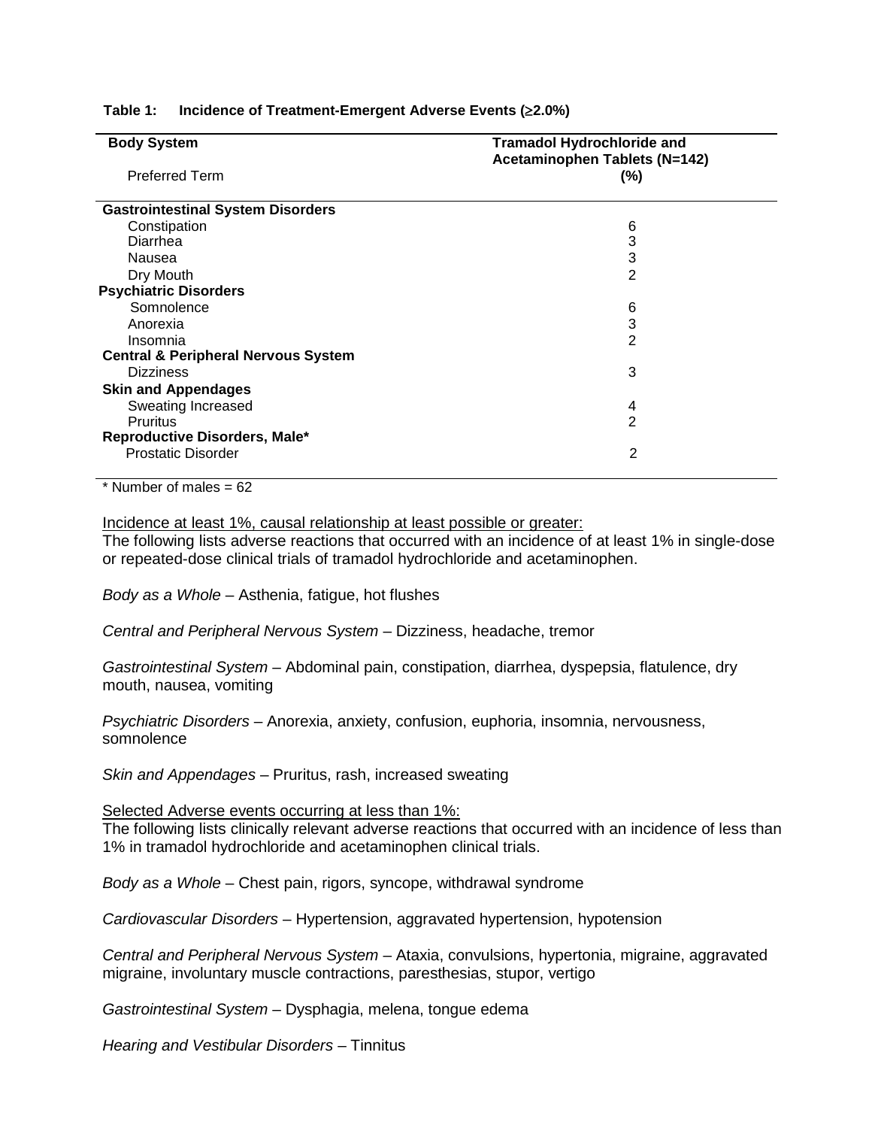| <b>Body System</b>                             | <b>Tramadol Hydrochloride and</b><br><b>Acetaminophen Tablets (N=142)</b> |  |  |  |
|------------------------------------------------|---------------------------------------------------------------------------|--|--|--|
| <b>Preferred Term</b>                          | $(\%)$                                                                    |  |  |  |
| <b>Gastrointestinal System Disorders</b>       |                                                                           |  |  |  |
| Constipation                                   | 6                                                                         |  |  |  |
| Diarrhea                                       | 3                                                                         |  |  |  |
| Nausea                                         | 3                                                                         |  |  |  |
| Dry Mouth                                      | $\overline{2}$                                                            |  |  |  |
| <b>Psychiatric Disorders</b>                   |                                                                           |  |  |  |
| Somnolence                                     | 6                                                                         |  |  |  |
| Anorexia                                       | 3                                                                         |  |  |  |
| Insomnia                                       | $\overline{2}$                                                            |  |  |  |
| <b>Central &amp; Peripheral Nervous System</b> |                                                                           |  |  |  |
| <b>Dizziness</b>                               | 3                                                                         |  |  |  |
| <b>Skin and Appendages</b>                     |                                                                           |  |  |  |
| Sweating Increased                             | 4                                                                         |  |  |  |
| <b>Pruritus</b>                                | $\overline{2}$                                                            |  |  |  |
| Reproductive Disorders, Male*                  |                                                                           |  |  |  |
| <b>Prostatic Disorder</b>                      | 2                                                                         |  |  |  |

**Table 1: Incidence of Treatment-Emergent Adverse Events (**≥**2.0%)**

 $*$  Number of males = 62

Incidence at least 1%, causal relationship at least possible or greater:

The following lists adverse reactions that occurred with an incidence of at least 1% in single-dose or repeated-dose clinical trials of tramadol hydrochloride and acetaminophen.

*Body as a Whole* – Asthenia, fatigue, hot flushes

*Central and Peripheral Nervous System* – Dizziness, headache, tremor

*Gastrointestinal System* – Abdominal pain, constipation, diarrhea, dyspepsia, flatulence, dry mouth, nausea, vomiting

*Psychiatric Disorders* – Anorexia, anxiety, confusion, euphoria, insomnia, nervousness, somnolence

*Skin and Appendages* – Pruritus, rash, increased sweating

Selected Adverse events occurring at less than 1%:

The following lists clinically relevant adverse reactions that occurred with an incidence of less than 1% in tramadol hydrochloride and acetaminophen clinical trials.

*Body as a Whole – Chest pain, rigors, syncope, withdrawal syndrome* 

*Cardiovascular Disorders* – Hypertension, aggravated hypertension, hypotension

*Central and Peripheral Nervous System* – Ataxia, convulsions, hypertonia, migraine, aggravated migraine, involuntary muscle contractions, paresthesias, stupor, vertigo

*Gastrointestinal System* – Dysphagia, melena, tongue edema

*Hearing and Vestibular Disorders* – Tinnitus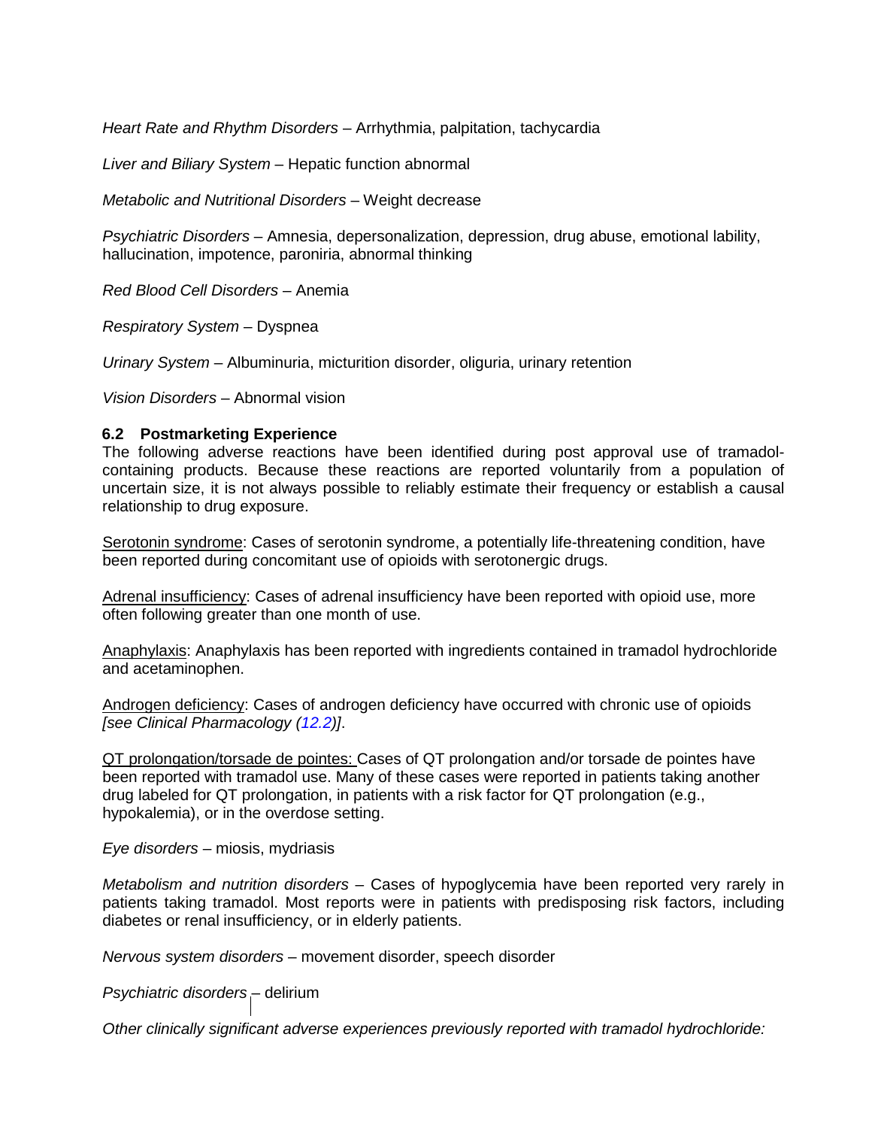*Heart Rate and Rhythm Disorders* – Arrhythmia, palpitation, tachycardia

*Liver and Biliary System* – Hepatic function abnormal

*Metabolic and Nutritional Disorders* – Weight decrease

*Psychiatric Disorders* – Amnesia, depersonalization, depression, drug abuse, emotional lability, hallucination, impotence, paroniria, abnormal thinking

*Red Blood Cell Disorders* – Anemia

*Respiratory System* – Dyspnea

*Urinary System* – Albuminuria, micturition disorder, oliguria, urinary retention

*Vision Disorders* – Abnormal vision

#### <span id="page-14-0"></span>**6.2 Postmarketing Experience**

The following adverse reactions have been identified during post approval use of tramadolcontaining products. Because these reactions are reported voluntarily from a population of uncertain size, it is not always possible to reliably estimate their frequency or establish a causal relationship to drug exposure.

Serotonin syndrome: Cases of serotonin syndrome, a potentially life-threatening condition, have been reported during concomitant use of opioids with serotonergic drugs.

Adrenal insufficiency: Cases of adrenal insufficiency have been reported with opioid use, more often following greater than one month of use.

Anaphylaxis: Anaphylaxis has been reported with ingredients contained in tramadol hydrochloride and acetaminophen.

Androgen deficiency: Cases of androgen deficiency have occurred with chronic use of opioids *[see Clinical Pharmacology [\(12.2\)](#page-27-0)]*.

QT prolongation/torsade de pointes: Cases of QT prolongation and/or torsade de pointes have been reported with tramadol use. Many of these cases were reported in patients taking another drug labeled for QT prolongation, in patients with a risk factor for QT prolongation (e.g., hypokalemia), or in the overdose setting.

#### *Eye disorders* – miosis, mydriasis

*Metabolism and nutrition disorders* – Cases of hypoglycemia have been reported very rarely in patients taking tramadol. Most reports were in patients with predisposing risk factors, including diabetes or renal insufficiency, or in elderly patients.

*Nervous system disorders* – movement disorder, speech disorder

*Psychiatric disorders* – delirium

*Other clinically significant adverse experiences previously reported with tramadol hydrochloride:*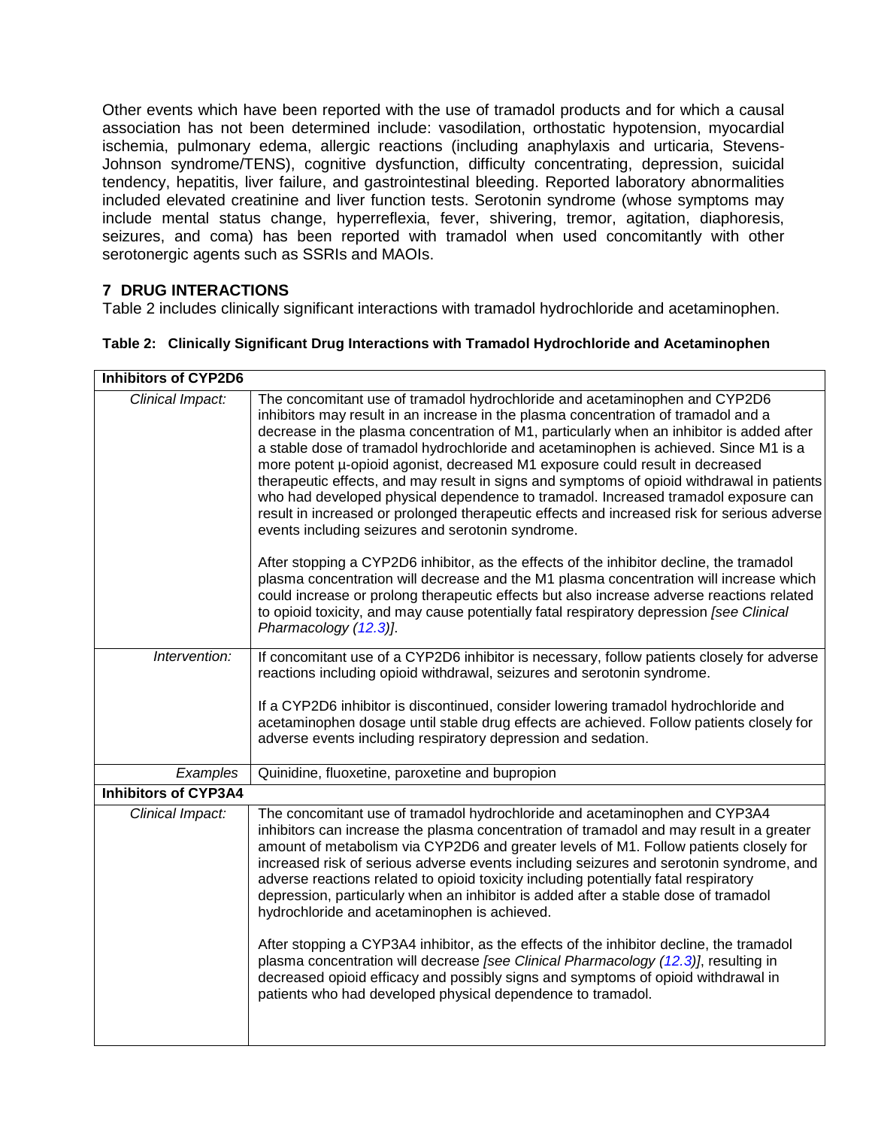Other events which have been reported with the use of tramadol products and for which a causal association has not been determined include: vasodilation, orthostatic hypotension, myocardial ischemia, pulmonary edema, allergic reactions (including anaphylaxis and urticaria, Stevens-Johnson syndrome/TENS), cognitive dysfunction, difficulty concentrating, depression, suicidal tendency, hepatitis, liver failure, and gastrointestinal bleeding. Reported laboratory abnormalities included elevated creatinine and liver function tests. Serotonin syndrome (whose symptoms may include mental status change, hyperreflexia, fever, shivering, tremor, agitation, diaphoresis, seizures, and coma) has been reported with tramadol when used concomitantly with other serotonergic agents such as SSRIs and MAOIs.

## <span id="page-15-0"></span>**7 DRUG INTERACTIONS**

Table 2 includes clinically significant interactions with tramadol hydrochloride and acetaminophen.

| Table 2: Clinically Significant Drug Interactions with Tramadol Hydrochloride and Acetaminophen |  |
|-------------------------------------------------------------------------------------------------|--|
|-------------------------------------------------------------------------------------------------|--|

| <b>Inhibitors of CYP2D6</b> |                                                                                                                                                                                                                                                                                                                                                                                                                                                                                                                                                                                                                                                                                                                                                                                                                                                                                                                                  |
|-----------------------------|----------------------------------------------------------------------------------------------------------------------------------------------------------------------------------------------------------------------------------------------------------------------------------------------------------------------------------------------------------------------------------------------------------------------------------------------------------------------------------------------------------------------------------------------------------------------------------------------------------------------------------------------------------------------------------------------------------------------------------------------------------------------------------------------------------------------------------------------------------------------------------------------------------------------------------|
| Clinical Impact:            | The concomitant use of tramadol hydrochloride and acetaminophen and CYP2D6<br>inhibitors may result in an increase in the plasma concentration of tramadol and a<br>decrease in the plasma concentration of M1, particularly when an inhibitor is added after<br>a stable dose of tramadol hydrochloride and acetaminophen is achieved. Since M1 is a<br>more potent µ-opioid agonist, decreased M1 exposure could result in decreased<br>therapeutic effects, and may result in signs and symptoms of opioid withdrawal in patients<br>who had developed physical dependence to tramadol. Increased tramadol exposure can<br>result in increased or prolonged therapeutic effects and increased risk for serious adverse<br>events including seizures and serotonin syndrome.                                                                                                                                                   |
|                             | After stopping a CYP2D6 inhibitor, as the effects of the inhibitor decline, the tramadol<br>plasma concentration will decrease and the M1 plasma concentration will increase which<br>could increase or prolong therapeutic effects but also increase adverse reactions related<br>to opioid toxicity, and may cause potentially fatal respiratory depression [see Clinical<br>Pharmacology (12.3)].                                                                                                                                                                                                                                                                                                                                                                                                                                                                                                                             |
| Intervention:               | If concomitant use of a CYP2D6 inhibitor is necessary, follow patients closely for adverse<br>reactions including opioid withdrawal, seizures and serotonin syndrome.<br>If a CYP2D6 inhibitor is discontinued, consider lowering tramadol hydrochloride and<br>acetaminophen dosage until stable drug effects are achieved. Follow patients closely for<br>adverse events including respiratory depression and sedation.                                                                                                                                                                                                                                                                                                                                                                                                                                                                                                        |
| Examples                    | Quinidine, fluoxetine, paroxetine and bupropion                                                                                                                                                                                                                                                                                                                                                                                                                                                                                                                                                                                                                                                                                                                                                                                                                                                                                  |
| <b>Inhibitors of CYP3A4</b> |                                                                                                                                                                                                                                                                                                                                                                                                                                                                                                                                                                                                                                                                                                                                                                                                                                                                                                                                  |
| Clinical Impact:            | The concomitant use of tramadol hydrochloride and acetaminophen and CYP3A4<br>inhibitors can increase the plasma concentration of tramadol and may result in a greater<br>amount of metabolism via CYP2D6 and greater levels of M1. Follow patients closely for<br>increased risk of serious adverse events including seizures and serotonin syndrome, and<br>adverse reactions related to opioid toxicity including potentially fatal respiratory<br>depression, particularly when an inhibitor is added after a stable dose of tramadol<br>hydrochloride and acetaminophen is achieved.<br>After stopping a CYP3A4 inhibitor, as the effects of the inhibitor decline, the tramadol<br>plasma concentration will decrease [see Clinical Pharmacology (12.3)], resulting in<br>decreased opioid efficacy and possibly signs and symptoms of opioid withdrawal in<br>patients who had developed physical dependence to tramadol. |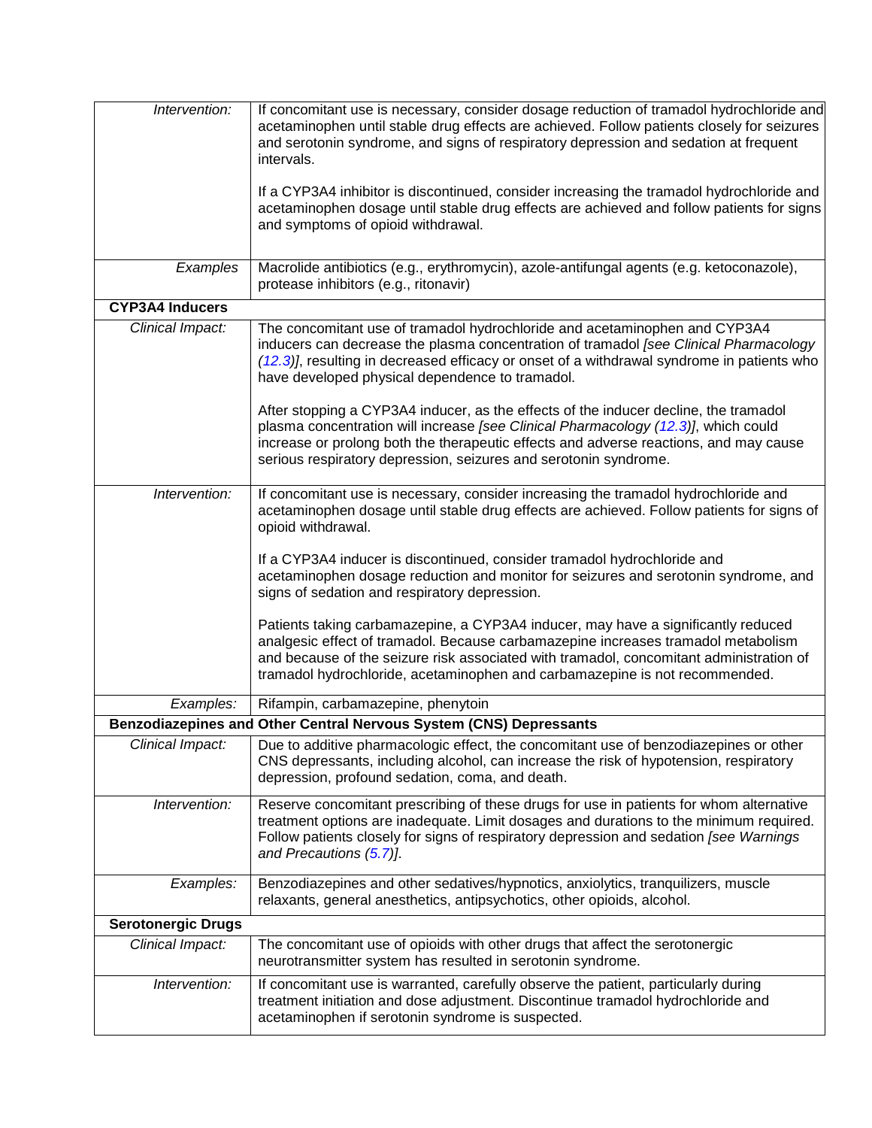| Intervention:             | If concomitant use is necessary, consider dosage reduction of tramadol hydrochloride and<br>acetaminophen until stable drug effects are achieved. Follow patients closely for seizures<br>and serotonin syndrome, and signs of respiratory depression and sedation at frequent<br>intervals.<br>If a CYP3A4 inhibitor is discontinued, consider increasing the tramadol hydrochloride and<br>acetaminophen dosage until stable drug effects are achieved and follow patients for signs |  |  |  |  |  |
|---------------------------|----------------------------------------------------------------------------------------------------------------------------------------------------------------------------------------------------------------------------------------------------------------------------------------------------------------------------------------------------------------------------------------------------------------------------------------------------------------------------------------|--|--|--|--|--|
|                           | and symptoms of opioid withdrawal.                                                                                                                                                                                                                                                                                                                                                                                                                                                     |  |  |  |  |  |
| Examples                  | Macrolide antibiotics (e.g., erythromycin), azole-antifungal agents (e.g. ketoconazole),<br>protease inhibitors (e.g., ritonavir)                                                                                                                                                                                                                                                                                                                                                      |  |  |  |  |  |
| <b>CYP3A4 Inducers</b>    |                                                                                                                                                                                                                                                                                                                                                                                                                                                                                        |  |  |  |  |  |
| Clinical Impact:          | The concomitant use of tramadol hydrochloride and acetaminophen and CYP3A4<br>inducers can decrease the plasma concentration of tramadol [see Clinical Pharmacology<br>(12.3)], resulting in decreased efficacy or onset of a withdrawal syndrome in patients who<br>have developed physical dependence to tramadol.                                                                                                                                                                   |  |  |  |  |  |
|                           | After stopping a CYP3A4 inducer, as the effects of the inducer decline, the tramadol<br>plasma concentration will increase [see Clinical Pharmacology (12.3)], which could<br>increase or prolong both the therapeutic effects and adverse reactions, and may cause<br>serious respiratory depression, seizures and serotonin syndrome.                                                                                                                                                |  |  |  |  |  |
| Intervention:             | If concomitant use is necessary, consider increasing the tramadol hydrochloride and<br>acetaminophen dosage until stable drug effects are achieved. Follow patients for signs of<br>opioid withdrawal.                                                                                                                                                                                                                                                                                 |  |  |  |  |  |
|                           | If a CYP3A4 inducer is discontinued, consider tramadol hydrochloride and<br>acetaminophen dosage reduction and monitor for seizures and serotonin syndrome, and<br>signs of sedation and respiratory depression.                                                                                                                                                                                                                                                                       |  |  |  |  |  |
|                           | Patients taking carbamazepine, a CYP3A4 inducer, may have a significantly reduced<br>analgesic effect of tramadol. Because carbamazepine increases tramadol metabolism<br>and because of the seizure risk associated with tramadol, concomitant administration of<br>tramadol hydrochloride, acetaminophen and carbamazepine is not recommended.                                                                                                                                       |  |  |  |  |  |
| Examples:                 | Rifampin, carbamazepine, phenytoin                                                                                                                                                                                                                                                                                                                                                                                                                                                     |  |  |  |  |  |
|                           | Benzodiazepines and Other Central Nervous System (CNS) Depressants                                                                                                                                                                                                                                                                                                                                                                                                                     |  |  |  |  |  |
| Clinical Impact:          | Due to additive pharmacologic effect, the concomitant use of benzodiazepines or other<br>CNS depressants, including alcohol, can increase the risk of hypotension, respiratory<br>depression, profound sedation, coma, and death.                                                                                                                                                                                                                                                      |  |  |  |  |  |
| Intervention:             | Reserve concomitant prescribing of these drugs for use in patients for whom alternative<br>treatment options are inadequate. Limit dosages and durations to the minimum required.<br>Follow patients closely for signs of respiratory depression and sedation [see Warnings]<br>and Precautions (5.7)].                                                                                                                                                                                |  |  |  |  |  |
| Examples:                 | Benzodiazepines and other sedatives/hypnotics, anxiolytics, tranquilizers, muscle<br>relaxants, general anesthetics, antipsychotics, other opioids, alcohol.                                                                                                                                                                                                                                                                                                                           |  |  |  |  |  |
| <b>Serotonergic Drugs</b> |                                                                                                                                                                                                                                                                                                                                                                                                                                                                                        |  |  |  |  |  |
| Clinical Impact:          | The concomitant use of opioids with other drugs that affect the serotonergic<br>neurotransmitter system has resulted in serotonin syndrome.                                                                                                                                                                                                                                                                                                                                            |  |  |  |  |  |
| Intervention:             | If concomitant use is warranted, carefully observe the patient, particularly during<br>treatment initiation and dose adjustment. Discontinue tramadol hydrochloride and<br>acetaminophen if serotonin syndrome is suspected.                                                                                                                                                                                                                                                           |  |  |  |  |  |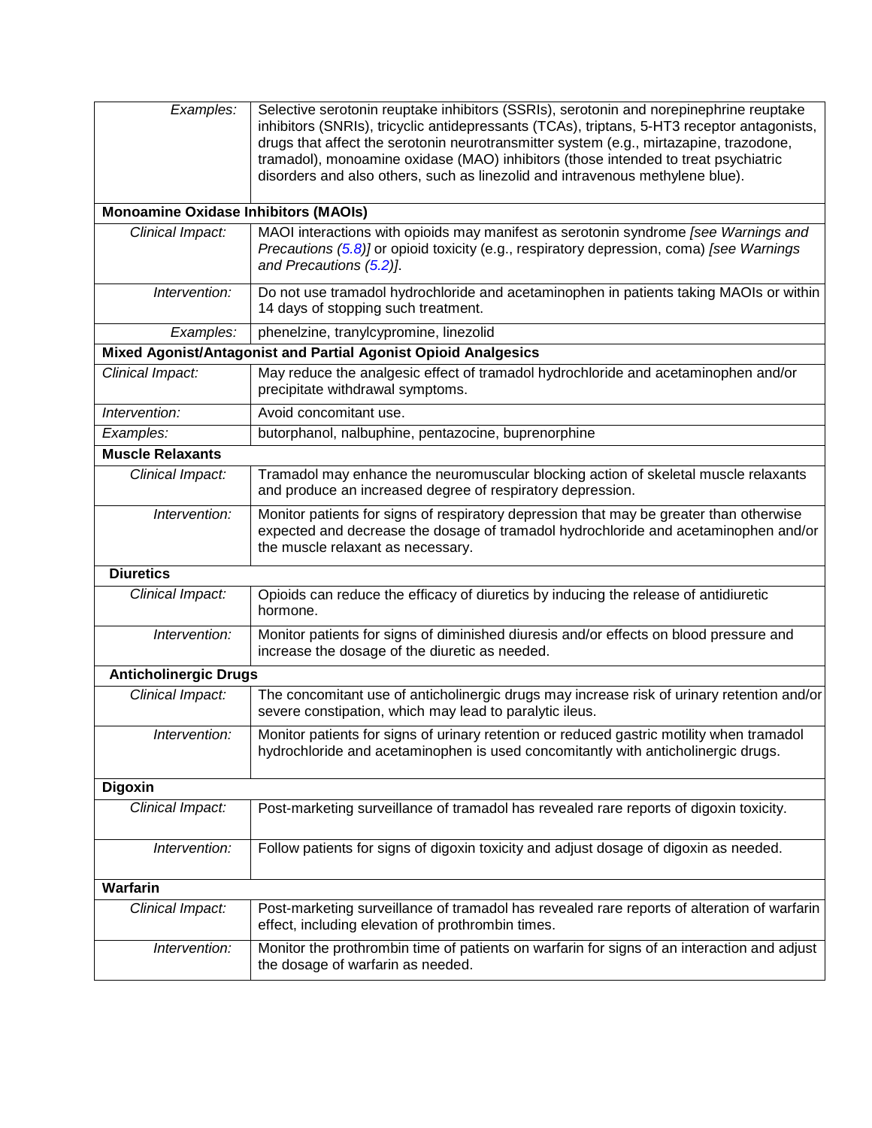| Examples:                                   | Selective serotonin reuptake inhibitors (SSRIs), serotonin and norepinephrine reuptake<br>inhibitors (SNRIs), tricyclic antidepressants (TCAs), triptans, 5-HT3 receptor antagonists,<br>drugs that affect the serotonin neurotransmitter system (e.g., mirtazapine, trazodone,<br>tramadol), monoamine oxidase (MAO) inhibitors (those intended to treat psychiatric<br>disorders and also others, such as linezolid and intravenous methylene blue). |  |  |  |  |
|---------------------------------------------|--------------------------------------------------------------------------------------------------------------------------------------------------------------------------------------------------------------------------------------------------------------------------------------------------------------------------------------------------------------------------------------------------------------------------------------------------------|--|--|--|--|
| <b>Monoamine Oxidase Inhibitors (MAOIs)</b> |                                                                                                                                                                                                                                                                                                                                                                                                                                                        |  |  |  |  |
| Clinical Impact:                            | MAOI interactions with opioids may manifest as serotonin syndrome [see Warnings and<br>Precautions (5.8)] or opioid toxicity (e.g., respiratory depression, coma) [see Warnings<br>and Precautions (5.2)].                                                                                                                                                                                                                                             |  |  |  |  |
| Intervention:                               | Do not use tramadol hydrochloride and acetaminophen in patients taking MAOIs or within<br>14 days of stopping such treatment.                                                                                                                                                                                                                                                                                                                          |  |  |  |  |
| Examples:                                   | phenelzine, tranylcypromine, linezolid                                                                                                                                                                                                                                                                                                                                                                                                                 |  |  |  |  |
|                                             | Mixed Agonist/Antagonist and Partial Agonist Opioid Analgesics                                                                                                                                                                                                                                                                                                                                                                                         |  |  |  |  |
| Clinical Impact:                            | May reduce the analgesic effect of tramadol hydrochloride and acetaminophen and/or<br>precipitate withdrawal symptoms.                                                                                                                                                                                                                                                                                                                                 |  |  |  |  |
| Intervention:                               | Avoid concomitant use.                                                                                                                                                                                                                                                                                                                                                                                                                                 |  |  |  |  |
| Examples:                                   | butorphanol, nalbuphine, pentazocine, buprenorphine                                                                                                                                                                                                                                                                                                                                                                                                    |  |  |  |  |
| <b>Muscle Relaxants</b>                     |                                                                                                                                                                                                                                                                                                                                                                                                                                                        |  |  |  |  |
| Clinical Impact:                            | Tramadol may enhance the neuromuscular blocking action of skeletal muscle relaxants<br>and produce an increased degree of respiratory depression.                                                                                                                                                                                                                                                                                                      |  |  |  |  |
| Intervention:                               | Monitor patients for signs of respiratory depression that may be greater than otherwise<br>expected and decrease the dosage of tramadol hydrochloride and acetaminophen and/or<br>the muscle relaxant as necessary.                                                                                                                                                                                                                                    |  |  |  |  |
| <b>Diuretics</b>                            |                                                                                                                                                                                                                                                                                                                                                                                                                                                        |  |  |  |  |
| Clinical Impact:                            | Opioids can reduce the efficacy of diuretics by inducing the release of antidiuretic<br>hormone.                                                                                                                                                                                                                                                                                                                                                       |  |  |  |  |
| Intervention:                               | Monitor patients for signs of diminished diuresis and/or effects on blood pressure and<br>increase the dosage of the diuretic as needed.                                                                                                                                                                                                                                                                                                               |  |  |  |  |
| <b>Anticholinergic Drugs</b>                |                                                                                                                                                                                                                                                                                                                                                                                                                                                        |  |  |  |  |
| Clinical Impact:                            | The concomitant use of anticholinergic drugs may increase risk of urinary retention and/or<br>severe constipation, which may lead to paralytic ileus.                                                                                                                                                                                                                                                                                                  |  |  |  |  |
| Intervention:                               | Monitor patients for signs of urinary retention or reduced gastric motility when tramadol<br>hydrochloride and acetaminophen is used concomitantly with anticholinergic drugs.                                                                                                                                                                                                                                                                         |  |  |  |  |
| <b>Digoxin</b>                              |                                                                                                                                                                                                                                                                                                                                                                                                                                                        |  |  |  |  |
| Clinical Impact:                            | Post-marketing surveillance of tramadol has revealed rare reports of digoxin toxicity.                                                                                                                                                                                                                                                                                                                                                                 |  |  |  |  |
| Intervention:                               | Follow patients for signs of digoxin toxicity and adjust dosage of digoxin as needed.                                                                                                                                                                                                                                                                                                                                                                  |  |  |  |  |
| <b>Warfarin</b>                             |                                                                                                                                                                                                                                                                                                                                                                                                                                                        |  |  |  |  |
| Clinical Impact:                            | Post-marketing surveillance of tramadol has revealed rare reports of alteration of warfarin<br>effect, including elevation of prothrombin times.                                                                                                                                                                                                                                                                                                       |  |  |  |  |
| Intervention:                               | Monitor the prothrombin time of patients on warfarin for signs of an interaction and adjust<br>the dosage of warfarin as needed.                                                                                                                                                                                                                                                                                                                       |  |  |  |  |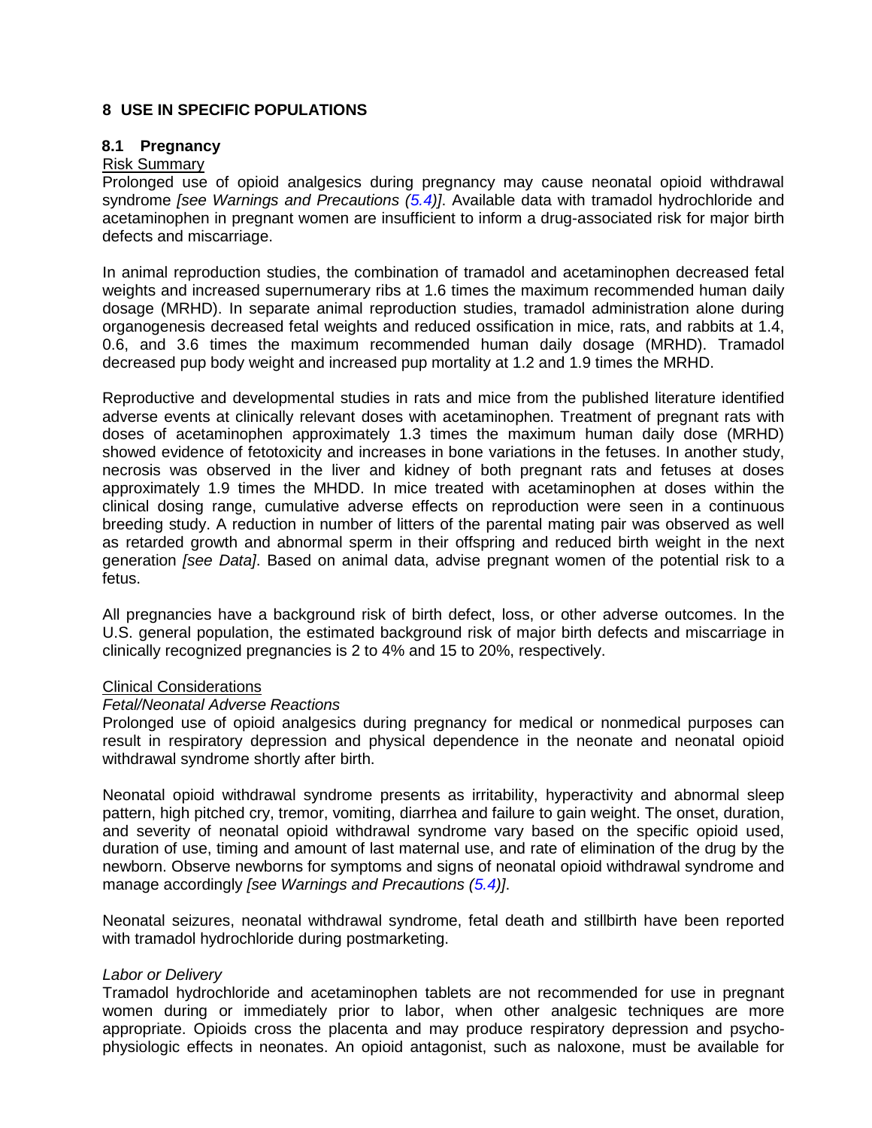## <span id="page-18-1"></span>**8 USE IN SPECIFIC POPULATIONS**

## <span id="page-18-0"></span>**8.1 Pregnancy**

#### Risk Summary

Prolonged use of opioid analgesics during pregnancy may cause neonatal opioid withdrawal syndrome *[see Warnings and Precautions [\(5.4\)](#page-7-0)]*. Available data with tramadol hydrochloride and acetaminophen in pregnant women are insufficient to inform a drug-associated risk for major birth defects and miscarriage.

In animal reproduction studies, the combination of tramadol and acetaminophen decreased fetal weights and increased supernumerary ribs at 1.6 times the maximum recommended human daily dosage (MRHD). In separate animal reproduction studies, tramadol administration alone during organogenesis decreased fetal weights and reduced ossification in mice, rats, and rabbits at 1.4, 0.6, and 3.6 times the maximum recommended human daily dosage (MRHD). Tramadol decreased pup body weight and increased pup mortality at 1.2 and 1.9 times the MRHD.

Reproductive and developmental studies in rats and mice from the published literature identified adverse events at clinically relevant doses with acetaminophen. Treatment of pregnant rats with doses of acetaminophen approximately 1.3 times the maximum human daily dose (MRHD) showed evidence of fetotoxicity and increases in bone variations in the fetuses. In another study, necrosis was observed in the liver and kidney of both pregnant rats and fetuses at doses approximately 1.9 times the MHDD. In mice treated with acetaminophen at doses within the clinical dosing range, cumulative adverse effects on reproduction were seen in a continuous breeding study. A reduction in number of litters of the parental mating pair was observed as well as retarded growth and abnormal sperm in their offspring and reduced birth weight in the next generation *[see Data]*. Based on animal data, advise pregnant women of the potential risk to a fetus.

All pregnancies have a background risk of birth defect, loss, or other adverse outcomes. In the U.S. general population, the estimated background risk of major birth defects and miscarriage in clinically recognized pregnancies is 2 to 4% and 15 to 20%, respectively.

#### Clinical Considerations

#### *Fetal/Neonatal Adverse Reactions*

Prolonged use of opioid analgesics during pregnancy for medical or nonmedical purposes can result in respiratory depression and physical dependence in the neonate and neonatal opioid withdrawal syndrome shortly after birth.

Neonatal opioid withdrawal syndrome presents as irritability, hyperactivity and abnormal sleep pattern, high pitched cry, tremor, vomiting, diarrhea and failure to gain weight. The onset, duration, and severity of neonatal opioid withdrawal syndrome vary based on the specific opioid used, duration of use, timing and amount of last maternal use, and rate of elimination of the drug by the newborn. Observe newborns for symptoms and signs of neonatal opioid withdrawal syndrome and manage accordingly *[see Warnings and Precautions [\(5.4\)](#page-7-0)]*.

Neonatal seizures, neonatal withdrawal syndrome, fetal death and stillbirth have been reported with tramadol hydrochloride during postmarketing.

#### *Labor or Delivery*

Tramadol hydrochloride and acetaminophen tablets are not recommended for use in pregnant women during or immediately prior to labor, when other analgesic techniques are more appropriate. Opioids cross the placenta and may produce respiratory depression and psychophysiologic effects in neonates. An opioid antagonist, such as naloxone, must be available for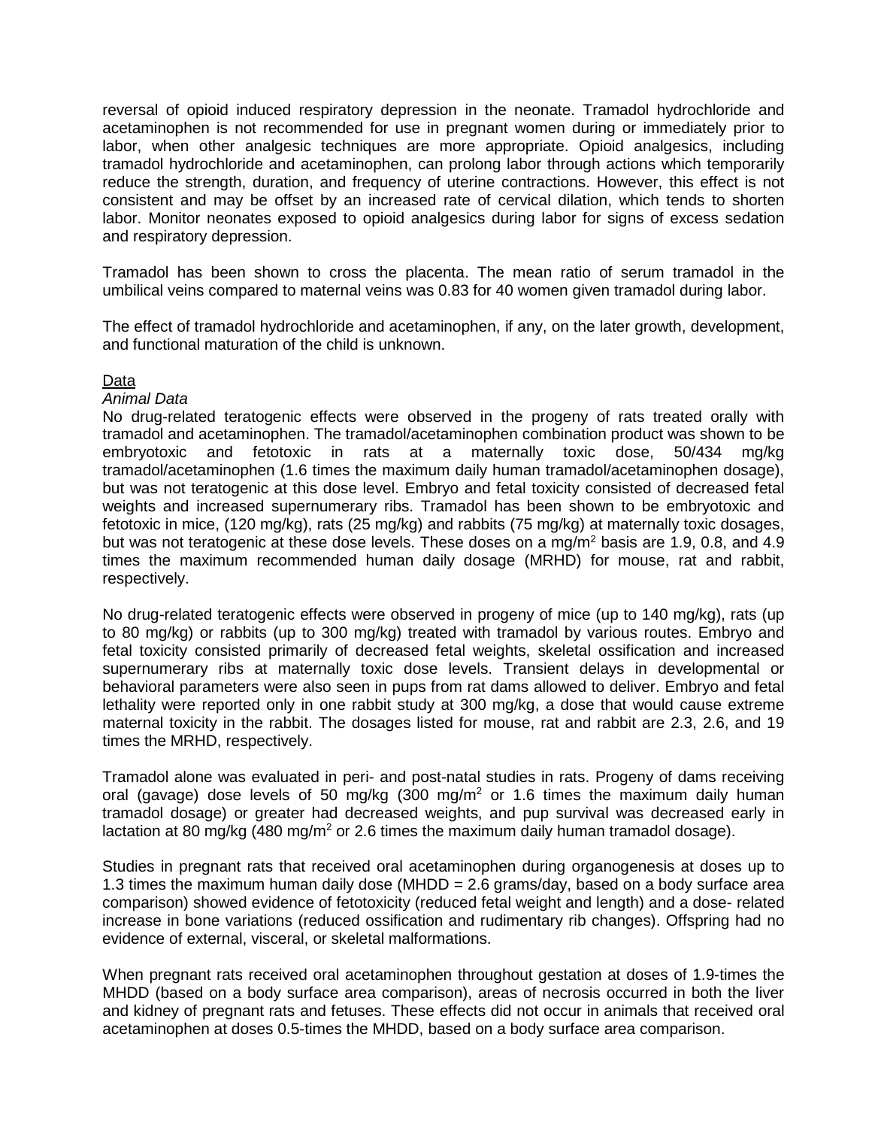reversal of opioid induced respiratory depression in the neonate. Tramadol hydrochloride and acetaminophen is not recommended for use in pregnant women during or immediately prior to labor, when other analgesic techniques are more appropriate. Opioid analgesics, including tramadol hydrochloride and acetaminophen, can prolong labor through actions which temporarily reduce the strength, duration, and frequency of uterine contractions. However, this effect is not consistent and may be offset by an increased rate of cervical dilation, which tends to shorten labor. Monitor neonates exposed to opioid analgesics during labor for signs of excess sedation and respiratory depression.

Tramadol has been shown to cross the placenta. The mean ratio of serum tramadol in the umbilical veins compared to maternal veins was 0.83 for 40 women given tramadol during labor.

The effect of tramadol hydrochloride and acetaminophen, if any, on the later growth, development, and functional maturation of the child is unknown.

#### Data

#### *Animal Data*

No drug-related teratogenic effects were observed in the progeny of rats treated orally with tramadol and acetaminophen. The tramadol/acetaminophen combination product was shown to be embryotoxic and fetotoxic in rats at a maternally toxic dose, 50/434 mg/kg tramadol/acetaminophen (1.6 times the maximum daily human tramadol/acetaminophen dosage), but was not teratogenic at this dose level. Embryo and fetal toxicity consisted of decreased fetal weights and increased supernumerary ribs. Tramadol has been shown to be embryotoxic and fetotoxic in mice, (120 mg/kg), rats (25 mg/kg) and rabbits (75 mg/kg) at maternally toxic dosages, but was not teratogenic at these dose levels. These doses on a mg/m<sup>2</sup> basis are 1.9, 0.8, and 4.9 times the maximum recommended human daily dosage (MRHD) for mouse, rat and rabbit, respectively.

No drug-related teratogenic effects were observed in progeny of mice (up to 140 mg/kg), rats (up to 80 mg/kg) or rabbits (up to 300 mg/kg) treated with tramadol by various routes. Embryo and fetal toxicity consisted primarily of decreased fetal weights, skeletal ossification and increased supernumerary ribs at maternally toxic dose levels. Transient delays in developmental or behavioral parameters were also seen in pups from rat dams allowed to deliver. Embryo and fetal lethality were reported only in one rabbit study at 300 mg/kg, a dose that would cause extreme maternal toxicity in the rabbit. The dosages listed for mouse, rat and rabbit are 2.3, 2.6, and 19 times the MRHD, respectively.

Tramadol alone was evaluated in peri- and post-natal studies in rats. Progeny of dams receiving oral (gavage) dose levels of 50 mg/kg (300 mg/ $m<sup>2</sup>$  or 1.6 times the maximum daily human tramadol dosage) or greater had decreased weights, and pup survival was decreased early in lactation at 80 mg/kg  $(480 \text{ mg/m}^2 \text{ or } 2.6 \text{ times the maximum daily human transmitted.}$ 

Studies in pregnant rats that received oral acetaminophen during organogenesis at doses up to 1.3 times the maximum human daily dose (MHDD = 2.6 grams/day, based on a body surface area comparison) showed evidence of fetotoxicity (reduced fetal weight and length) and a dose- related increase in bone variations (reduced ossification and rudimentary rib changes). Offspring had no evidence of external, visceral, or skeletal malformations.

When pregnant rats received oral acetaminophen throughout gestation at doses of 1.9-times the MHDD (based on a body surface area comparison), areas of necrosis occurred in both the liver and kidney of pregnant rats and fetuses. These effects did not occur in animals that received oral acetaminophen at doses 0.5-times the MHDD, based on a body surface area comparison.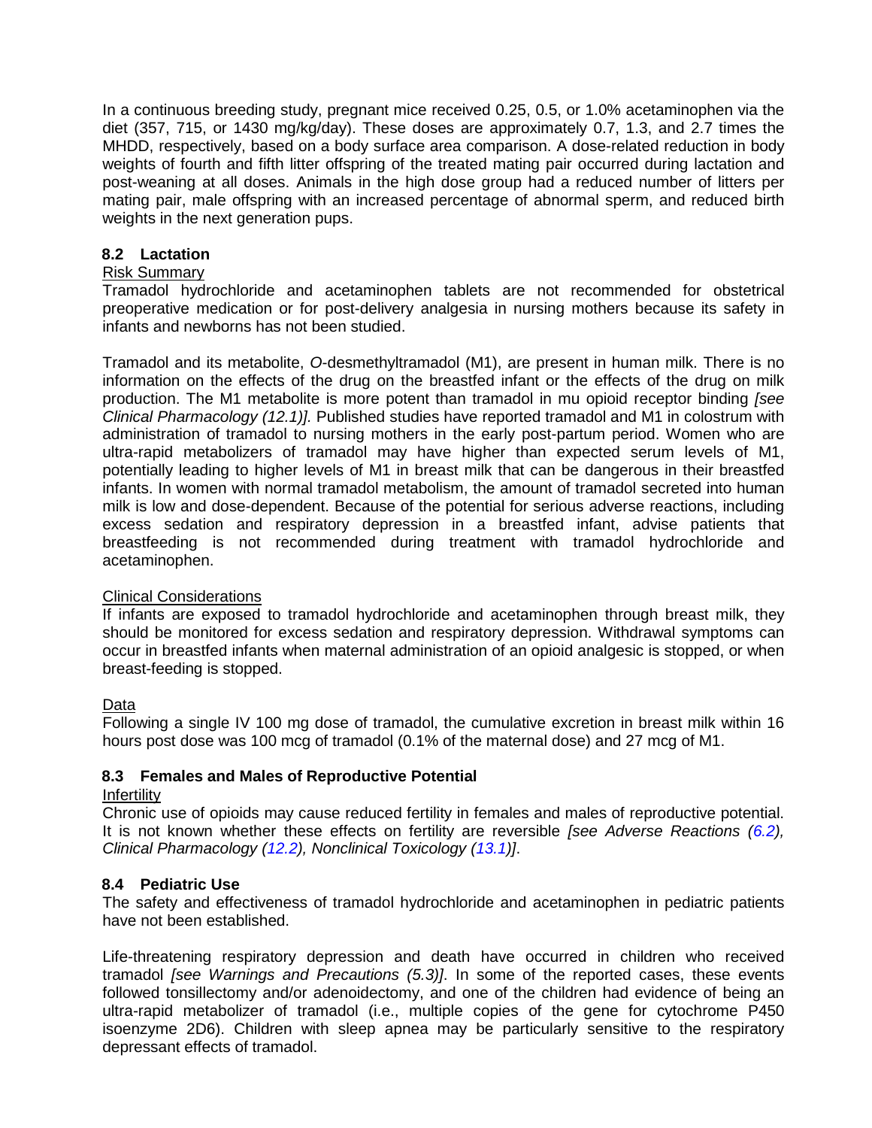In a continuous breeding study, pregnant mice received 0.25, 0.5, or 1.0% acetaminophen via the diet (357, 715, or 1430 mg/kg/day). These doses are approximately 0.7, 1.3, and 2.7 times the MHDD, respectively, based on a body surface area comparison. A dose-related reduction in body weights of fourth and fifth litter offspring of the treated mating pair occurred during lactation and post-weaning at all doses. Animals in the high dose group had a reduced number of litters per mating pair, male offspring with an increased percentage of abnormal sperm, and reduced birth weights in the next generation pups.

## <span id="page-20-0"></span>**8.2 Lactation**

#### Risk Summary

Tramadol hydrochloride and acetaminophen tablets are not recommended for obstetrical preoperative medication or for post-delivery analgesia in nursing mothers because its safety in infants and newborns has not been studied.

Tramadol and its metabolite, *O*-desmethyltramadol (M1), are present in human milk. There is no information on the effects of the drug on the breastfed infant or the effects of the drug on milk production. The M1 metabolite is more potent than tramadol in mu opioid receptor binding *[see Clinical Pharmacology (12.1)].* Published studies have reported tramadol and M1 in colostrum with administration of tramadol to nursing mothers in the early post-partum period. Women who are ultra-rapid metabolizers of tramadol may have higher than expected serum levels of M1, potentially leading to higher levels of M1 in breast milk that can be dangerous in their breastfed infants. In women with normal tramadol metabolism, the amount of tramadol secreted into human milk is low and dose-dependent. Because of the potential for serious adverse reactions, including excess sedation and respiratory depression in a breastfed infant, advise patients that breastfeeding is not recommended during treatment with tramadol hydrochloride and acetaminophen.

#### Clinical Considerations

If infants are exposed to tramadol hydrochloride and acetaminophen through breast milk, they should be monitored for excess sedation and respiratory depression. Withdrawal symptoms can occur in breastfed infants when maternal administration of an opioid analgesic is stopped, or when breast-feeding is stopped.

## Data

Following a single IV 100 mg dose of tramadol, the cumulative excretion in breast milk within 16 hours post dose was 100 mcg of tramadol (0.1% of the maternal dose) and 27 mcg of M1.

## <span id="page-20-1"></span>**8.3 Females and Males of Reproductive Potential**

#### Infertility

Chronic use of opioids may cause reduced fertility in females and males of reproductive potential. It is not known whether these effects on fertility are reversible *[see Adverse Reactions [\(6.2\)](#page-14-0), Clinical Pharmacology [\(12.2\)](#page-27-0), Nonclinical Toxicology [\(13.1\)](#page-31-1)]*.

#### <span id="page-20-2"></span>**8.4 Pediatric Use**

The safety and effectiveness of tramadol hydrochloride and acetaminophen in pediatric patients have not been established.

Life-threatening respiratory depression and death have occurred in children who received tramadol *[see Warnings and Precautions (5.3)]*. In some of the reported cases, these events followed tonsillectomy and/or adenoidectomy, and one of the children had evidence of being an ultra-rapid metabolizer of tramadol (i.e., multiple copies of the gene for cytochrome P450 isoenzyme 2D6). Children with sleep apnea may be particularly sensitive to the respiratory depressant effects of tramadol.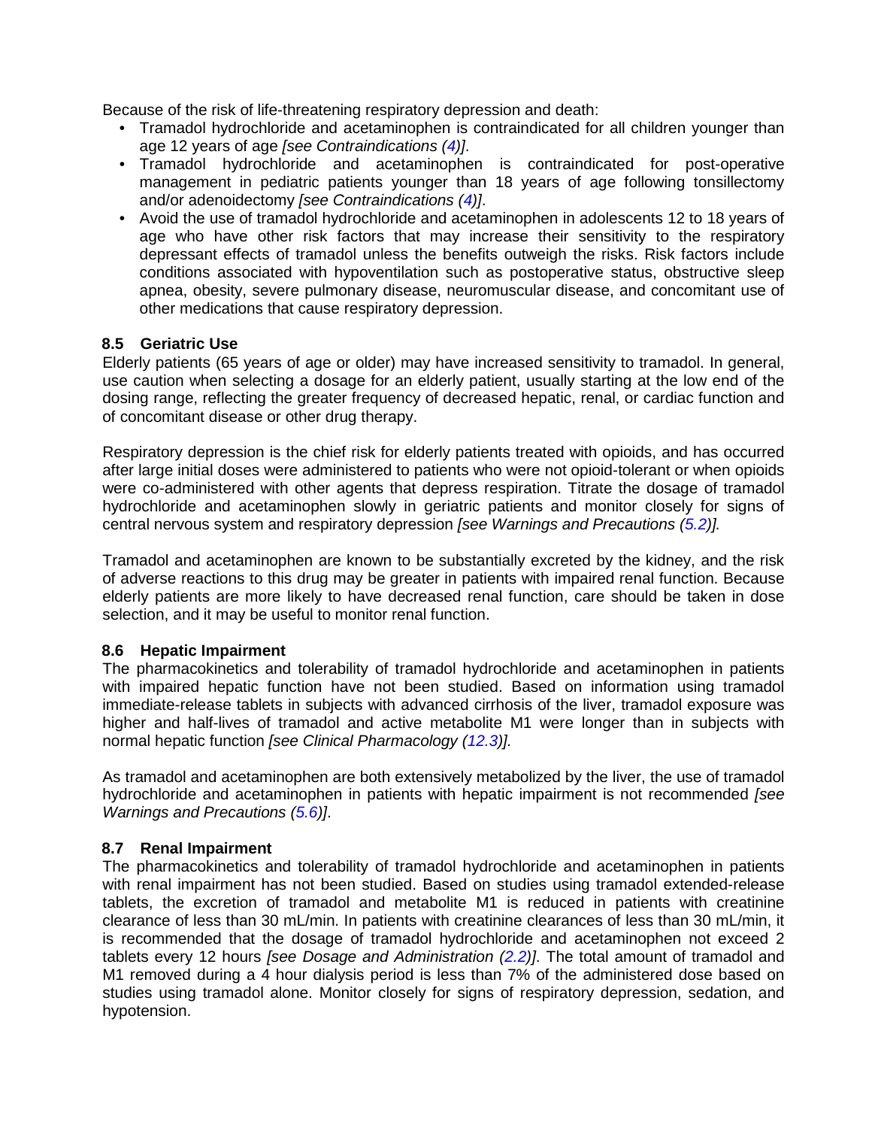Because of the risk of life-threatening respiratory depression and death:

- Tramadol hydrochloride and acetaminophen is contraindicated for all children younger than age 12 years of age *[see Contraindications [\(4\)](#page-4-0)]*.
- Tramadol hydrochloride and acetaminophen is contraindicated for post-operative management in pediatric patients younger than 18 years of age following tonsillectomy and/or adenoidectomy *[see Contraindications [\(4\)](#page-4-0)]*.
- Avoid the use of tramadol hydrochloride and acetaminophen in adolescents 12 to 18 years of age who have other risk factors that may increase their sensitivity to the respiratory depressant effects of tramadol unless the benefits outweigh the risks. Risk factors include conditions associated with hypoventilation such as postoperative status, obstructive sleep apnea, obesity, severe pulmonary disease, neuromuscular disease, and concomitant use of other medications that cause respiratory depression.

## <span id="page-21-0"></span>**8.5 Geriatric Use**

Elderly patients (65 years of age or older) may have increased sensitivity to tramadol. In general, use caution when selecting a dosage for an elderly patient, usually starting at the low end of the dosing range, reflecting the greater frequency of decreased hepatic, renal, or cardiac function and of concomitant disease or other drug therapy.

Respiratory depression is the chief risk for elderly patients treated with opioids, and has occurred after large initial doses were administered to patients who were not opioid-tolerant or when opioids were co-administered with other agents that depress respiration. Titrate the dosage of tramadol hydrochloride and acetaminophen slowly in geriatric patients and monitor closely for signs of central nervous system and respiratory depression *[see Warnings and Precautions [\(5.2\)](#page-5-1)].*

Tramadol and acetaminophen are known to be substantially excreted by the kidney, and the risk of adverse reactions to this drug may be greater in patients with impaired renal function. Because elderly patients are more likely to have decreased renal function, care should be taken in dose selection, and it may be useful to monitor renal function.

## <span id="page-21-1"></span>**8.6 Hepatic Impairment**

The pharmacokinetics and tolerability of tramadol hydrochloride and acetaminophen in patients with impaired hepatic function have not been studied. Based on information using tramadol immediate-release tablets in subjects with advanced cirrhosis of the liver, tramadol exposure was higher and half-lives of tramadol and active metabolite M1 were longer than in subjects with normal hepatic function *[see Clinical Pharmacology [\(12.3\)](#page-28-0)].*

As tramadol and acetaminophen are both extensively metabolized by the liver, the use of tramadol hydrochloride and acetaminophen in patients with hepatic impairment is not recommended *[see Warnings and Precautions [\(5.6\)](#page-8-1)]*.

## <span id="page-21-2"></span>**8.7 Renal Impairment**

The pharmacokinetics and tolerability of tramadol hydrochloride and acetaminophen in patients with renal impairment has not been studied. Based on studies using tramadol extended-release tablets, the excretion of tramadol and metabolite M1 is reduced in patients with creatinine clearance of less than 30 mL/min. In patients with creatinine clearances of less than 30 mL/min, it is recommended that the dosage of tramadol hydrochloride and acetaminophen not exceed 2 tablets every 12 hours *[see Dosage and Administration [\(2.2\)](#page-4-1)]*. The total amount of tramadol and M1 removed during a 4 hour dialysis period is less than 7% of the administered dose based on studies using tramadol alone. Monitor closely for signs of respiratory depression, sedation, and hypotension.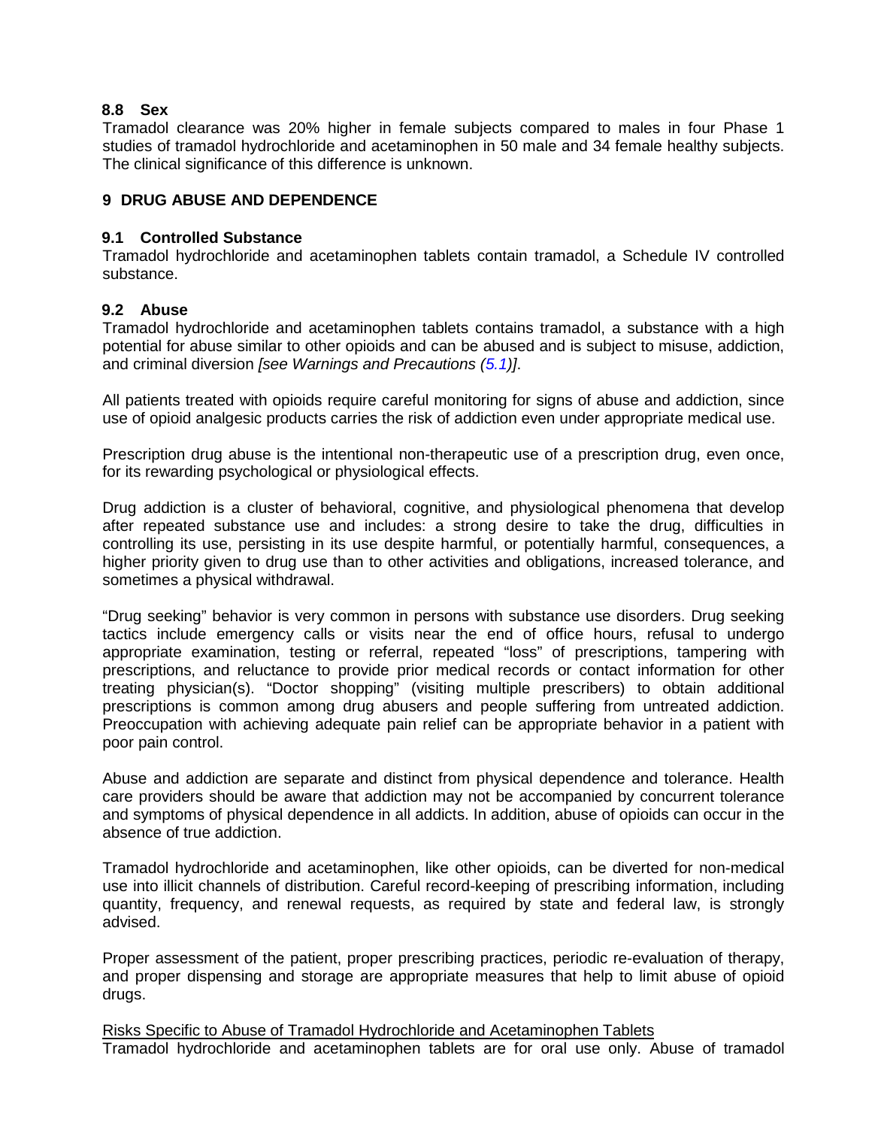## <span id="page-22-0"></span>**8.8 Sex**

Tramadol clearance was 20% higher in female subjects compared to males in four Phase 1 studies of tramadol hydrochloride and acetaminophen in 50 male and 34 female healthy subjects. The clinical significance of this difference is unknown.

## <span id="page-22-1"></span>**9 DRUG ABUSE AND DEPENDENCE**

## <span id="page-22-2"></span>**9.1 Controlled Substance**

Tramadol hydrochloride and acetaminophen tablets contain tramadol, a Schedule IV controlled substance.

## <span id="page-22-3"></span>**9.2 Abuse**

Tramadol hydrochloride and acetaminophen tablets contains tramadol, a substance with a high potential for abuse similar to other opioids and can be abused and is subject to misuse, addiction, and criminal diversion *[see Warnings and Precautions [\(5.1\)](#page-5-0)]*.

All patients treated with opioids require careful monitoring for signs of abuse and addiction, since use of opioid analgesic products carries the risk of addiction even under appropriate medical use.

Prescription drug abuse is the intentional non-therapeutic use of a prescription drug, even once, for its rewarding psychological or physiological effects.

Drug addiction is a cluster of behavioral, cognitive, and physiological phenomena that develop after repeated substance use and includes: a strong desire to take the drug, difficulties in controlling its use, persisting in its use despite harmful, or potentially harmful, consequences, a higher priority given to drug use than to other activities and obligations, increased tolerance, and sometimes a physical withdrawal.

"Drug seeking" behavior is very common in persons with substance use disorders. Drug seeking tactics include emergency calls or visits near the end of office hours, refusal to undergo appropriate examination, testing or referral, repeated "loss" of prescriptions, tampering with prescriptions, and reluctance to provide prior medical records or contact information for other treating physician(s). "Doctor shopping" (visiting multiple prescribers) to obtain additional prescriptions is common among drug abusers and people suffering from untreated addiction. Preoccupation with achieving adequate pain relief can be appropriate behavior in a patient with poor pain control.

Abuse and addiction are separate and distinct from physical dependence and tolerance. Health care providers should be aware that addiction may not be accompanied by concurrent tolerance and symptoms of physical dependence in all addicts. In addition, abuse of opioids can occur in the absence of true addiction.

Tramadol hydrochloride and acetaminophen, like other opioids, can be diverted for non-medical use into illicit channels of distribution. Careful record-keeping of prescribing information, including quantity, frequency, and renewal requests, as required by state and federal law, is strongly advised.

Proper assessment of the patient, proper prescribing practices, periodic re-evaluation of therapy, and proper dispensing and storage are appropriate measures that help to limit abuse of opioid drugs.

Risks Specific to Abuse of Tramadol Hydrochloride and Acetaminophen Tablets Tramadol hydrochloride and acetaminophen tablets are for oral use only. Abuse of tramadol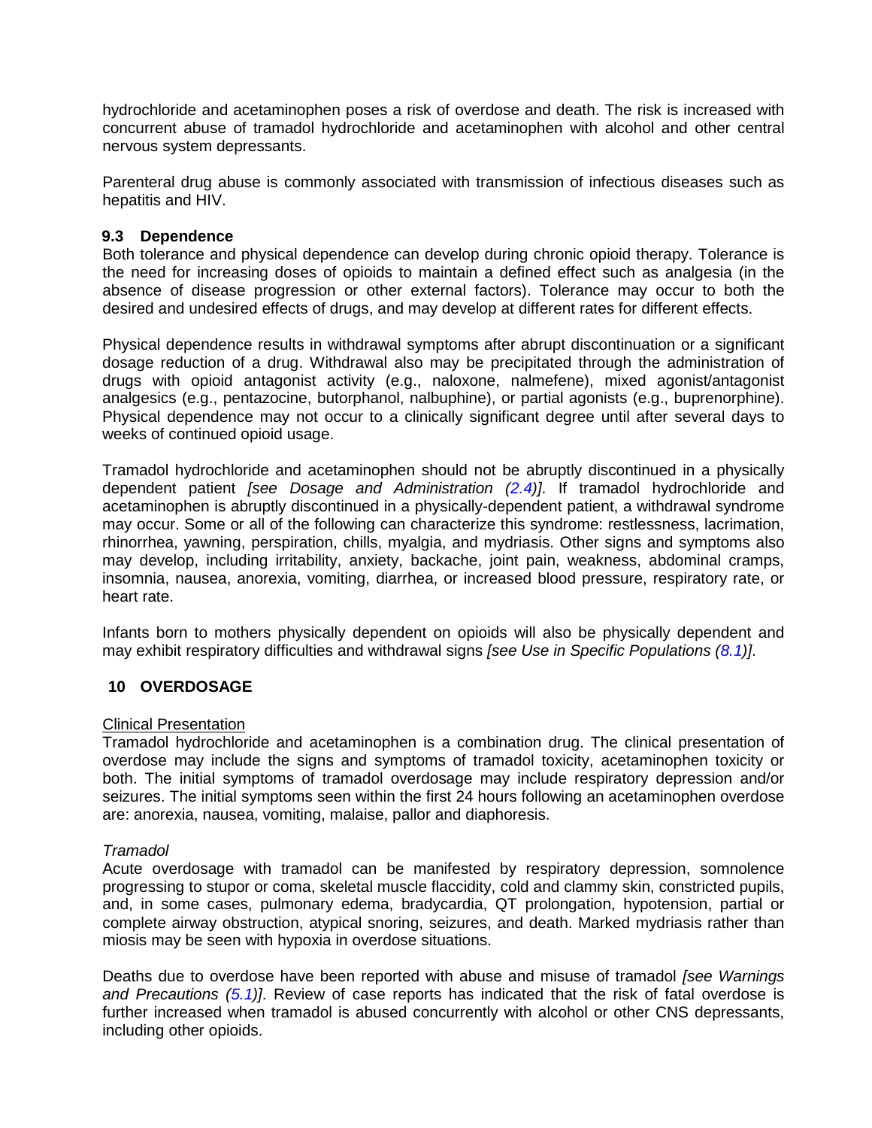hydrochloride and acetaminophen poses a risk of overdose and death. The risk is increased with concurrent abuse of tramadol hydrochloride and acetaminophen with alcohol and other central nervous system depressants.

Parenteral drug abuse is commonly associated with transmission of infectious diseases such as hepatitis and HIV.

## <span id="page-23-0"></span>**9.3 Dependence**

Both tolerance and physical dependence can develop during chronic opioid therapy. Tolerance is the need for increasing doses of opioids to maintain a defined effect such as analgesia (in the absence of disease progression or other external factors). Tolerance may occur to both the desired and undesired effects of drugs, and may develop at different rates for different effects.

Physical dependence results in withdrawal symptoms after abrupt discontinuation or a significant dosage reduction of a drug. Withdrawal also may be precipitated through the administration of drugs with opioid antagonist activity (e.g., naloxone, nalmefene), mixed agonist/antagonist analgesics (e.g., pentazocine, butorphanol, nalbuphine), or partial agonists (e.g., buprenorphine). Physical dependence may not occur to a clinically significant degree until after several days to weeks of continued opioid usage.

Tramadol hydrochloride and acetaminophen should not be abruptly discontinued in a physically dependent patient *[see Dosage and Administration [\(2.4\)](#page-4-3)]*. If tramadol hydrochloride and acetaminophen is abruptly discontinued in a physically-dependent patient, a withdrawal syndrome may occur. Some or all of the following can characterize this syndrome: restlessness, lacrimation, rhinorrhea, yawning, perspiration, chills, myalgia, and mydriasis. Other signs and symptoms also may develop, including irritability, anxiety, backache, joint pain, weakness, abdominal cramps, insomnia, nausea, anorexia, vomiting, diarrhea, or increased blood pressure, respiratory rate, or heart rate.

Infants born to mothers physically dependent on opioids will also be physically dependent and may exhibit respiratory difficulties and withdrawal signs *[see Use in Specific Populations [\(8.1\)](#page-18-0)]*.

#### <span id="page-23-1"></span>**10 OVERDOSAGE**

#### Clinical Presentation

Tramadol hydrochloride and acetaminophen is a combination drug. The clinical presentation of overdose may include the signs and symptoms of tramadol toxicity, acetaminophen toxicity or both. The initial symptoms of tramadol overdosage may include respiratory depression and/or seizures. The initial symptoms seen within the first 24 hours following an acetaminophen overdose are: anorexia, nausea, vomiting, malaise, pallor and diaphoresis.

#### *Tramadol*

Acute overdosage with tramadol can be manifested by respiratory depression, somnolence progressing to stupor or coma, skeletal muscle flaccidity, cold and clammy skin, constricted pupils, and, in some cases, pulmonary edema, bradycardia, QT prolongation, hypotension, partial or complete airway obstruction, atypical snoring, seizures, and death. Marked mydriasis rather than miosis may be seen with hypoxia in overdose situations.

Deaths due to overdose have been reported with abuse and misuse of tramadol *[see Warnings and Precautions [\(5.1\)](#page-5-0)]*. Review of case reports has indicated that the risk of fatal overdose is further increased when tramadol is abused concurrently with alcohol or other CNS depressants, including other opioids.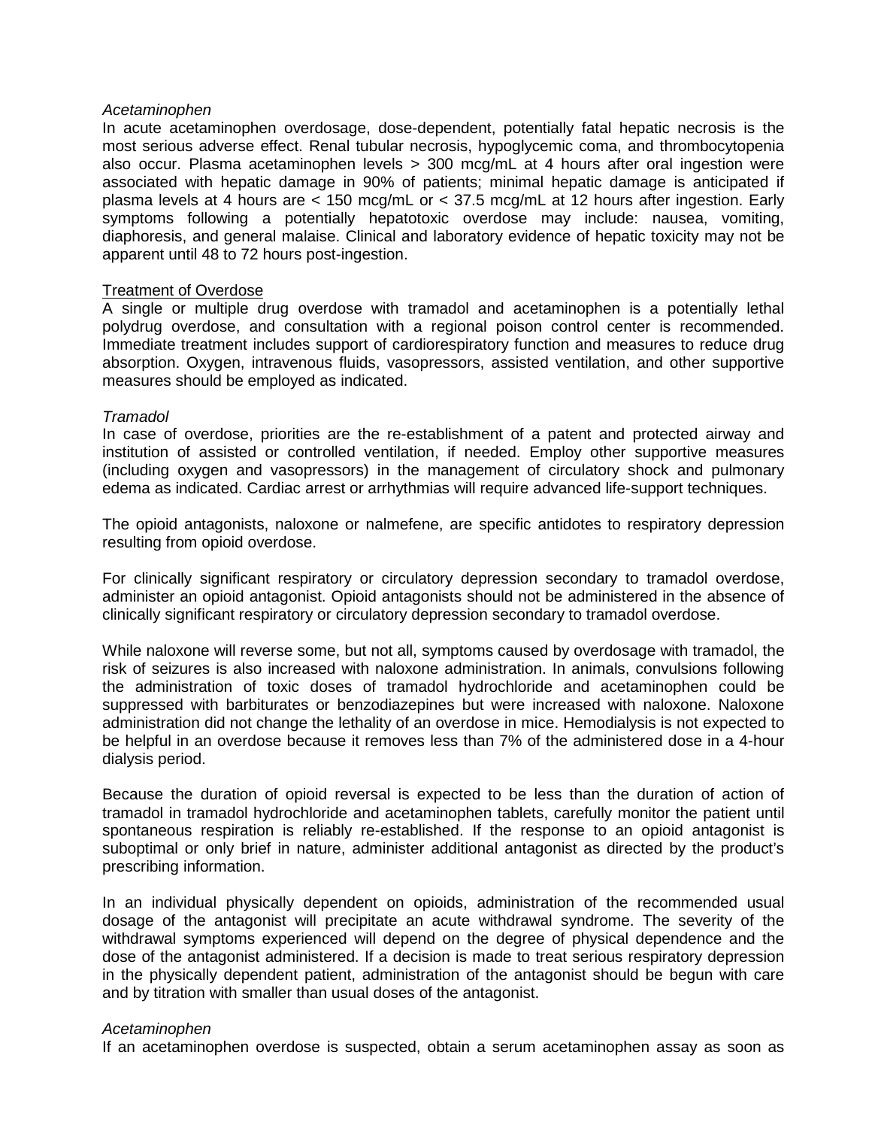#### *Acetaminophen*

In acute acetaminophen overdosage, dose-dependent, potentially fatal hepatic necrosis is the most serious adverse effect. Renal tubular necrosis, hypoglycemic coma, and thrombocytopenia also occur. Plasma acetaminophen levels > 300 mcg/mL at 4 hours after oral ingestion were associated with hepatic damage in 90% of patients; minimal hepatic damage is anticipated if plasma levels at 4 hours are < 150 mcg/mL or < 37.5 mcg/mL at 12 hours after ingestion. Early symptoms following a potentially hepatotoxic overdose may include: nausea, vomiting, diaphoresis, and general malaise. Clinical and laboratory evidence of hepatic toxicity may not be apparent until 48 to 72 hours post-ingestion.

#### Treatment of Overdose

A single or multiple drug overdose with tramadol and acetaminophen is a potentially lethal polydrug overdose, and consultation with a regional poison control center is recommended. Immediate treatment includes support of cardiorespiratory function and measures to reduce drug absorption. Oxygen, intravenous fluids, vasopressors, assisted ventilation, and other supportive measures should be employed as indicated.

#### *Tramadol*

In case of overdose, priorities are the re-establishment of a patent and protected airway and institution of assisted or controlled ventilation, if needed. Employ other supportive measures (including oxygen and vasopressors) in the management of circulatory shock and pulmonary edema as indicated. Cardiac arrest or arrhythmias will require advanced life-support techniques.

The opioid antagonists, naloxone or nalmefene, are specific antidotes to respiratory depression resulting from opioid overdose.

For clinically significant respiratory or circulatory depression secondary to tramadol overdose, administer an opioid antagonist. Opioid antagonists should not be administered in the absence of clinically significant respiratory or circulatory depression secondary to tramadol overdose.

While naloxone will reverse some, but not all, symptoms caused by overdosage with tramadol, the risk of seizures is also increased with naloxone administration. In animals, convulsions following the administration of toxic doses of tramadol hydrochloride and acetaminophen could be suppressed with barbiturates or benzodiazepines but were increased with naloxone. Naloxone administration did not change the lethality of an overdose in mice. Hemodialysis is not expected to be helpful in an overdose because it removes less than 7% of the administered dose in a 4-hour dialysis period.

Because the duration of opioid reversal is expected to be less than the duration of action of tramadol in tramadol hydrochloride and acetaminophen tablets, carefully monitor the patient until spontaneous respiration is reliably re-established. If the response to an opioid antagonist is suboptimal or only brief in nature, administer additional antagonist as directed by the product's prescribing information.

In an individual physically dependent on opioids, administration of the recommended usual dosage of the antagonist will precipitate an acute withdrawal syndrome. The severity of the withdrawal symptoms experienced will depend on the degree of physical dependence and the dose of the antagonist administered. If a decision is made to treat serious respiratory depression in the physically dependent patient, administration of the antagonist should be begun with care and by titration with smaller than usual doses of the antagonist.

#### *Acetaminophen*

If an acetaminophen overdose is suspected, obtain a serum acetaminophen assay as soon as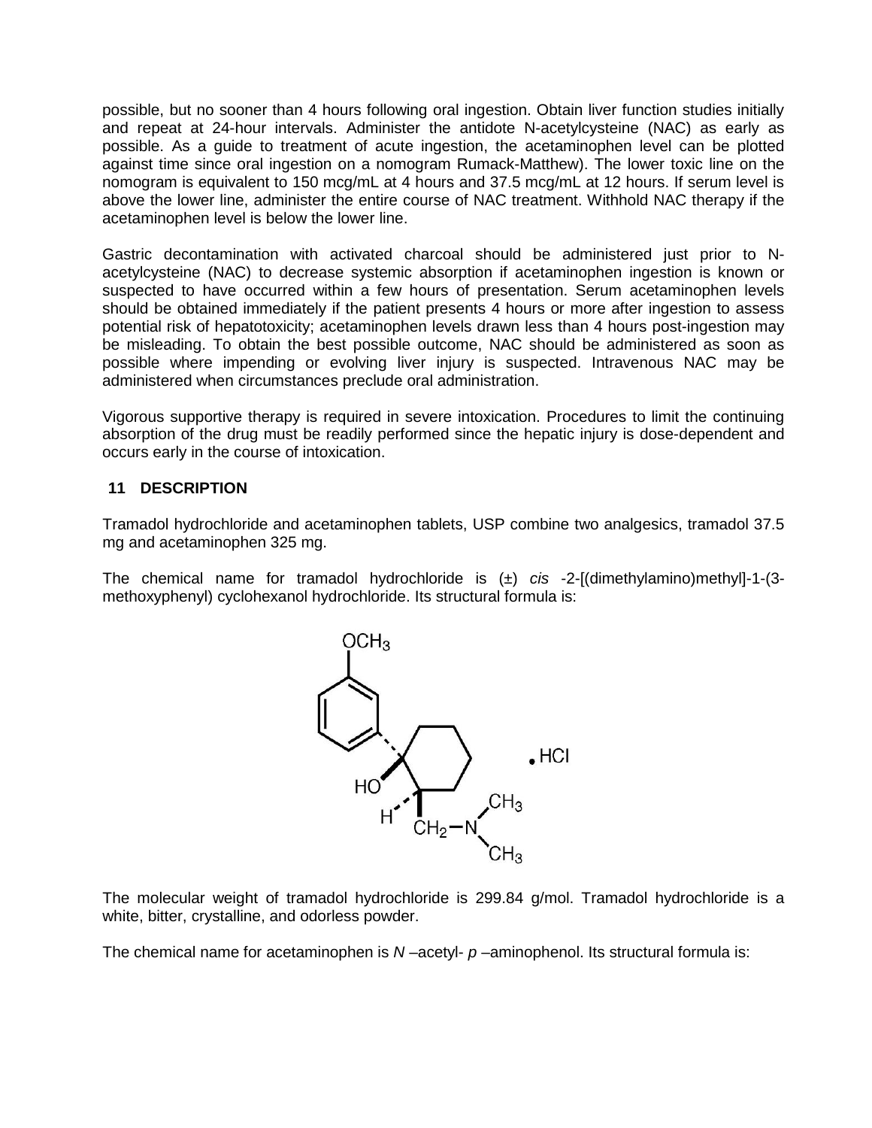possible, but no sooner than 4 hours following oral ingestion. Obtain liver function studies initially and repeat at 24-hour intervals. Administer the antidote N-acetylcysteine (NAC) as early as possible. As a guide to treatment of acute ingestion, the acetaminophen level can be plotted against time since oral ingestion on a nomogram Rumack-Matthew). The lower toxic line on the nomogram is equivalent to 150 mcg/mL at 4 hours and 37.5 mcg/mL at 12 hours. If serum level is above the lower line, administer the entire course of NAC treatment. Withhold NAC therapy if the acetaminophen level is below the lower line.

Gastric decontamination with activated charcoal should be administered just prior to Nacetylcysteine (NAC) to decrease systemic absorption if acetaminophen ingestion is known or suspected to have occurred within a few hours of presentation. Serum acetaminophen levels should be obtained immediately if the patient presents 4 hours or more after ingestion to assess potential risk of hepatotoxicity; acetaminophen levels drawn less than 4 hours post-ingestion may be misleading. To obtain the best possible outcome, NAC should be administered as soon as possible where impending or evolving liver injury is suspected. Intravenous NAC may be administered when circumstances preclude oral administration.

Vigorous supportive therapy is required in severe intoxication. Procedures to limit the continuing absorption of the drug must be readily performed since the hepatic injury is dose-dependent and occurs early in the course of intoxication.

## <span id="page-25-0"></span>**11 DESCRIPTION**

Tramadol hydrochloride and acetaminophen tablets, USP combine two analgesics, tramadol 37.5 mg and acetaminophen 325 mg.

The chemical name for tramadol hydrochloride is (±) *cis* -2-[(dimethylamino)methyl]-1-(3 methoxyphenyl) cyclohexanol hydrochloride. Its structural formula is:



The molecular weight of tramadol hydrochloride is 299.84 g/mol. Tramadol hydrochloride is a white, bitter, crystalline, and odorless powder.

The chemical name for acetaminophen is *N* –acetyl-  $p$  –aminophenol. Its structural formula is: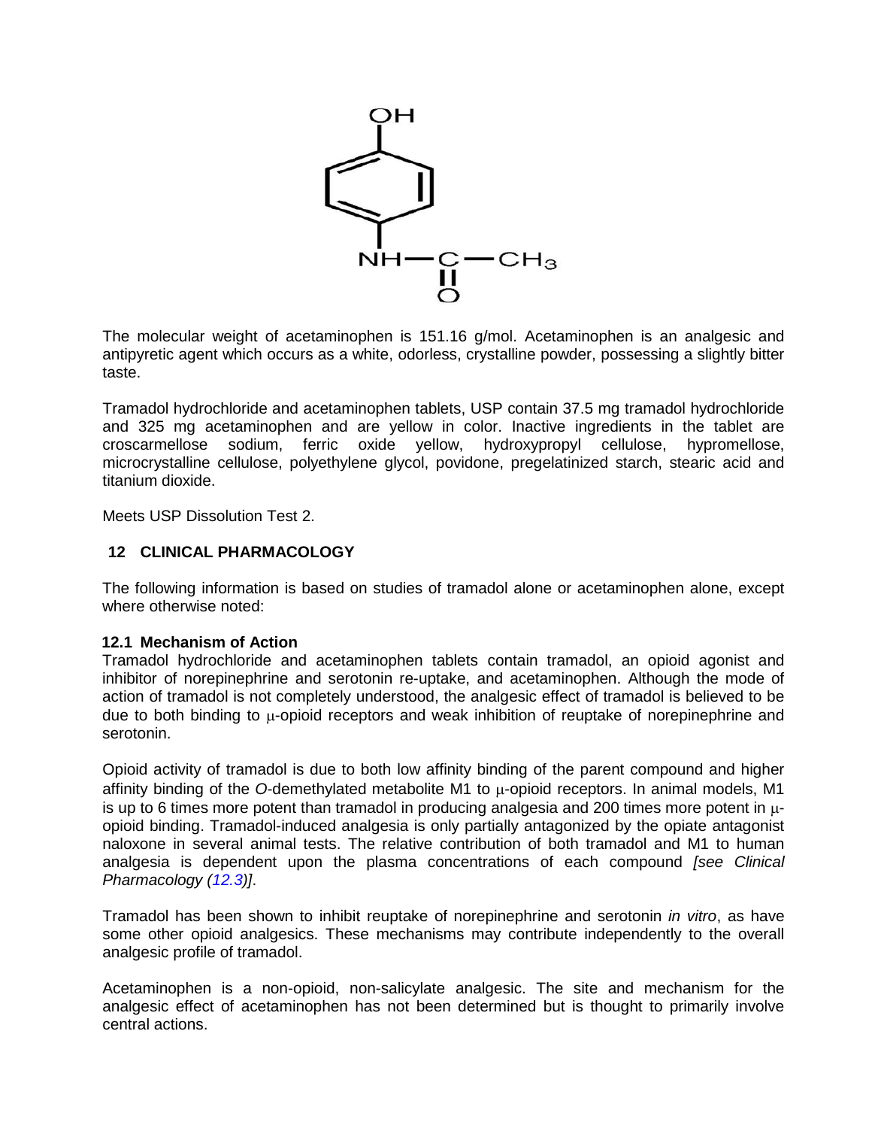

The molecular weight of acetaminophen is 151.16 g/mol. Acetaminophen is an analgesic and antipyretic agent which occurs as a white, odorless, crystalline powder, possessing a slightly bitter taste.

Tramadol hydrochloride and acetaminophen tablets, USP contain 37.5 mg tramadol hydrochloride and 325 mg acetaminophen and are yellow in color. Inactive ingredients in the tablet are croscarmellose sodium, ferric oxide yellow, hydroxypropyl cellulose, hypromellose, microcrystalline cellulose, polyethylene glycol, povidone, pregelatinized starch, stearic acid and titanium dioxide.

Meets USP Dissolution Test 2.

## <span id="page-26-0"></span>**12 CLINICAL PHARMACOLOGY**

The following information is based on studies of tramadol alone or acetaminophen alone, except where otherwise noted:

## <span id="page-26-1"></span>**12.1 Mechanism of Action**

Tramadol hydrochloride and acetaminophen tablets contain tramadol, an opioid agonist and inhibitor of norepinephrine and serotonin re-uptake, and acetaminophen. Although the mode of action of tramadol is not completely understood, the analgesic effect of tramadol is believed to be due to both binding to µ-opioid receptors and weak inhibition of reuptake of norepinephrine and serotonin.

Opioid activity of tramadol is due to both low affinity binding of the parent compound and higher affinity binding of the *O*-demethylated metabolite M1 to µ-opioid receptors. In animal models, M1 is up to 6 times more potent than tramadol in producing analgesia and 200 times more potent in  $\mu$ opioid binding. Tramadol-induced analgesia is only partially antagonized by the opiate antagonist naloxone in several animal tests. The relative contribution of both tramadol and M1 to human analgesia is dependent upon the plasma concentrations of each compound *[see Clinical Pharmacology [\(12.3\)](#page-28-0)]*.

Tramadol has been shown to inhibit reuptake of norepinephrine and serotonin *in vitro*, as have some other opioid analgesics. These mechanisms may contribute independently to the overall analgesic profile of tramadol.

Acetaminophen is a non-opioid, non-salicylate analgesic. The site and mechanism for the analgesic effect of acetaminophen has not been determined but is thought to primarily involve central actions.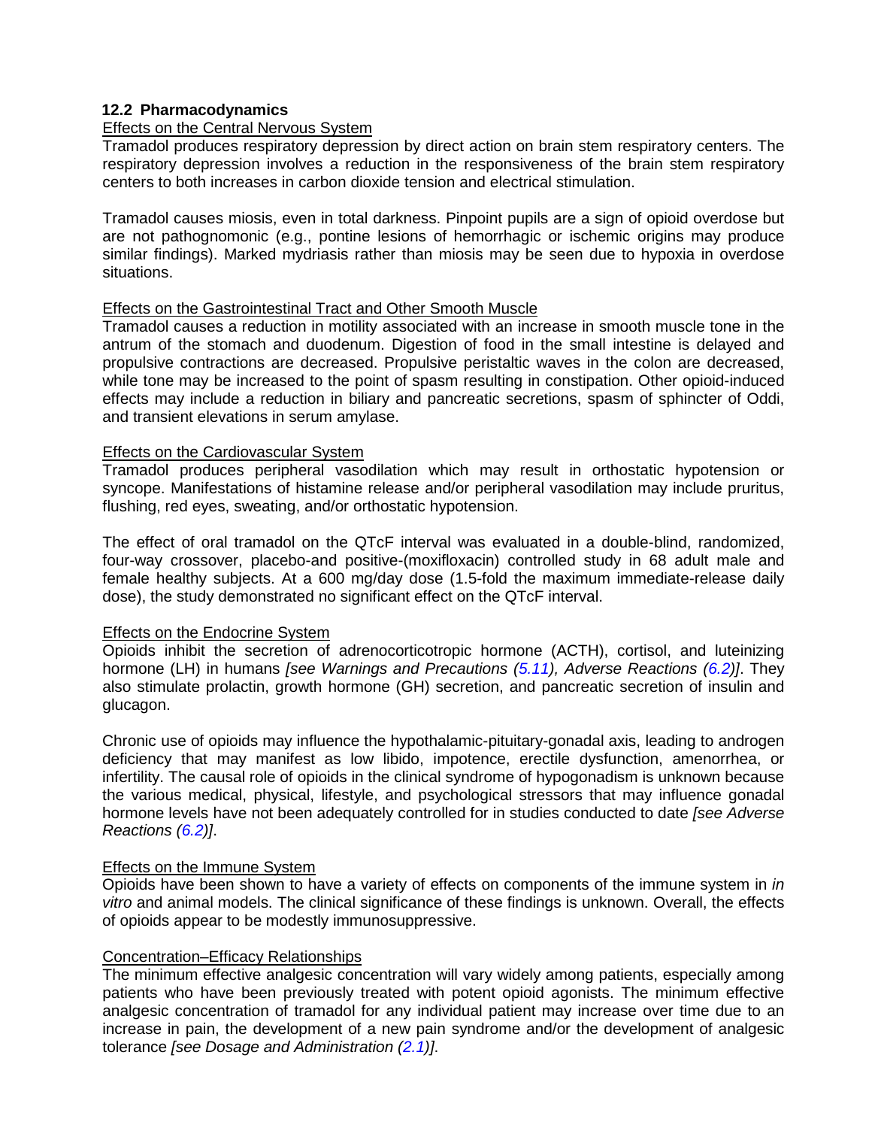#### <span id="page-27-0"></span>**12.2 Pharmacodynamics**

## **Effects on the Central Nervous System**

Tramadol produces respiratory depression by direct action on brain stem respiratory centers. The respiratory depression involves a reduction in the responsiveness of the brain stem respiratory centers to both increases in carbon dioxide tension and electrical stimulation.

Tramadol causes miosis, even in total darkness. Pinpoint pupils are a sign of opioid overdose but are not pathognomonic (e.g., pontine lesions of hemorrhagic or ischemic origins may produce similar findings). Marked mydriasis rather than miosis may be seen due to hypoxia in overdose situations.

#### Effects on the Gastrointestinal Tract and Other Smooth Muscle

Tramadol causes a reduction in motility associated with an increase in smooth muscle tone in the antrum of the stomach and duodenum. Digestion of food in the small intestine is delayed and propulsive contractions are decreased. Propulsive peristaltic waves in the colon are decreased, while tone may be increased to the point of spasm resulting in constipation. Other opioid-induced effects may include a reduction in biliary and pancreatic secretions, spasm of sphincter of Oddi, and transient elevations in serum amylase.

#### Effects on the Cardiovascular System

Tramadol produces peripheral vasodilation which may result in orthostatic hypotension or syncope. Manifestations of histamine release and/or peripheral vasodilation may include pruritus, flushing, red eyes, sweating, and/or orthostatic hypotension.

The effect of oral tramadol on the QTcF interval was evaluated in a double-blind, randomized, four-way crossover, placebo-and positive-(moxifloxacin) controlled study in 68 adult male and female healthy subjects. At a 600 mg/day dose (1.5-fold the maximum immediate-release daily dose), the study demonstrated no significant effect on the QTcF interval.

## Effects on the Endocrine System

Opioids inhibit the secretion of adrenocorticotropic hormone (ACTH), cortisol, and luteinizing hormone (LH) in humans *[see Warnings and Precautions [\(5.11\)](#page-10-1), Adverse Reactions [\(6.2\)](#page-14-0)]*. They also stimulate prolactin, growth hormone (GH) secretion, and pancreatic secretion of insulin and glucagon.

Chronic use of opioids may influence the hypothalamic-pituitary-gonadal axis, leading to androgen deficiency that may manifest as low libido, impotence, erectile dysfunction, amenorrhea, or infertility. The causal role of opioids in the clinical syndrome of hypogonadism is unknown because the various medical, physical, lifestyle, and psychological stressors that may influence gonadal hormone levels have not been adequately controlled for in studies conducted to date *[see Adverse Reactions [\(6.2\)](#page-14-0)]*.

#### Effects on the Immune System

Opioids have been shown to have a variety of effects on components of the immune system in *in vitro* and animal models. The clinical significance of these findings is unknown. Overall, the effects of opioids appear to be modestly immunosuppressive.

## Concentration–Efficacy Relationships

The minimum effective analgesic concentration will vary widely among patients, especially among patients who have been previously treated with potent opioid agonists. The minimum effective analgesic concentration of tramadol for any individual patient may increase over time due to an increase in pain, the development of a new pain syndrome and/or the development of analgesic tolerance *[see Dosage and Administration [\(2.1\)](#page-3-2)]*.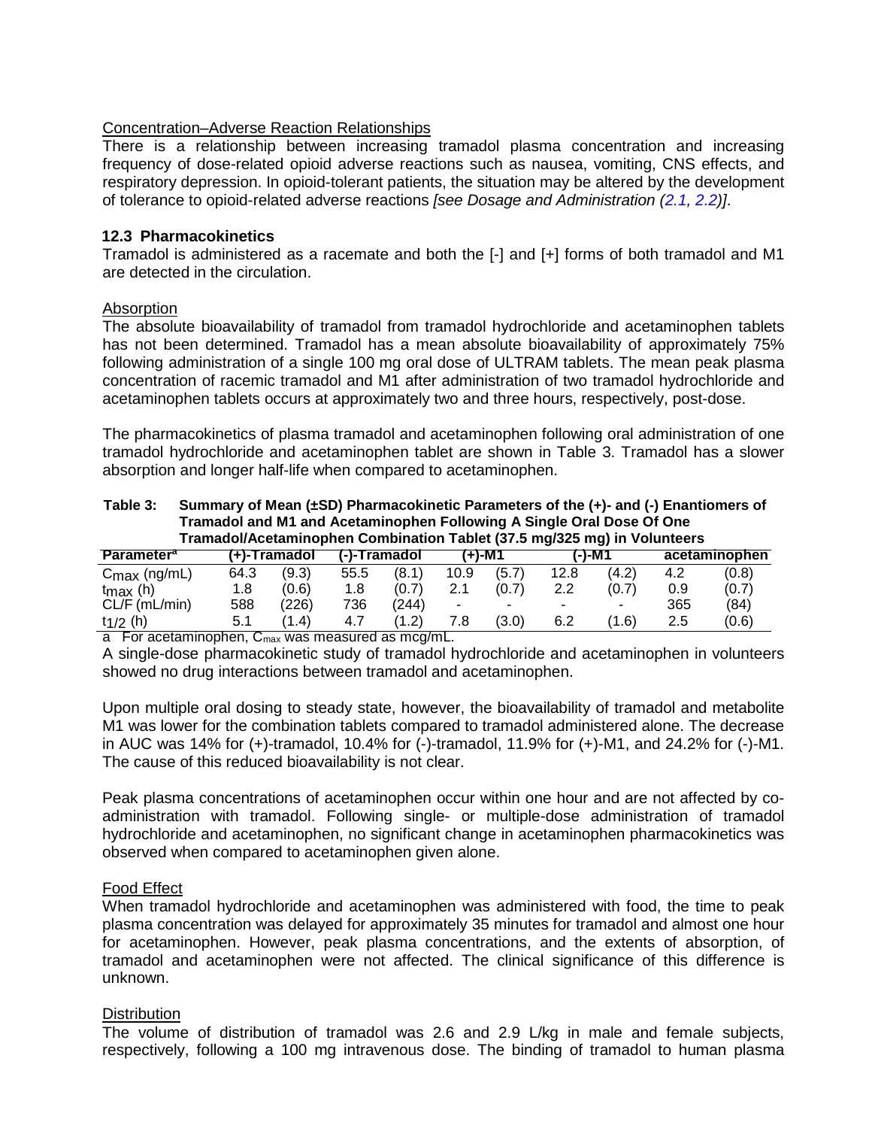#### Concentration–Adverse Reaction Relationships

There is a relationship between increasing tramadol plasma concentration and increasing frequency of dose-related opioid adverse reactions such as nausea, vomiting, CNS effects, and respiratory depression. In opioid-tolerant patients, the situation may be altered by the development of tolerance to opioid-related adverse reactions *[see Dosage and Administration [\(2.1,](#page-3-2) [2.2\)](#page-4-1)]*.

#### <span id="page-28-0"></span>**12.3 Pharmacokinetics**

Tramadol is administered as a racemate and both the [-] and [+] forms of both tramadol and M1 are detected in the circulation.

#### **Absorption**

The absolute bioavailability of tramadol from tramadol hydrochloride and acetaminophen tablets has not been determined. Tramadol has a mean absolute bioavailability of approximately 75% following administration of a single 100 mg oral dose of ULTRAM tablets. The mean peak plasma concentration of racemic tramadol and M1 after administration of two tramadol hydrochloride and acetaminophen tablets occurs at approximately two and three hours, respectively, post-dose.

The pharmacokinetics of plasma tramadol and acetaminophen following oral administration of one tramadol hydrochloride and acetaminophen tablet are shown in Table 3. Tramadol has a slower absorption and longer half-life when compared to acetaminophen.

| Tramadol and M1 and Acetaminophen Following A Single Oral Dose Of One<br>Tramadol/Acetaminophen Combination Tablet (37.5 mg/325 mg) in Volunteers |      |              |      |            |        |       |               |       |     |               |
|---------------------------------------------------------------------------------------------------------------------------------------------------|------|--------------|------|------------|--------|-------|---------------|-------|-----|---------------|
| <b>Parameter</b> <sup>a</sup>                                                                                                                     |      | (+)-Tramadol |      | 7-Tramadol | (+)-M1 |       | (-)-M1        |       |     | acetaminophen |
| $C_{\text{max}}$ (ng/mL)                                                                                                                          | 64.3 | (9.3)        | 55.5 | (8.1)      | 10.9   | (5.7) | 12.8          | (4.2) | 4.2 | (0.8)         |
| $t$ max $(h)$                                                                                                                                     | 1.8  | (0.6)        | 1.8  | (0.7)      | 2.1    | (0.7) | $2.2^{\circ}$ | (0.7) | 0.9 | (0.7)         |
| $CL/F$ (mL/min)                                                                                                                                   | 588  | '226)        | 736  | (244)      |        | -     |               |       | 365 | (84)          |
| $t_{1/2}$ (h)                                                                                                                                     | 5.1  | (1.4)        | 4.7  | (1.2)      | 7.8    | (3.0) | 6.2           | (1.6) | 2.5 | (0.6)         |

**Table 3: Summary of Mean (±SD) Pharmacokinetic Parameters of the (+)- and (-) Enantiomers of** 

a For acetaminophen, C<sub>max</sub> was measured as mcg/mL.

A single-dose pharmacokinetic study of tramadol hydrochloride and acetaminophen in volunteers showed no drug interactions between tramadol and acetaminophen.

Upon multiple oral dosing to steady state, however, the bioavailability of tramadol and metabolite M1 was lower for the combination tablets compared to tramadol administered alone. The decrease in AUC was 14% for (+)-tramadol, 10.4% for (-)-tramadol, 11.9% for (+)-M1, and 24.2% for (-)-M1. The cause of this reduced bioavailability is not clear.

Peak plasma concentrations of acetaminophen occur within one hour and are not affected by coadministration with tramadol. Following single- or multiple-dose administration of tramadol hydrochloride and acetaminophen, no significant change in acetaminophen pharmacokinetics was observed when compared to acetaminophen given alone.

## Food Effect

When tramadol hydrochloride and acetaminophen was administered with food, the time to peak plasma concentration was delayed for approximately 35 minutes for tramadol and almost one hour for acetaminophen. However, peak plasma concentrations, and the extents of absorption, of tramadol and acetaminophen were not affected. The clinical significance of this difference is unknown.

## **Distribution**

The volume of distribution of tramadol was 2.6 and 2.9 L/kg in male and female subjects, respectively, following a 100 mg intravenous dose. The binding of tramadol to human plasma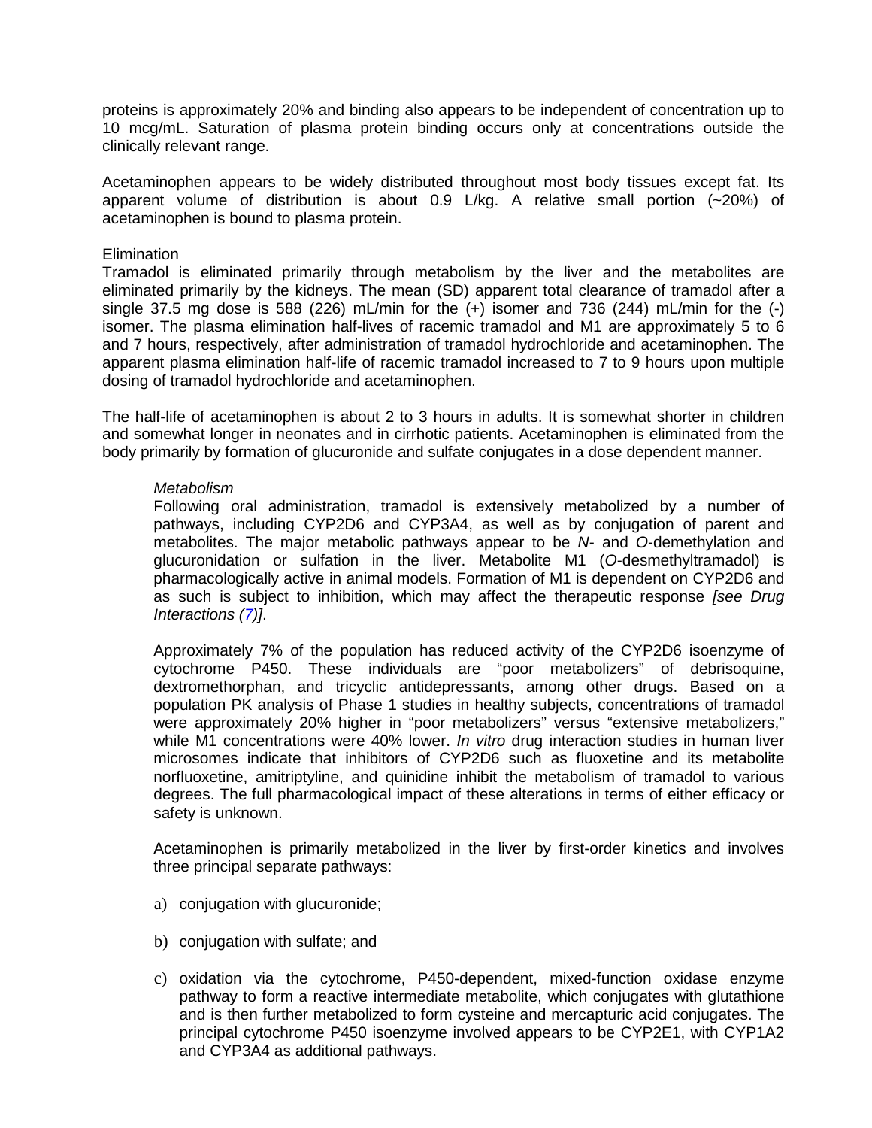proteins is approximately 20% and binding also appears to be independent of concentration up to 10 mcg/mL. Saturation of plasma protein binding occurs only at concentrations outside the clinically relevant range.

Acetaminophen appears to be widely distributed throughout most body tissues except fat. Its apparent volume of distribution is about 0.9 L/kg. A relative small portion (~20%) of acetaminophen is bound to plasma protein.

#### **Elimination**

Tramadol is eliminated primarily through metabolism by the liver and the metabolites are eliminated primarily by the kidneys. The mean (SD) apparent total clearance of tramadol after a single 37.5 mg dose is 588 (226) mL/min for the  $(+)$  isomer and 736 (244) mL/min for the  $(-)$ isomer. The plasma elimination half-lives of racemic tramadol and M1 are approximately 5 to 6 and 7 hours, respectively, after administration of tramadol hydrochloride and acetaminophen. The apparent plasma elimination half-life of racemic tramadol increased to 7 to 9 hours upon multiple dosing of tramadol hydrochloride and acetaminophen.

The half-life of acetaminophen is about 2 to 3 hours in adults. It is somewhat shorter in children and somewhat longer in neonates and in cirrhotic patients. Acetaminophen is eliminated from the body primarily by formation of glucuronide and sulfate conjugates in a dose dependent manner.

#### *Metabolism*

Following oral administration, tramadol is extensively metabolized by a number of pathways, including CYP2D6 and CYP3A4, as well as by conjugation of parent and metabolites. The major metabolic pathways appear to be *N*- and *O*-demethylation and glucuronidation or sulfation in the liver. Metabolite M1 (*O*-desmethyltramadol) is pharmacologically active in animal models. Formation of M1 is dependent on CYP2D6 and as such is subject to inhibition, which may affect the therapeutic response *[see Drug Interactions [\(7\)](#page-15-0)]*.

Approximately 7% of the population has reduced activity of the CYP2D6 isoenzyme of cytochrome P450. These individuals are "poor metabolizers" of debrisoquine, dextromethorphan, and tricyclic antidepressants, among other drugs. Based on a population PK analysis of Phase 1 studies in healthy subjects, concentrations of tramadol were approximately 20% higher in "poor metabolizers" versus "extensive metabolizers," while M1 concentrations were 40% lower. *In vitro* drug interaction studies in human liver microsomes indicate that inhibitors of CYP2D6 such as fluoxetine and its metabolite norfluoxetine, amitriptyline, and quinidine inhibit the metabolism of tramadol to various degrees. The full pharmacological impact of these alterations in terms of either efficacy or safety is unknown.

Acetaminophen is primarily metabolized in the liver by first-order kinetics and involves three principal separate pathways:

- a) conjugation with glucuronide;
- b) conjugation with sulfate; and
- c) oxidation via the cytochrome, P450-dependent, mixed-function oxidase enzyme pathway to form a reactive intermediate metabolite, which conjugates with glutathione and is then further metabolized to form cysteine and mercapturic acid conjugates. The principal cytochrome P450 isoenzyme involved appears to be CYP2E1, with CYP1A2 and CYP3A4 as additional pathways.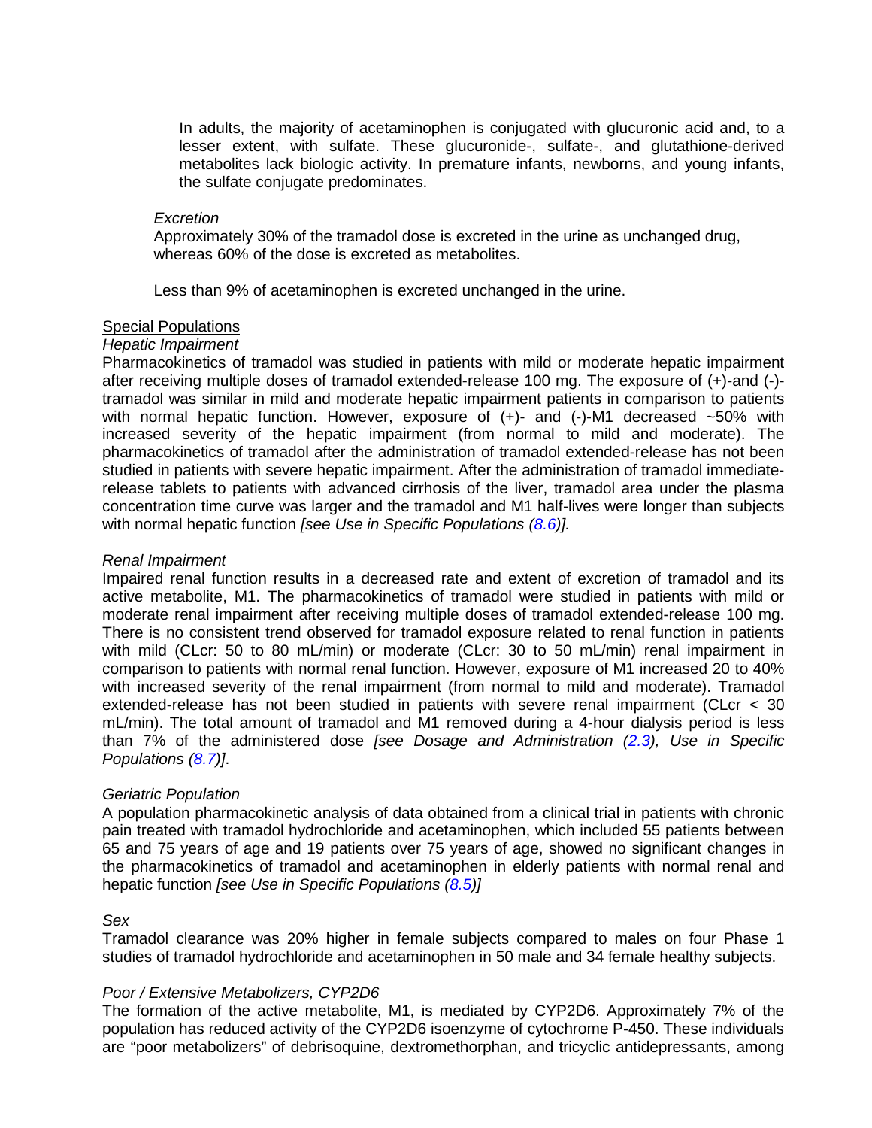In adults, the majority of acetaminophen is conjugated with glucuronic acid and, to a lesser extent, with sulfate. These glucuronide-, sulfate-, and glutathione-derived metabolites lack biologic activity. In premature infants, newborns, and young infants, the sulfate conjugate predominates.

#### *Excretion*

Approximately 30% of the tramadol dose is excreted in the urine as unchanged drug, whereas 60% of the dose is excreted as metabolites.

Less than 9% of acetaminophen is excreted unchanged in the urine.

#### Special Populations

#### *Hepatic Impairment*

Pharmacokinetics of tramadol was studied in patients with mild or moderate hepatic impairment after receiving multiple doses of tramadol extended-release 100 mg. The exposure of (+)-and (-) tramadol was similar in mild and moderate hepatic impairment patients in comparison to patients with normal hepatic function. However, exposure of  $(+)$ - and  $(-)$ -M1 decreased  $\sim$ 50% with increased severity of the hepatic impairment (from normal to mild and moderate). The pharmacokinetics of tramadol after the administration of tramadol extended-release has not been studied in patients with severe hepatic impairment. After the administration of tramadol immediaterelease tablets to patients with advanced cirrhosis of the liver, tramadol area under the plasma concentration time curve was larger and the tramadol and M1 half-lives were longer than subjects with normal hepatic function *[see Use in Specific Populations [\(8.6\)](#page-21-1)].*

#### *Renal Impairment*

Impaired renal function results in a decreased rate and extent of excretion of tramadol and its active metabolite, M1. The pharmacokinetics of tramadol were studied in patients with mild or moderate renal impairment after receiving multiple doses of tramadol extended-release 100 mg. There is no consistent trend observed for tramadol exposure related to renal function in patients with mild (CLcr: 50 to 80 mL/min) or moderate (CLcr: 30 to 50 mL/min) renal impairment in comparison to patients with normal renal function. However, exposure of M1 increased 20 to 40% with increased severity of the renal impairment (from normal to mild and moderate). Tramadol extended-release has not been studied in patients with severe renal impairment (CLcr < 30 mL/min). The total amount of tramadol and M1 removed during a 4-hour dialysis period is less than 7% of the administered dose *[see Dosage and Administration [\(2.3\)](#page-4-2), Use in Specific Populations [\(8.7\)](#page-21-2)]*.

#### *Geriatric Population*

A population pharmacokinetic analysis of data obtained from a clinical trial in patients with chronic pain treated with tramadol hydrochloride and acetaminophen, which included 55 patients between 65 and 75 years of age and 19 patients over 75 years of age, showed no significant changes in the pharmacokinetics of tramadol and acetaminophen in elderly patients with normal renal and hepatic function *[see Use in Specific Populations [\(8.5\)](#page-21-0)]*

#### *Sex*

Tramadol clearance was 20% higher in female subjects compared to males on four Phase 1 studies of tramadol hydrochloride and acetaminophen in 50 male and 34 female healthy subjects.

#### *Poor / Extensive Metabolizers, CYP2D6*

The formation of the active metabolite, M1, is mediated by CYP2D6. Approximately 7% of the population has reduced activity of the CYP2D6 isoenzyme of cytochrome P-450. These individuals are "poor metabolizers" of debrisoquine, dextromethorphan, and tricyclic antidepressants, among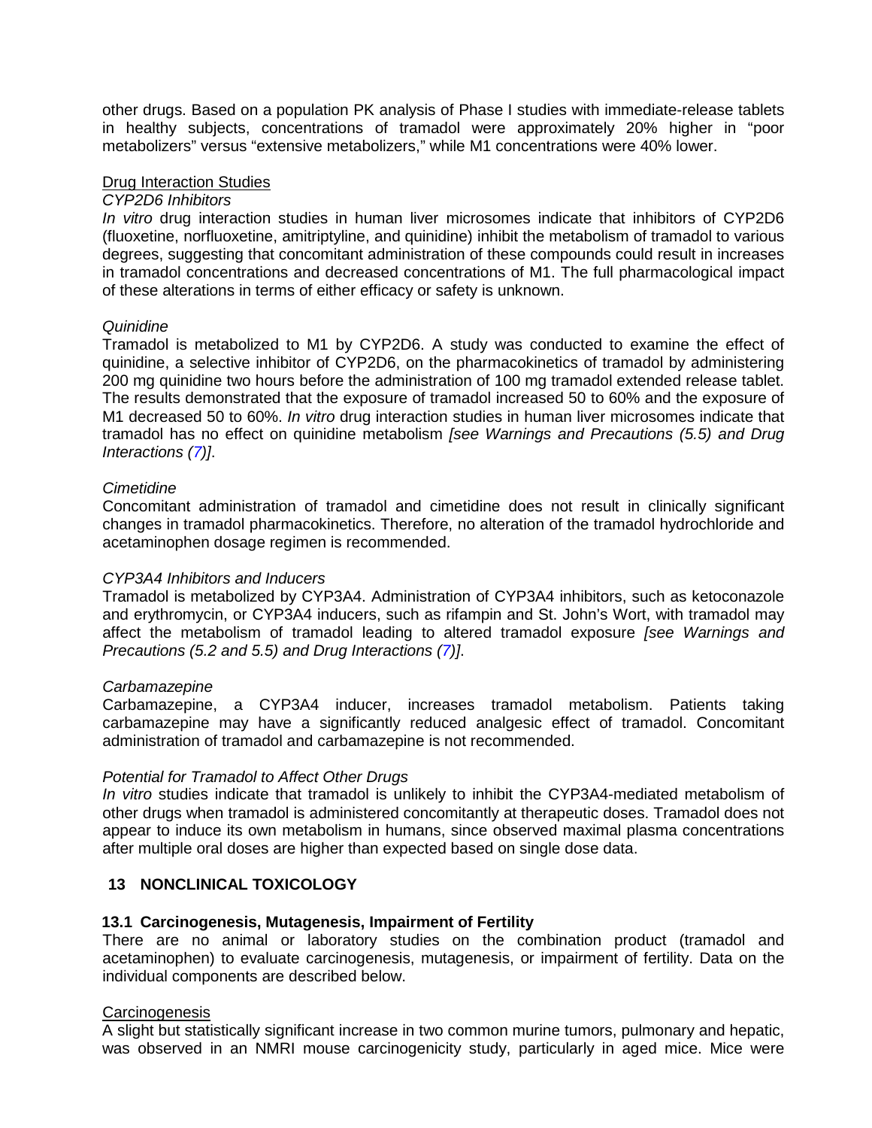other drugs. Based on a population PK analysis of Phase I studies with immediate-release tablets in healthy subjects, concentrations of tramadol were approximately 20% higher in "poor metabolizers" versus "extensive metabolizers," while M1 concentrations were 40% lower.

#### Drug Interaction Studies

#### *CYP2D6 Inhibitors*

*In vitro* drug interaction studies in human liver microsomes indicate that inhibitors of CYP2D6 (fluoxetine, norfluoxetine, amitriptyline, and quinidine) inhibit the metabolism of tramadol to various degrees, suggesting that concomitant administration of these compounds could result in increases in tramadol concentrations and decreased concentrations of M1. The full pharmacological impact of these alterations in terms of either efficacy or safety is unknown.

#### *Quinidine*

Tramadol is metabolized to M1 by CYP2D6. A study was conducted to examine the effect of quinidine, a selective inhibitor of CYP2D6, on the pharmacokinetics of tramadol by administering 200 mg quinidine two hours before the administration of 100 mg tramadol extended release tablet. The results demonstrated that the exposure of tramadol increased 50 to 60% and the exposure of M1 decreased 50 to 60%. *In vitro* drug interaction studies in human liver microsomes indicate that tramadol has no effect on quinidine metabolism *[see Warnings and Precautions (5.5) and Drug Interactions [\(7\)](#page-15-0)]*.

#### *Cimetidine*

Concomitant administration of tramadol and cimetidine does not result in clinically significant changes in tramadol pharmacokinetics. Therefore, no alteration of the tramadol hydrochloride and acetaminophen dosage regimen is recommended.

#### *CYP3A4 Inhibitors and Inducers*

Tramadol is metabolized by CYP3A4. Administration of CYP3A4 inhibitors, such as ketoconazole and erythromycin, or CYP3A4 inducers, such as rifampin and St. John's Wort, with tramadol may affect the metabolism of tramadol leading to altered tramadol exposure *[see Warnings and Precautions (5.2 and 5.5) and Drug Interactions [\(7\)](#page-15-0)]*.

#### *Carbamazepine*

Carbamazepine, a CYP3A4 inducer, increases tramadol metabolism. Patients taking carbamazepine may have a significantly reduced analgesic effect of tramadol. Concomitant administration of tramadol and carbamazepine is not recommended.

## *Potential for Tramadol to Affect Other Drugs*

*In vitro* studies indicate that tramadol is unlikely to inhibit the CYP3A4-mediated metabolism of other drugs when tramadol is administered concomitantly at therapeutic doses. Tramadol does not appear to induce its own metabolism in humans, since observed maximal plasma concentrations after multiple oral doses are higher than expected based on single dose data.

## <span id="page-31-0"></span>**13 NONCLINICAL TOXICOLOGY**

#### <span id="page-31-1"></span>**13.1 Carcinogenesis, Mutagenesis, Impairment of Fertility**

There are no animal or laboratory studies on the combination product (tramadol and acetaminophen) to evaluate carcinogenesis, mutagenesis, or impairment of fertility. Data on the individual components are described below.

## **Carcinogenesis**

A slight but statistically significant increase in two common murine tumors, pulmonary and hepatic, was observed in an NMRI mouse carcinogenicity study, particularly in aged mice. Mice were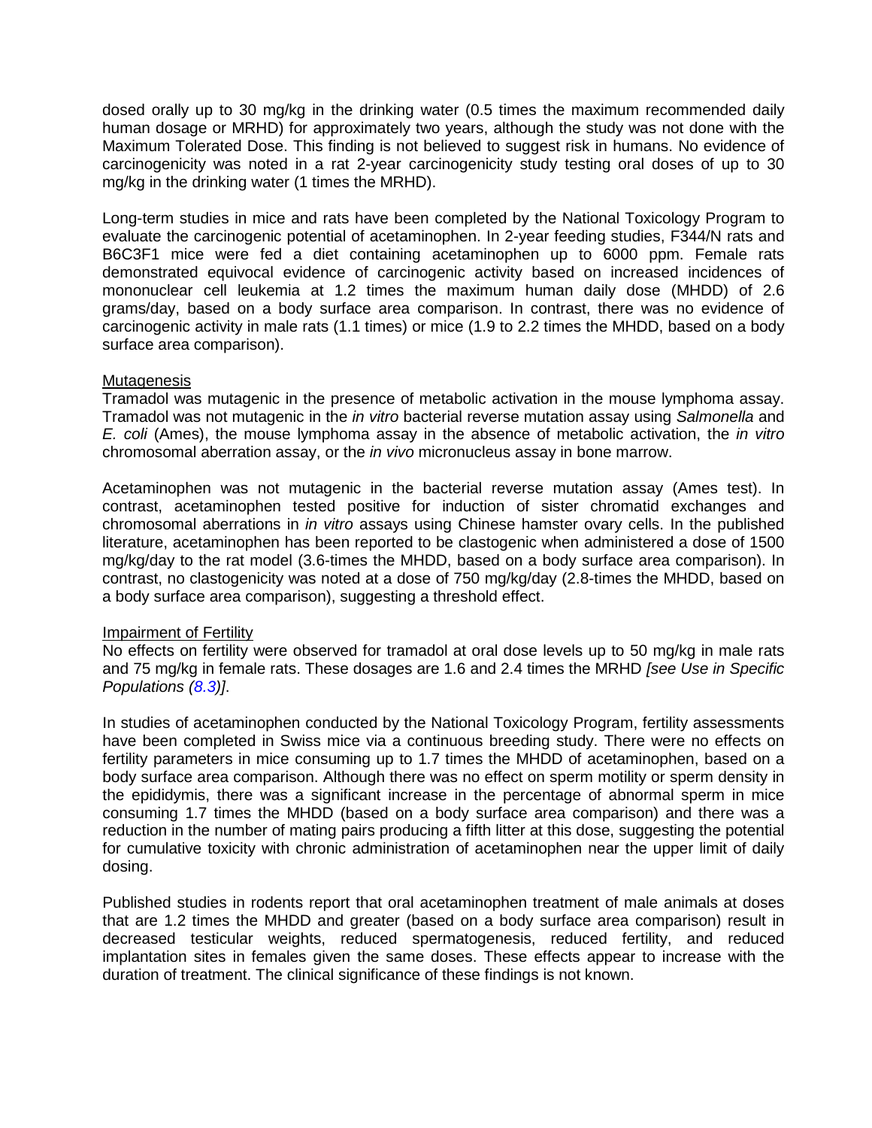dosed orally up to 30 mg/kg in the drinking water (0.5 times the maximum recommended daily human dosage or MRHD) for approximately two years, although the study was not done with the Maximum Tolerated Dose. This finding is not believed to suggest risk in humans. No evidence of carcinogenicity was noted in a rat 2-year carcinogenicity study testing oral doses of up to 30 mg/kg in the drinking water (1 times the MRHD).

Long-term studies in mice and rats have been completed by the National Toxicology Program to evaluate the carcinogenic potential of acetaminophen. In 2-year feeding studies, F344/N rats and B6C3F1 mice were fed a diet containing acetaminophen up to 6000 ppm. Female rats demonstrated equivocal evidence of carcinogenic activity based on increased incidences of mononuclear cell leukemia at 1.2 times the maximum human daily dose (MHDD) of 2.6 grams/day, based on a body surface area comparison. In contrast, there was no evidence of carcinogenic activity in male rats (1.1 times) or mice (1.9 to 2.2 times the MHDD, based on a body surface area comparison).

#### **Mutagenesis**

Tramadol was mutagenic in the presence of metabolic activation in the mouse lymphoma assay. Tramadol was not mutagenic in the *in vitro* bacterial reverse mutation assay using *Salmonella* and *E. coli* (Ames), the mouse lymphoma assay in the absence of metabolic activation, the *in vitro*  chromosomal aberration assay, or the *in vivo* micronucleus assay in bone marrow.

Acetaminophen was not mutagenic in the bacterial reverse mutation assay (Ames test). In contrast, acetaminophen tested positive for induction of sister chromatid exchanges and chromosomal aberrations in *in vitro* assays using Chinese hamster ovary cells. In the published literature, acetaminophen has been reported to be clastogenic when administered a dose of 1500 mg/kg/day to the rat model (3.6-times the MHDD, based on a body surface area comparison). In contrast, no clastogenicity was noted at a dose of 750 mg/kg/day (2.8-times the MHDD, based on a body surface area comparison), suggesting a threshold effect.

#### Impairment of Fertility

No effects on fertility were observed for tramadol at oral dose levels up to 50 mg/kg in male rats and 75 mg/kg in female rats. These dosages are 1.6 and 2.4 times the MRHD *[see Use in Specific Populations [\(8.3\)](#page-20-1)]*.

In studies of acetaminophen conducted by the National Toxicology Program, fertility assessments have been completed in Swiss mice via a continuous breeding study. There were no effects on fertility parameters in mice consuming up to 1.7 times the MHDD of acetaminophen, based on a body surface area comparison. Although there was no effect on sperm motility or sperm density in the epididymis, there was a significant increase in the percentage of abnormal sperm in mice consuming 1.7 times the MHDD (based on a body surface area comparison) and there was a reduction in the number of mating pairs producing a fifth litter at this dose, suggesting the potential for cumulative toxicity with chronic administration of acetaminophen near the upper limit of daily dosing.

Published studies in rodents report that oral acetaminophen treatment of male animals at doses that are 1.2 times the MHDD and greater (based on a body surface area comparison) result in decreased testicular weights, reduced spermatogenesis, reduced fertility, and reduced implantation sites in females given the same doses. These effects appear to increase with the duration of treatment. The clinical significance of these findings is not known.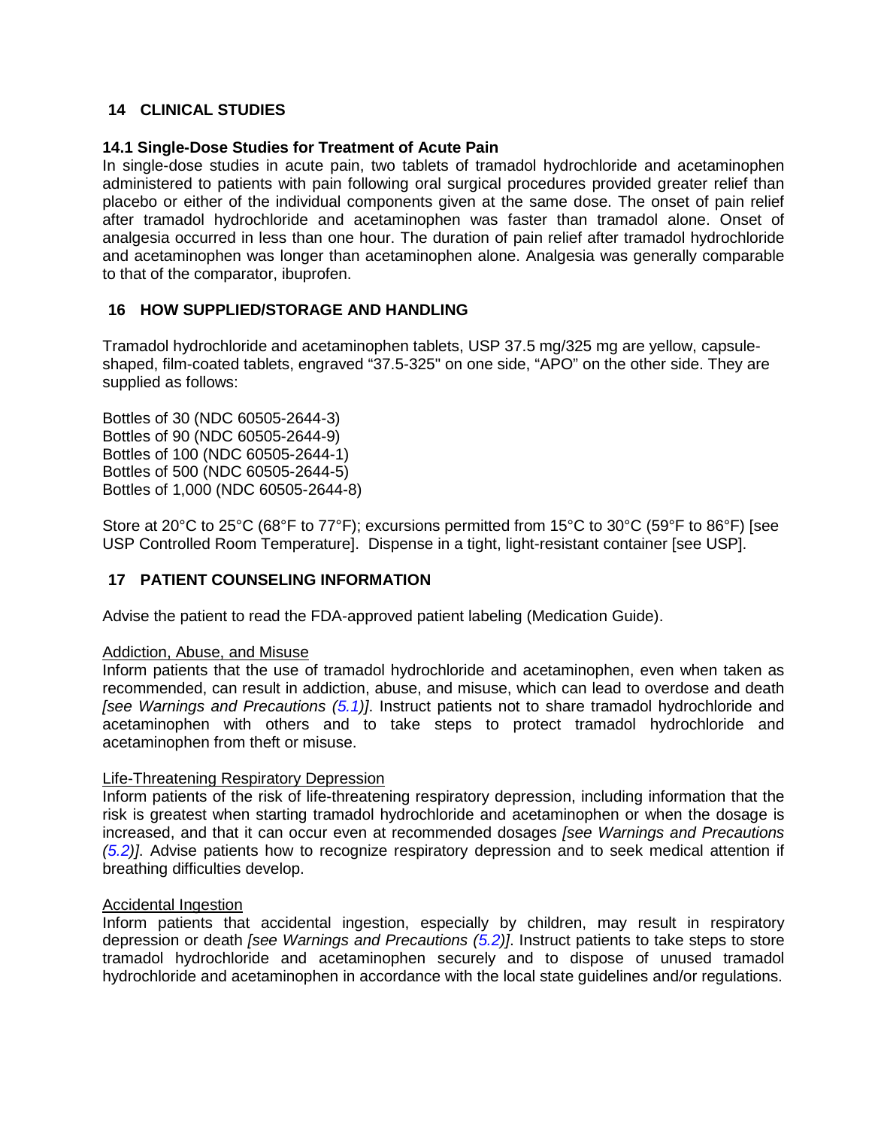## <span id="page-33-0"></span>**14 CLINICAL STUDIES**

#### <span id="page-33-1"></span>**14.1 Single-Dose Studies for Treatment of Acute Pain**

In single-dose studies in acute pain, two tablets of tramadol hydrochloride and acetaminophen administered to patients with pain following oral surgical procedures provided greater relief than placebo or either of the individual components given at the same dose. The onset of pain relief after tramadol hydrochloride and acetaminophen was faster than tramadol alone. Onset of analgesia occurred in less than one hour. The duration of pain relief after tramadol hydrochloride and acetaminophen was longer than acetaminophen alone. Analgesia was generally comparable to that of the comparator, ibuprofen.

## <span id="page-33-2"></span>**16 HOW SUPPLIED/STORAGE AND HANDLING**

Tramadol hydrochloride and acetaminophen tablets, USP 37.5 mg/325 mg are yellow, capsuleshaped, film-coated tablets, engraved "37.5-325" on one side, "APO" on the other side. They are supplied as follows:

Bottles of 30 (NDC 60505-2644-3) Bottles of 90 (NDC 60505-2644-9) Bottles of 100 (NDC 60505-2644-1) Bottles of 500 (NDC 60505-2644-5) Bottles of 1,000 (NDC 60505-2644-8)

Store at 20°C to 25°C (68°F to 77°F); excursions permitted from 15°C to 30°C (59°F to 86°F) [see USP Controlled Room Temperature]. Dispense in a tight, light-resistant container [see USP].

## <span id="page-33-3"></span>**17 PATIENT COUNSELING INFORMATION**

Advise the patient to read the FDA-approved patient labeling (Medication Guide).

#### Addiction, Abuse, and Misuse

Inform patients that the use of tramadol hydrochloride and acetaminophen, even when taken as recommended, can result in addiction, abuse, and misuse, which can lead to overdose and death *[see Warnings and Precautions [\(5.1\)](#page-5-0)]*. Instruct patients not to share tramadol hydrochloride and acetaminophen with others and to take steps to protect tramadol hydrochloride and acetaminophen from theft or misuse.

## Life-Threatening Respiratory Depression

Inform patients of the risk of life-threatening respiratory depression, including information that the risk is greatest when starting tramadol hydrochloride and acetaminophen or when the dosage is increased, and that it can occur even at recommended dosages *[see Warnings and Precautions [\(5.2\)](#page-5-1)]*. Advise patients how to recognize respiratory depression and to seek medical attention if breathing difficulties develop.

#### Accidental Ingestion

Inform patients that accidental ingestion, especially by children, may result in respiratory depression or death *[see Warnings and Precautions [\(5.2\)](#page-5-1)]*. Instruct patients to take steps to store tramadol hydrochloride and acetaminophen securely and to dispose of unused tramadol hydrochloride and acetaminophen in accordance with the local state guidelines and/or regulations.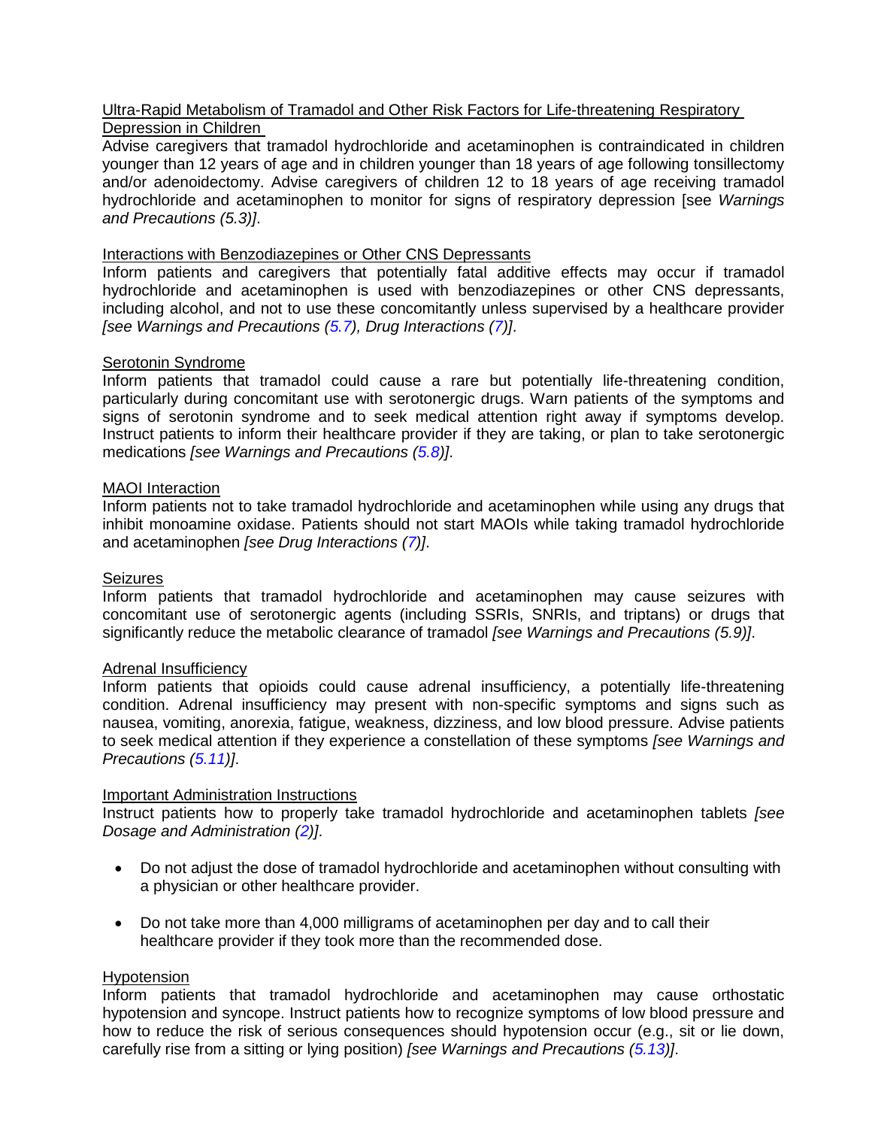#### Ultra-Rapid Metabolism of Tramadol and Other Risk Factors for Life-threatening Respiratory Depression in Children

Advise caregivers that tramadol hydrochloride and acetaminophen is contraindicated in children younger than 12 years of age and in children younger than 18 years of age following tonsillectomy and/or adenoidectomy. Advise caregivers of children 12 to 18 years of age receiving tramadol hydrochloride and acetaminophen to monitor for signs of respiratory depression [see *Warnings and Precautions (5.3)]*.

## Interactions with Benzodiazepines or Other CNS Depressants

Inform patients and caregivers that potentially fatal additive effects may occur if tramadol hydrochloride and acetaminophen is used with benzodiazepines or other CNS depressants, including alcohol, and not to use these concomitantly unless supervised by a healthcare provider *[see Warnings and Precautions [\(5.7\)](#page-8-0), Drug Interactions [\(7\)](#page-15-0)]*.

#### Serotonin Syndrome

Inform patients that tramadol could cause a rare but potentially life-threatening condition, particularly during concomitant use with serotonergic drugs. Warn patients of the symptoms and signs of serotonin syndrome and to seek medical attention right away if symptoms develop. Instruct patients to inform their healthcare provider if they are taking, or plan to take serotonergic medications *[see Warnings and Precautions [\(5.8\)](#page-9-0)]*.

## MAOI Interaction

Inform patients not to take tramadol hydrochloride and acetaminophen while using any drugs that inhibit monoamine oxidase. Patients should not start MAOIs while taking tramadol hydrochloride and acetaminophen *[see Drug Interactions [\(7\)](#page-15-0)]*.

#### **Seizures**

Inform patients that tramadol hydrochloride and acetaminophen may cause seizures with concomitant use of serotonergic agents (including SSRIs, SNRIs, and triptans) or drugs that significantly reduce the metabolic clearance of tramadol *[see Warnings and Precautions (5.9)]*.

#### **Adrenal Insufficiency**

Inform patients that opioids could cause adrenal insufficiency, a potentially life-threatening condition. Adrenal insufficiency may present with non-specific symptoms and signs such as nausea, vomiting, anorexia, fatigue, weakness, dizziness, and low blood pressure. Advise patients to seek medical attention if they experience a constellation of these symptoms *[see Warnings and Precautions [\(5.11\)](#page-10-0)]*.

#### Important Administration Instructions

Instruct patients how to properly take tramadol hydrochloride and acetaminophen tablets *[see Dosage and Administration [\(2\)](#page-3-1)]*.

- Do not adjust the dose of tramadol hydrochloride and acetaminophen without consulting with a physician or other healthcare provider.
- Do not take more than 4,000 milligrams of acetaminophen per day and to call their healthcare provider if they took more than the recommended dose.

#### Hypotension

Inform patients that tramadol hydrochloride and acetaminophen may cause orthostatic hypotension and syncope. Instruct patients how to recognize symptoms of low blood pressure and how to reduce the risk of serious consequences should hypotension occur (e.g., sit or lie down, carefully rise from a sitting or lying position) *[see Warnings and Precautions [\(5.13\)](#page-10-2)]*.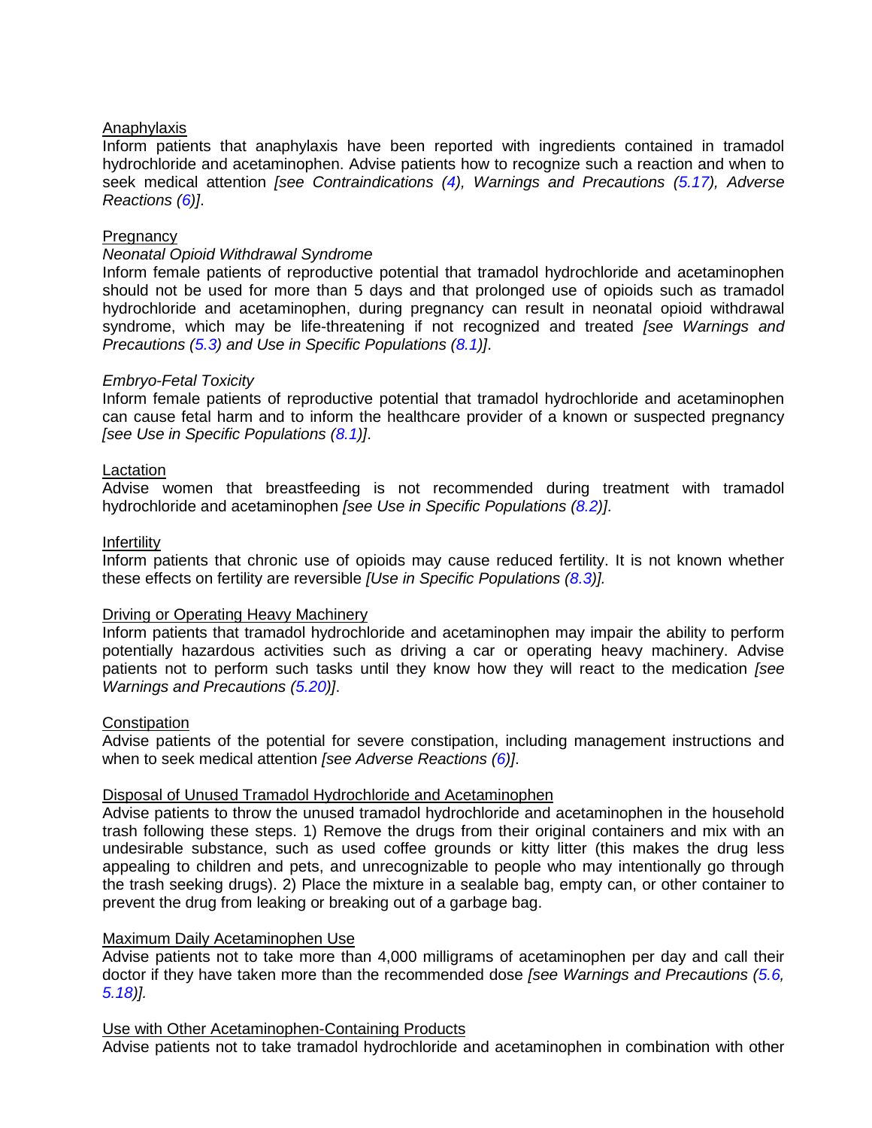#### Anaphylaxis

Inform patients that anaphylaxis have been reported with ingredients contained in tramadol hydrochloride and acetaminophen. Advise patients how to recognize such a reaction and when to seek medical attention *[see Contraindications [\(4\)](#page-4-0), Warnings and Precautions [\(5.17\)](#page-11-3), Adverse Reactions [\(6\)](#page-12-0)]*.

#### **Pregnancy**

#### *Neonatal Opioid Withdrawal Syndrome*

Inform female patients of reproductive potential that tramadol hydrochloride and acetaminophen should not be used for more than 5 days and that prolonged use of opioids such as tramadol hydrochloride and acetaminophen, during pregnancy can result in neonatal opioid withdrawal syndrome, which may be life-threatening if not recognized and treated *[see Warnings and Precautions [\(5.3\)](#page-6-0) and Use in Specific Populations [\(8.1\)](#page-18-0)]*.

#### *Embryo-Fetal Toxicity*

Inform female patients of reproductive potential that tramadol hydrochloride and acetaminophen can cause fetal harm and to inform the healthcare provider of a known or suspected pregnancy *[see Use in Specific Populations [\(8.1\)](#page-18-0)]*.

#### **Lactation**

Advise women that breastfeeding is not recommended during treatment with tramadol hydrochloride and acetaminophen *[see Use in Specific Populations [\(8.2\)](#page-20-0)]*.

#### Infertility

Inform patients that chronic use of opioids may cause reduced fertility. It is not known whether these effects on fertility are reversible *[Use in Specific Populations [\(8.3\)](#page-20-1)].*

#### Driving or Operating Heavy Machinery

Inform patients that tramadol hydrochloride and acetaminophen may impair the ability to perform potentially hazardous activities such as driving a car or operating heavy machinery. Advise patients not to perform such tasks until they know how they will react to the medication *[see Warnings and Precautions [\(5.20\)](#page-12-1)]*.

#### **Constipation**

Advise patients of the potential for severe constipation, including management instructions and when to seek medical attention *[see Adverse Reactions [\(6\)](#page-12-0)]*.

## Disposal of Unused Tramadol Hydrochloride and Acetaminophen

Advise patients to throw the unused tramadol hydrochloride and acetaminophen in the household trash following these steps. 1) Remove the drugs from their original containers and mix with an undesirable substance, such as used coffee grounds or kitty litter (this makes the drug less appealing to children and pets, and unrecognizable to people who may intentionally go through the trash seeking drugs). 2) Place the mixture in a sealable bag, empty can, or other container to prevent the drug from leaking or breaking out of a garbage bag.

#### Maximum Daily Acetaminophen Use

Advise patients not to take more than 4,000 milligrams of acetaminophen per day and call their doctor if they have taken more than the recommended dose *[see Warnings and Precautions [\(5.6,](#page-8-1) [5.18\)](#page-11-0)].*

Use with Other Acetaminophen-Containing Products

Advise patients not to take tramadol hydrochloride and acetaminophen in combination with other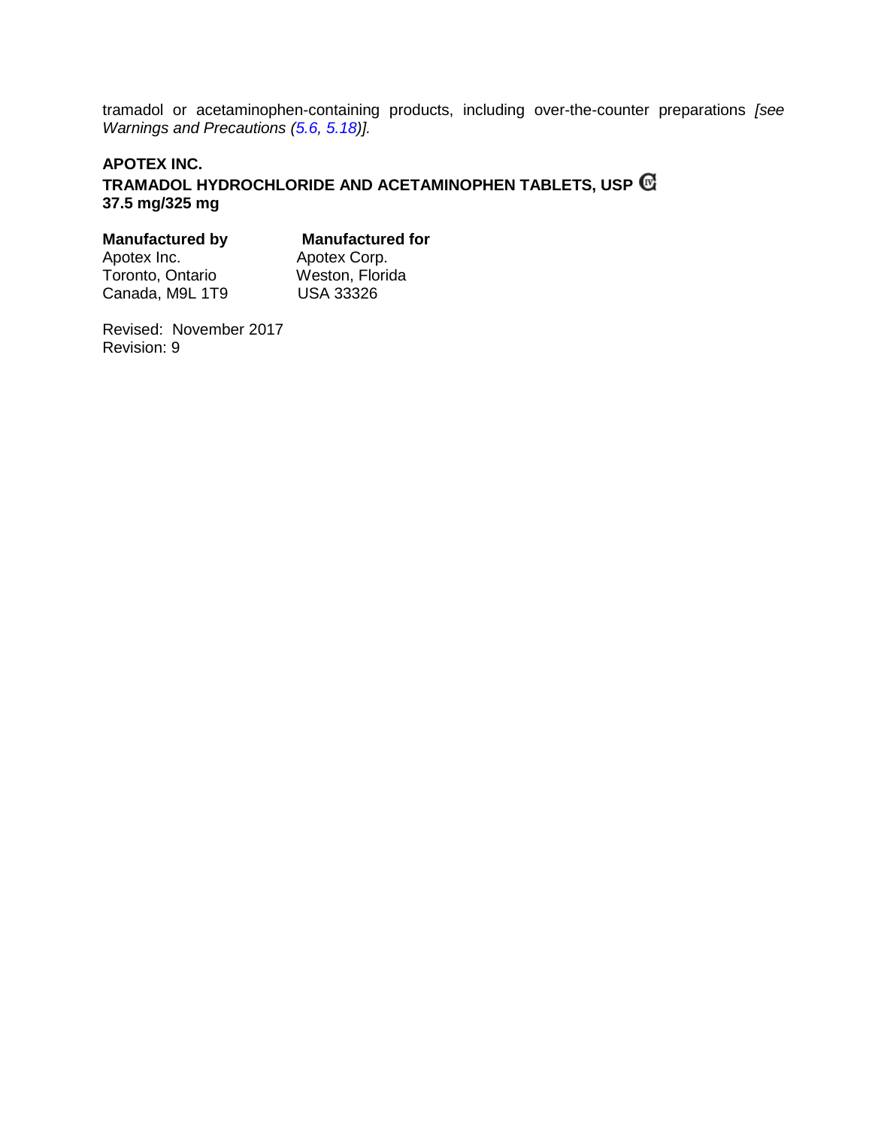tramadol or acetaminophen-containing products, including over-the-counter preparations *[see Warnings and Precautions [\(5.6,](#page-8-1) [5.18\)](#page-11-0)].*

## **APOTEX INC. TRAMADOL HYDROCHLORIDE AND ACETAMINOPHEN TABLETS, USP 37.5 mg/325 mg**

| <b>Manufactured by</b> | <b>Manufactured for</b> |  |  |  |
|------------------------|-------------------------|--|--|--|
| Apotex Inc.            | Apotex Corp.            |  |  |  |
| Toronto, Ontario       | Weston, Florida         |  |  |  |

Canada, M9L 1T9 USA 33326

Revised: November 2017 Revision: 9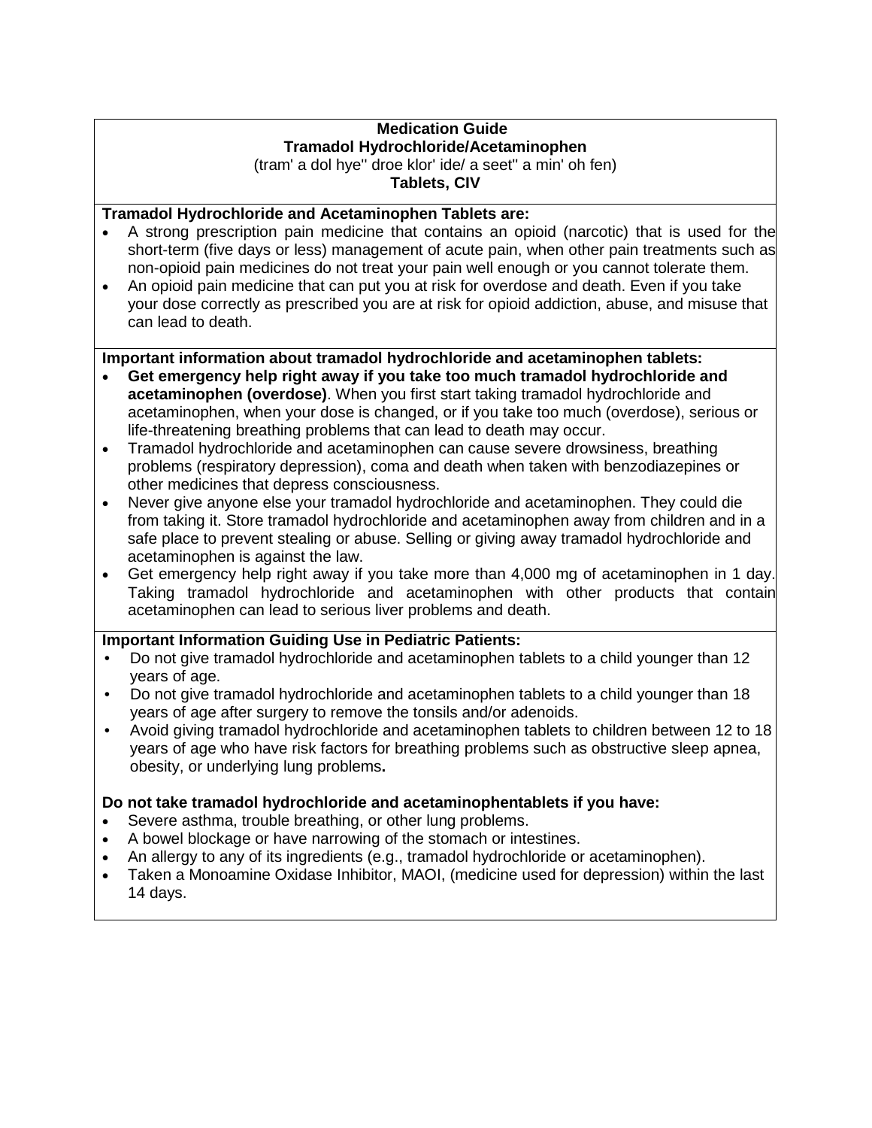## **Medication Guide Tramadol Hydrochloride/Acetaminophen**

(tram' a dol hye'' droe klor' ide/ a seet'' a min' oh fen) **Tablets, CIV**

## **Tramadol Hydrochloride and Acetaminophen Tablets are:**

- A strong prescription pain medicine that contains an opioid (narcotic) that is used for the short-term (five days or less) management of acute pain, when other pain treatments such as non-opioid pain medicines do not treat your pain well enough or you cannot tolerate them.
- An opioid pain medicine that can put you at risk for overdose and death. Even if you take your dose correctly as prescribed you are at risk for opioid addiction, abuse, and misuse that can lead to death.

## **Important information about tramadol hydrochloride and acetaminophen tablets:**

- **Get emergency help right away if you take too much tramadol hydrochloride and acetaminophen (overdose)**. When you first start taking tramadol hydrochloride and acetaminophen, when your dose is changed, or if you take too much (overdose), serious or life-threatening breathing problems that can lead to death may occur.
- Tramadol hydrochloride and acetaminophen can cause severe drowsiness, breathing problems (respiratory depression), coma and death when taken with benzodiazepines or other medicines that depress consciousness.
- Never give anyone else your tramadol hydrochloride and acetaminophen. They could die from taking it. Store tramadol hydrochloride and acetaminophen away from children and in a safe place to prevent stealing or abuse. Selling or giving away tramadol hydrochloride and acetaminophen is against the law.
- Get emergency help right away if you take more than 4,000 mg of acetaminophen in 1 day. Taking tramadol hydrochloride and acetaminophen with other products that contain acetaminophen can lead to serious liver problems and death.

## **Important Information Guiding Use in Pediatric Patients:**

- Do not give tramadol hydrochloride and acetaminophen tablets to a child younger than 12 years of age.
- Do not give tramadol hydrochloride and acetaminophen tablets to a child younger than 18 years of age after surgery to remove the tonsils and/or adenoids.
- Avoid giving tramadol hydrochloride and acetaminophen tablets to children between 12 to 18 years of age who have risk factors for breathing problems such as obstructive sleep apnea, obesity, or underlying lung problems**.**

## **Do not take tramadol hydrochloride and acetaminophentablets if you have:**

- Severe asthma, trouble breathing, or other lung problems.
- A bowel blockage or have narrowing of the stomach or intestines.
- An allergy to any of its ingredients (e.g., tramadol hydrochloride or acetaminophen).
- Taken a Monoamine Oxidase Inhibitor, MAOI, (medicine used for depression) within the last 14 days.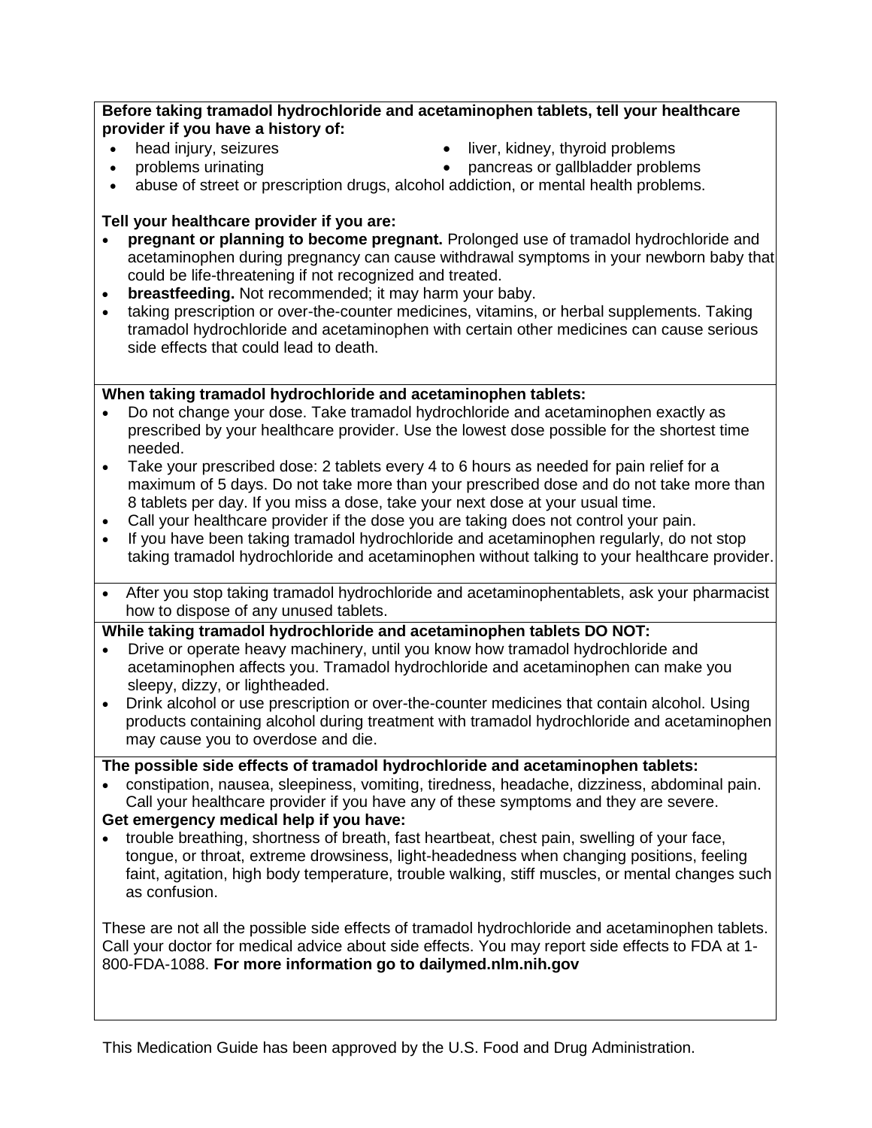## **Before taking tramadol hydrochloride and acetaminophen tablets, tell your healthcare provider if you have a history of:**

- 
- head injury, seizures liver, kidney, thyroid problems
- 
- problems urinating  $\bullet$  pancreas or gallbladder problems
- abuse of street or prescription drugs, alcohol addiction, or mental health problems.

## **Tell your healthcare provider if you are:**

- **pregnant or planning to become pregnant.** Prolonged use of tramadol hydrochloride and acetaminophen during pregnancy can cause withdrawal symptoms in your newborn baby that could be life-threatening if not recognized and treated.
- **breastfeeding.** Not recommended; it may harm your baby.
- taking prescription or over-the-counter medicines, vitamins, or herbal supplements. Taking tramadol hydrochloride and acetaminophen with certain other medicines can cause serious side effects that could lead to death.

## **When taking tramadol hydrochloride and acetaminophen tablets:**

- Do not change your dose. Take tramadol hydrochloride and acetaminophen exactly as prescribed by your healthcare provider. Use the lowest dose possible for the shortest time needed.
- Take your prescribed dose: 2 tablets every 4 to 6 hours as needed for pain relief for a maximum of 5 days. Do not take more than your prescribed dose and do not take more than 8 tablets per day. If you miss a dose, take your next dose at your usual time.
- Call your healthcare provider if the dose you are taking does not control your pain.
- If you have been taking tramadol hydrochloride and acetaminophen regularly, do not stop taking tramadol hydrochloride and acetaminophen without talking to your healthcare provider.
- After you stop taking tramadol hydrochloride and acetaminophentablets, ask your pharmacist how to dispose of any unused tablets.

## **While taking tramadol hydrochloride and acetaminophen tablets DO NOT:**

- Drive or operate heavy machinery, until you know how tramadol hydrochloride and acetaminophen affects you. Tramadol hydrochloride and acetaminophen can make you sleepy, dizzy, or lightheaded.
- Drink alcohol or use prescription or over-the-counter medicines that contain alcohol. Using products containing alcohol during treatment with tramadol hydrochloride and acetaminophen may cause you to overdose and die.

## **The possible side effects of tramadol hydrochloride and acetaminophen tablets:**

• constipation, nausea, sleepiness, vomiting, tiredness, headache, dizziness, abdominal pain. Call your healthcare provider if you have any of these symptoms and they are severe.

## **Get emergency medical help if you have:**

• trouble breathing, shortness of breath, fast heartbeat, chest pain, swelling of your face, tongue, or throat, extreme drowsiness, light-headedness when changing positions, feeling faint, agitation, high body temperature, trouble walking, stiff muscles, or mental changes such as confusion.

These are not all the possible side effects of tramadol hydrochloride and acetaminophen tablets. Call your doctor for medical advice about side effects. You may report side effects to FDA at 1- 800-FDA-1088. **For more information go to dailymed.nlm.nih.gov**

This Medication Guide has been approved by the U.S. Food and Drug Administration.